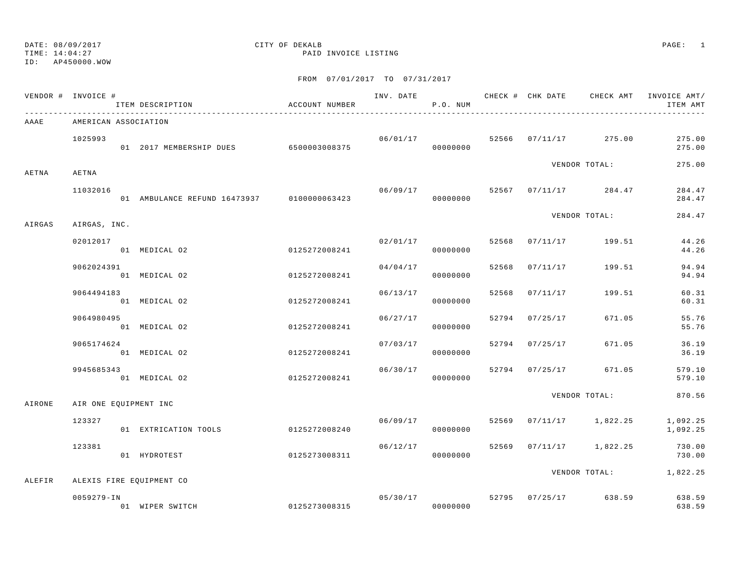## DATE: 08/09/2017 CITY OF DEKALB PAGE: 1

TIME: 14:04:27 PAID INVOICE LISTING

|        | VENDOR # INVOICE #       | ITEM DESCRIPTION                           | ACCOUNT NUMBER |          | P.O. NUM             |       |                |                         | INV. DATE 6 1999 CHECK # CHK DATE CHECK AMT INVOICE AMT<br>ITEM AMT |
|--------|--------------------------|--------------------------------------------|----------------|----------|----------------------|-------|----------------|-------------------------|---------------------------------------------------------------------|
| AAAE   | AMERICAN ASSOCIATION     |                                            |                |          |                      |       |                |                         |                                                                     |
|        | 1025993                  | 01 2017 MEMBERSHIP DUES 6500003008375      |                |          | 06/01/17<br>00000000 |       |                | 52566 07/11/17 275.00   | 275.00<br>275.00                                                    |
| AETNA  | AETNA                    |                                            |                |          |                      |       |                | VENDOR TOTAL:           | 275.00                                                              |
|        | 11032016                 | 01 AMBULANCE REFUND 16473937 0100000063423 |                | 06/09/17 | 00000000             |       |                | 52567 07/11/17 284.47   | 284.47<br>284.47                                                    |
| AIRGAS | AIRGAS, INC.             |                                            |                |          |                      |       |                | VENDOR TOTAL:           | 284.47                                                              |
|        | 02012017                 | 01 MEDICAL 02                              | 0125272008241  |          | 02/01/17<br>00000000 | 52568 |                | 07/11/17 199.51         | 44.26<br>44.26                                                      |
|        | 9062024391               | 01 MEDICAL 02                              | 0125272008241  | 04/04/17 | 00000000             | 52568 | 07/11/17       | 199.51                  | 94.94<br>94.94                                                      |
|        | 9064494183               | 01 MEDICAL 02                              | 0125272008241  | 06/13/17 | 00000000             | 52568 | 07/11/17       | 199.51                  | 60.31<br>60.31                                                      |
|        | 9064980495               | 01 MEDICAL 02                              | 0125272008241  | 06/27/17 | 00000000             | 52794 | 07/25/17       | 671.05                  | 55.76<br>55.76                                                      |
|        | 9065174624               | 01 MEDICAL 02                              | 0125272008241  | 07/03/17 | 00000000             |       | 52794 07/25/17 | 671.05                  | 36.19<br>36.19                                                      |
|        | 9945685343               | 01 MEDICAL 02                              | 0125272008241  |          | 06/30/17<br>00000000 |       | 52794 07/25/17 | 671.05                  | 579.10<br>579.10                                                    |
| AIRONE | AIR ONE EQUIPMENT INC    |                                            |                |          |                      |       |                | VENDOR TOTAL:           | 870.56                                                              |
|        | 123327                   | 01 EXTRICATION TOOLS                       | 0125272008240  |          | 06/09/17<br>00000000 |       |                | 52569 07/11/17 1,822.25 | 1,092.25<br>1,092.25                                                |
|        | 123381                   | 01 HYDROTEST                               | 0125273008311  | 06/12/17 | 00000000             |       |                | 52569 07/11/17 1,822.25 | 730.00<br>730.00                                                    |
| ALEFIR | ALEXIS FIRE EQUIPMENT CO |                                            |                |          |                      |       |                |                         | VENDOR TOTAL: 1,822.25                                              |
|        | $0059279 - IN$           | 01 WIPER SWITCH                            | 0125273008315  |          | 05/30/17<br>00000000 |       |                | 52795 07/25/17 638.59   | 638.59<br>638.59                                                    |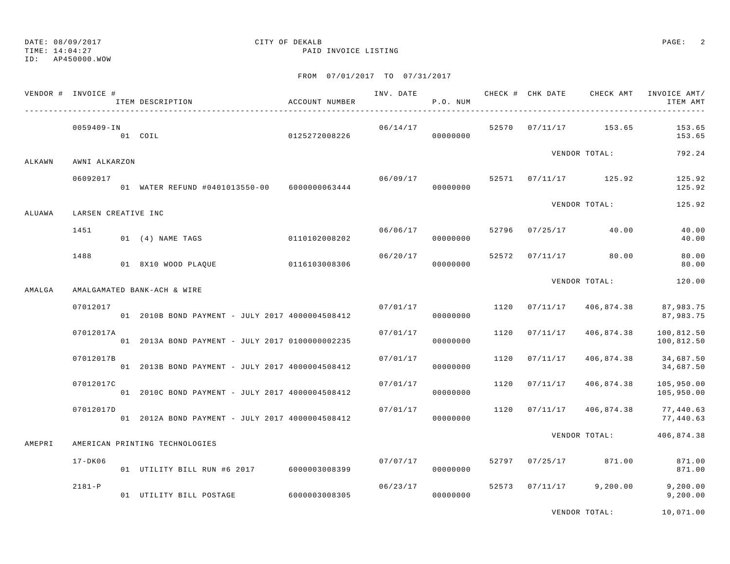TIME: 14:04:27 PAID INVOICE LISTING

ID: AP450000.WOW

## FROM 07/01/2017 TO 07/31/2017

| 06/14/17<br>52570 07/11/17 153.65<br>0059409-IN<br>01 COIL<br>0125272008226<br>00000000<br>VENDOR TOTAL:<br>ALKAWN<br>AWNI ALKARZON<br>06092017<br>52571 07/11/17 125.92<br>06/09/17<br>01 WATER REFUND #0401013550-00 6000000063444<br>00000000<br>VENDOR TOTAL:<br>ALUAWA<br>LARSEN CREATIVE INC<br>06/06/17<br>52796 07/25/17 40.00<br>1451<br>01 (4) NAME TAGS 0110102008202<br>00000000<br>1488<br>06/20/17<br>52572<br>$07/11/17$ 80.00<br>0116103008306<br>01 8X10 WOOD PLAOUE<br>00000000<br>VENDOR TOTAL:<br>AMALGA<br>AMALGAMATED BANK-ACH & WIRE<br>07012017<br>07/01/17<br>1120<br>07/11/17<br>406,874.38<br>01 2010B BOND PAYMENT - JULY 2017 4000004508412<br>00000000<br>07/01/17<br>07012017A<br>1120<br>07/11/17<br>406,874.38<br>01 2013A BOND PAYMENT - JULY 2017 0100000002235<br>00000000<br>07012017B<br>07/01/17<br>1120<br>07/11/17<br>406,874.38<br>01 2013B BOND PAYMENT - JULY 2017 4000004508412<br>00000000<br>07012017C<br>07/01/17<br>1120<br>07/11/17<br>406,874.38<br>01 2010C BOND PAYMENT - JULY 2017 4000004508412<br>00000000 | 153.65<br>153.65<br>792.24 |
|--------------------------------------------------------------------------------------------------------------------------------------------------------------------------------------------------------------------------------------------------------------------------------------------------------------------------------------------------------------------------------------------------------------------------------------------------------------------------------------------------------------------------------------------------------------------------------------------------------------------------------------------------------------------------------------------------------------------------------------------------------------------------------------------------------------------------------------------------------------------------------------------------------------------------------------------------------------------------------------------------------------------------------------------------------------------|----------------------------|
|                                                                                                                                                                                                                                                                                                                                                                                                                                                                                                                                                                                                                                                                                                                                                                                                                                                                                                                                                                                                                                                                    |                            |
|                                                                                                                                                                                                                                                                                                                                                                                                                                                                                                                                                                                                                                                                                                                                                                                                                                                                                                                                                                                                                                                                    |                            |
|                                                                                                                                                                                                                                                                                                                                                                                                                                                                                                                                                                                                                                                                                                                                                                                                                                                                                                                                                                                                                                                                    | 125.92<br>125.92           |
|                                                                                                                                                                                                                                                                                                                                                                                                                                                                                                                                                                                                                                                                                                                                                                                                                                                                                                                                                                                                                                                                    | 125.92                     |
|                                                                                                                                                                                                                                                                                                                                                                                                                                                                                                                                                                                                                                                                                                                                                                                                                                                                                                                                                                                                                                                                    | 40.00<br>40.00             |
|                                                                                                                                                                                                                                                                                                                                                                                                                                                                                                                                                                                                                                                                                                                                                                                                                                                                                                                                                                                                                                                                    | 80.00<br>80.00             |
|                                                                                                                                                                                                                                                                                                                                                                                                                                                                                                                                                                                                                                                                                                                                                                                                                                                                                                                                                                                                                                                                    | 120.00                     |
|                                                                                                                                                                                                                                                                                                                                                                                                                                                                                                                                                                                                                                                                                                                                                                                                                                                                                                                                                                                                                                                                    | 87,983.75<br>87,983.75     |
|                                                                                                                                                                                                                                                                                                                                                                                                                                                                                                                                                                                                                                                                                                                                                                                                                                                                                                                                                                                                                                                                    | 100,812.50<br>100,812.50   |
|                                                                                                                                                                                                                                                                                                                                                                                                                                                                                                                                                                                                                                                                                                                                                                                                                                                                                                                                                                                                                                                                    | 34,687.50<br>34,687.50     |
|                                                                                                                                                                                                                                                                                                                                                                                                                                                                                                                                                                                                                                                                                                                                                                                                                                                                                                                                                                                                                                                                    | 105,950.00<br>105,950.00   |
| 07/01/17<br>07012017D<br>1120<br>07/11/17<br>406,874.38<br>01 2012A BOND PAYMENT - JULY 2017 4000004508412<br>00000000                                                                                                                                                                                                                                                                                                                                                                                                                                                                                                                                                                                                                                                                                                                                                                                                                                                                                                                                             | 77,440.63<br>77,440.63     |
| VENDOR TOTAL:<br>AMEPRI<br>AMERICAN PRINTING TECHNOLOGIES                                                                                                                                                                                                                                                                                                                                                                                                                                                                                                                                                                                                                                                                                                                                                                                                                                                                                                                                                                                                          | 406,874.38                 |
| 07/07/17<br>52797 07/25/17 871.00<br>$17 - DK06$<br>01 UTILITY BILL RUN #6 2017 6000003008399<br>00000000                                                                                                                                                                                                                                                                                                                                                                                                                                                                                                                                                                                                                                                                                                                                                                                                                                                                                                                                                          | 871.00<br>871.00           |
| 52573 07/11/17 9,200.00<br>$2181 - P$<br>06/23/17<br>01 UTILITY BILL POSTAGE 6000003008305<br>00000000                                                                                                                                                                                                                                                                                                                                                                                                                                                                                                                                                                                                                                                                                                                                                                                                                                                                                                                                                             | 9,200.00<br>9,200.00       |

VENDOR TOTAL: 10,071.00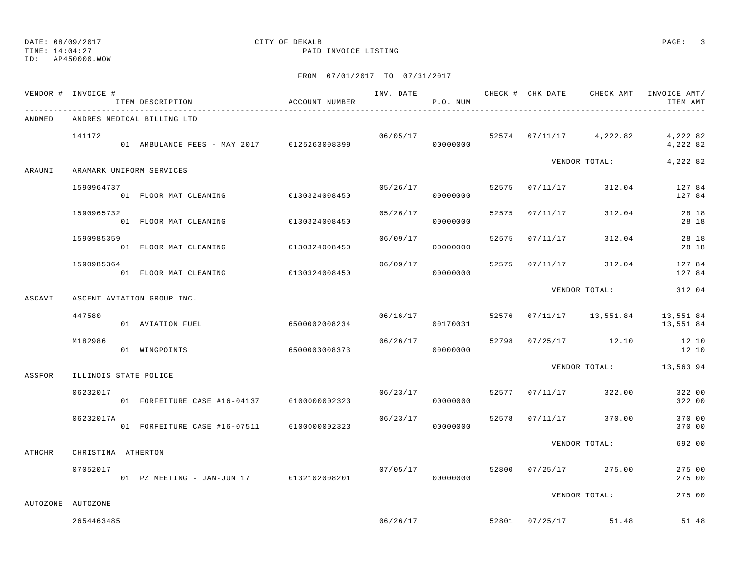TIME: 14:04:27 PAID INVOICE LISTING

ID: AP450000.WOW

|        | VENDOR # INVOICE #       | ITEM DESCRIPTION                           | ACCOUNT NUMBER |          | P.O. NUM |       |                | INV. DATE 6 19 CHECK # CHK DATE 6 CHECK AMT | INVOICE AMT/<br>ITEM AMT                           |
|--------|--------------------------|--------------------------------------------|----------------|----------|----------|-------|----------------|---------------------------------------------|----------------------------------------------------|
| ANDMED |                          | ANDRES MEDICAL BILLING LTD                 |                |          |          |       |                |                                             |                                                    |
|        | 141172                   | 01 AMBULANCE FEES - MAY 2017 0125263008399 |                |          | 00000000 |       |                | $06/05/17$ 52574 07/11/17 4,222.82          | 4,222.82<br>4,222.82                               |
| ARAUNI | ARAMARK UNIFORM SERVICES |                                            |                |          |          |       |                | VENDOR TOTAL:                               | 4,222.82                                           |
|        | 1590964737               | 01 FLOOR MAT CLEANING                      | 0130324008450  | 05/26/17 | 00000000 |       |                | 52575 07/11/17 312.04                       | 127.84<br>127.84                                   |
|        | 1590965732               | 01 FLOOR MAT CLEANING 0130324008450        |                | 05/26/17 | 00000000 |       | 52575 07/11/17 | 312.04                                      | 28.18<br>28.18                                     |
|        | 1590985359               | 01 FLOOR MAT CLEANING                      | 0130324008450  | 06/09/17 | 00000000 | 52575 | 07/11/17       | 312.04                                      | 28.18<br>28.18                                     |
|        | 1590985364               | 01 FLOOR MAT CLEANING                      | 0130324008450  | 06/09/17 | 00000000 | 52575 |                | $07/11/17$ 312.04                           | 127.84<br>127.84                                   |
| ASCAVI |                          | ASCENT AVIATION GROUP INC.                 |                |          |          |       |                | VENDOR TOTAL:                               | 312.04                                             |
|        | 447580                   | 01 AVIATION FUEL                           | 6500002008234  | 06/16/17 | 00170031 |       |                |                                             | 52576  07/11/17  13,551.84  13,551.84<br>13,551.84 |
|        | M182986                  | 01 WINGPOINTS                              | 6500003008373  | 06/26/17 | 00000000 |       |                | 52798 07/25/17 12.10                        | 12.10<br>12.10                                     |
| ASSFOR | ILLINOIS STATE POLICE    |                                            |                |          |          |       |                |                                             | VENDOR TOTAL: 13,563.94                            |
|        | 06232017                 | 01 FORFEITURE CASE #16-04137 0100000002323 |                | 06/23/17 | 00000000 |       |                | 52577 07/11/17 322.00                       | 322.00<br>322.00                                   |
|        | 06232017A                | 01 FORFEITURE CASE #16-07511 0100000002323 |                | 06/23/17 | 00000000 |       |                | 52578 07/11/17 370.00                       | 370.00<br>370.00                                   |
| ATHCHR | CHRISTINA ATHERTON       |                                            |                |          |          |       |                | VENDOR TOTAL:                               | 692.00                                             |
|        | 07052017                 | 01 PZ MEETING - JAN-JUN 17 0132102008201   |                | 07/05/17 | 00000000 |       |                | 52800 07/25/17 275.00                       | 275.00<br>275.00                                   |
|        | AUTOZONE AUTOZONE        |                                            |                |          |          |       |                | VENDOR TOTAL:                               | 275.00                                             |
|        | 2654463485               |                                            |                |          | 06/26/17 |       |                | 52801 07/25/17 51.48                        | 51.48                                              |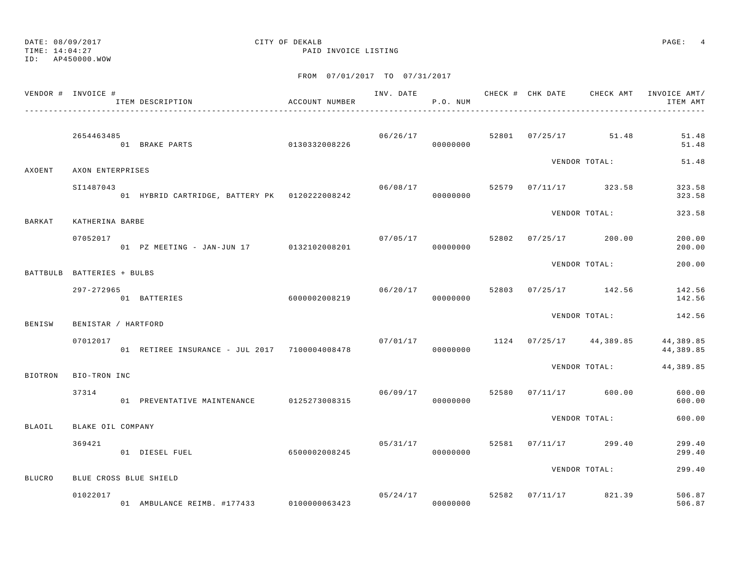TIME: 14:04:27 PAID INVOICE LISTING

ID: AP450000.WOW

|               | VENDOR # INVOICE #         | ITEM DESCRIPTION                              | ACCOUNT NUMBER |                | P.O. NUM                   |       |                           | INV. DATE 6 CHECK # CHK DATE CHECK AMT INVOICE AMT/<br>ITEM AMT |
|---------------|----------------------------|-----------------------------------------------|----------------|----------------|----------------------------|-------|---------------------------|-----------------------------------------------------------------|
|               | 2654463485                 | 01 BRAKE PARTS                                | 0130332008226  |                | 06/26/17<br>00000000       |       | 52801 07/25/17 51.48      | 51.48<br>51.48                                                  |
| AXOENT        | AXON ENTERPRISES           |                                               |                |                |                            |       | VENDOR TOTAL:             | 51.48                                                           |
|               | SI1487043                  | 01 HYBRID CARTRIDGE, BATTERY PK 0120222008242 |                | 06/08/17       | 00000000                   |       | 52579 07/11/17 323.58     | 323.58<br>323.58                                                |
| <b>BARKAT</b> | KATHERINA BARBE            |                                               |                |                |                            |       | VENDOR TOTAL:             | 323.58                                                          |
|               | 07052017                   | 01 PZ MEETING - JAN-JUN 17 0132102008201      |                | 07/05/17 52802 | 00000000                   |       | $07/25/17$ 200.00         | 200.00<br>200.00                                                |
|               | BATTBULB BATTERIES + BULBS |                                               |                |                |                            |       | VENDOR TOTAL:             | 200.00                                                          |
|               | 297-272965                 | 6000002008219<br>01 BATTERIES                 |                | 06/20/17       | 00000000                   |       | 52803 07/25/17 142.56     | 142.56<br>142.56                                                |
| BENISW        | BENISTAR / HARTFORD        |                                               |                |                |                            |       | VENDOR TOTAL:             | 142.56                                                          |
|               | 07012017                   | 01 RETIREE INSURANCE - JUL 2017 7100004008478 |                | 07/01/17       | 00000000                   |       | $1124$ 07/25/17 44,389.85 | 44,389.85<br>44,389.85                                          |
| BIOTRON       | BIO-TRON INC               |                                               |                |                |                            |       | VENDOR TOTAL:             | 44,389.85                                                       |
|               | 37314                      | 01 PREVENTATIVE MAINTENANCE 0125273008315     |                | 06/09/17       | 00000000                   | 52580 | 07/11/17 600.00           | 600.00<br>600.00                                                |
| BLAOIL        | BLAKE OIL COMPANY          |                                               |                |                |                            |       | VENDOR TOTAL:             | 600.00                                                          |
|               | 369421                     | 01 DIESEL FUEL                                | 6500002008245  |                | 05/31/17<br>00000000       |       | 52581 07/11/17 299.40     | 299.40<br>299.40                                                |
| <b>BLUCRO</b> | BLUE CROSS BLUE SHIELD     |                                               |                |                |                            |       | VENDOR TOTAL:             | 299.40                                                          |
|               | 01022017                   | 01 AMBULANCE REIMB. #177433 0100000063423     |                |                | 05/24/17 52582<br>00000000 |       | 07/11/17 821.39           | 506.87<br>506.87                                                |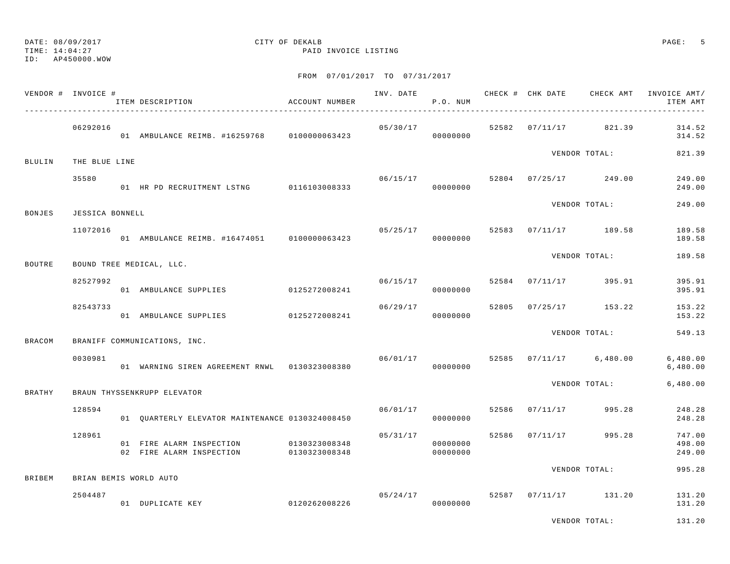## DATE: 08/09/2017 CITY OF DEKALB PAGE: 5

TIME: 14:04:27 PAID INVOICE LISTING

|               | VENDOR # INVOICE # | ITEM DESCRIPTION                                                   | ACCOUNT NUMBER |          | P.O. NUM             |  |                                    | INV. DATE 6 CHECK # CHK DATE CHECK AMT INVOICE AMT/<br>ITEM AMT |
|---------------|--------------------|--------------------------------------------------------------------|----------------|----------|----------------------|--|------------------------------------|-----------------------------------------------------------------|
|               | 06292016           | 01 AMBULANCE REIMB. #16259768 0100000063423 000000000 00000000     |                |          |                      |  | $05/30/17$ 52582 07/11/17 821.39   | 314.52<br>314.52                                                |
| <b>BLULIN</b> | THE BLUE LINE      |                                                                    |                |          |                      |  | VENDOR TOTAL:                      | 821.39                                                          |
|               | 35580              | 01 HR PD RECRUITMENT LSTNG 0116103008333                           |                |          | 00000000             |  | $06/15/17$ 52804 07/25/17 249.00   | 249.00<br>249.00                                                |
| BONJES        | JESSICA BONNELL    |                                                                    |                |          |                      |  | VENDOR TOTAL:                      | 249.00                                                          |
|               | 11072016           | 01 AMBULANCE REIMB. #16474051 0100000063423                        |                |          | 00000000             |  | $05/25/17$ 52583 07/11/17 189.58   | 189.58<br>189.58                                                |
| <b>BOUTRE</b> |                    | BOUND TREE MEDICAL, LLC.                                           |                |          |                      |  | VENDOR TOTAL:                      | 189.58                                                          |
|               | 82527992           | 01 AMBULANCE SUPPLIES 0125272008241                                |                | 06/15/17 | 00000000             |  | 52584 07/11/17 395.91              | 395.91<br>395.91                                                |
|               | 82543733           | 01 AMBULANCE SUPPLIES 0125272008241                                |                | 06/29/17 | 00000000             |  | 52805 07/25/17 153.22              | 153.22<br>153.22                                                |
| <b>BRACOM</b> |                    | BRANIFF COMMUNICATIONS, INC.                                       |                |          |                      |  | VENDOR TOTAL:                      | 549.13                                                          |
|               | 0030981            | 01 WARNING SIREN AGREEMENT RNWL 0130323008380                      |                |          | 00000000             |  | $06/01/17$ 52585 07/11/17 6,480.00 | 6,480.00<br>6,480.00                                            |
| BRATHY        |                    | BRAUN THYSSENKRUPP ELEVATOR                                        |                |          |                      |  | VENDOR TOTAL:                      | 6,480.00                                                        |
|               | 128594             | 01 QUARTERLY ELEVATOR MAINTENANCE 0130324008450                    |                | 06/01/17 | 00000000             |  | 52586 07/11/17 995.28              | 248.28<br>248.28                                                |
|               | 128961             | 01 FIRE ALARM INSPECTION<br>02 FIRE ALARM INSPECTION 0130323008348 | 0130323008348  | 05/31/17 | 00000000<br>00000000 |  | 52586 07/11/17 995.28              | 747.00<br>498.00<br>249.00                                      |
| <b>BRIBEM</b> |                    | BRIAN BEMIS WORLD AUTO                                             |                |          |                      |  | VENDOR TOTAL:                      | 995.28                                                          |
|               | 2504487            | 0120262008226<br>01 DUPLICATE KEY                                  |                |          | 05/24/17<br>00000000 |  | 52587 07/11/17 131.20              | 131.20<br>131.20                                                |
|               |                    |                                                                    |                |          |                      |  | VENDOR TOTAL:                      | 131.20                                                          |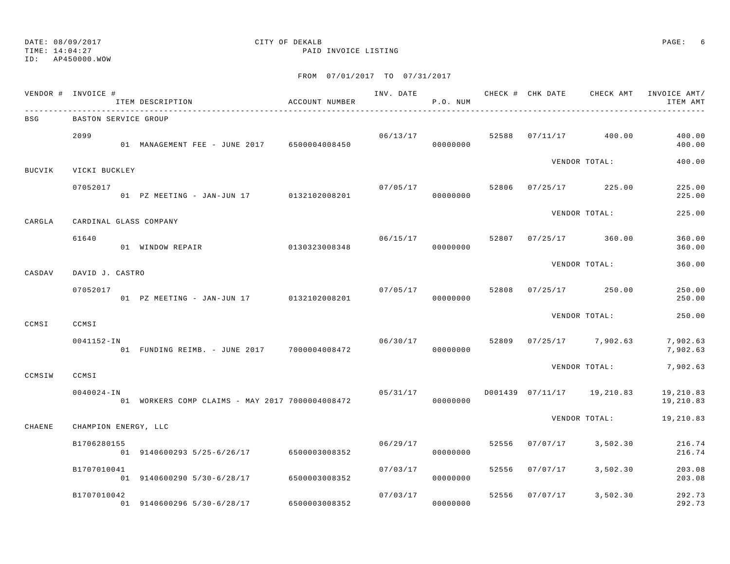TIME: 14:04:27 PAID INVOICE LISTING

ID: AP450000.WOW

|               | VENDOR # INVOICE #   | ITEM DESCRIPTION                                | ACCOUNT NUMBER |          | P.O. NUM |       |          |                            | INV. DATE 6 CHECK # CHK DATE CHECK AMT INVOICE AMT/<br>ITEM AMT |
|---------------|----------------------|-------------------------------------------------|----------------|----------|----------|-------|----------|----------------------------|-----------------------------------------------------------------|
| BSG           | BASTON SERVICE GROUP |                                                 |                |          |          |       |          |                            |                                                                 |
|               | 2099                 | 01 MANAGEMENT FEE - JUNE 2017 6500004008450     |                | 06/13/17 | 00000000 | 52588 |          | 07/11/17 400.00            | 400.00<br>400.00                                                |
| <b>BUCVIK</b> | VICKI BUCKLEY        |                                                 |                |          |          |       |          | VENDOR TOTAL:              | 400.00                                                          |
|               | 07052017             | 01 PZ MEETING - JAN-JUN 17 0132102008201        |                | 07/05/17 | 00000000 | 52806 |          | $07/25/17$ 225.00          | 225.00<br>225.00                                                |
| CARGLA        |                      | CARDINAL GLASS COMPANY                          |                |          |          |       |          | VENDOR TOTAL:              | 225.00                                                          |
|               | 61640                | 01 WINDOW REPAIR                                | 0130323008348  | 06/15/17 | 00000000 | 52807 |          | $07/25/17$ 360.00          | 360.00<br>360.00                                                |
| CASDAV        | DAVID J. CASTRO      |                                                 |                |          |          |       |          | VENDOR TOTAL:              | 360.00                                                          |
|               | 07052017             | 01 PZ MEETING - JAN-JUN 17 0132102008201        |                | 07/05/17 | 00000000 | 52808 |          | $07/25/17$ 250.00          | 250.00<br>250.00                                                |
| CCMSI         | CCMSI                |                                                 |                |          |          |       |          | VENDOR TOTAL:              | 250.00                                                          |
|               | $0041152 - IN$       | 01 FUNDING REIMB. - JUNE 2017 7000004008472     |                | 06/30/17 | 00000000 |       |          | 52809 07/25/17 7,902.63    | 7,902.63<br>7,902.63                                            |
| CCMSIW        | CCMSI                |                                                 |                |          |          |       |          | VENDOR TOTAL:              | 7,902.63                                                        |
|               | $0040024 - IN$       | 01 WORKERS COMP CLAIMS - MAY 2017 7000004008472 |                | 05/31/17 | 00000000 |       |          | D001439 07/11/17 19,210.83 | 19,210.83<br>19,210.83                                          |
| CHAENE        | CHAMPION ENERGY, LLC |                                                 |                |          |          |       |          | VENDOR TOTAL:              | 19,210.83                                                       |
|               | B1706280155          | 01 9140600293 5/25-6/26/17 6500003008352        |                | 06/29/17 | 00000000 | 52556 | 07/07/17 | 3,502.30                   | 216.74<br>216.74                                                |
|               | B1707010041          | 01 9140600290 5/30-6/28/17 6500003008352        |                | 07/03/17 | 00000000 | 52556 | 07/07/17 | 3,502.30                   | 203.08<br>203.08                                                |
|               | B1707010042          | 01 9140600296 5/30-6/28/17                      | 6500003008352  | 07/03/17 | 00000000 | 52556 | 07/07/17 | 3,502.30                   | 292.73<br>292.73                                                |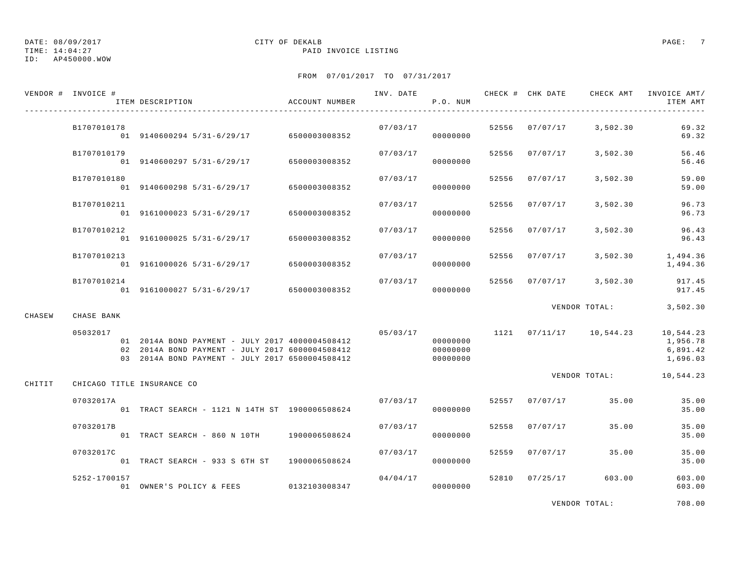TIME: 14:04:27 PAID INVOICE LISTING

ID: AP450000.WOW

## FROM 07/01/2017 TO 07/31/2017

|        | VENDOR # INVOICE #         | ITEM DESCRIPTION                                                                                                                                      | ACCOUNT NUMBER |          | P.O. NUM                         |       |                | INV. DATE 6 1999 CHECK # CHK DATE 6 CHECK AMT INVOICE AMT | ITEM AMT                                      |
|--------|----------------------------|-------------------------------------------------------------------------------------------------------------------------------------------------------|----------------|----------|----------------------------------|-------|----------------|-----------------------------------------------------------|-----------------------------------------------|
|        | B1707010178                | 01 9140600294 5/31-6/29/17 6500003008352                                                                                                              |                | 07/03/17 | 00000000                         |       |                | 52556 07/07/17 3,502.30                                   | 69.32<br>69.32                                |
|        | B1707010179                | 01 9140600297 5/31-6/29/17 6500003008352                                                                                                              |                | 07/03/17 | 00000000                         | 52556 | 07/07/17       | 3,502.30                                                  | 56.46<br>56.46                                |
|        | B1707010180                | $01$ 9140600298 5/31-6/29/17 6500003008352                                                                                                            |                | 07/03/17 | 00000000                         | 52556 | 07/07/17       | 3,502.30                                                  | 59.00<br>59.00                                |
|        | B1707010211                | 01 9161000023 5/31-6/29/17                                                                                                                            | 6500003008352  | 07/03/17 | 00000000                         | 52556 | 07/07/17       | 3,502.30                                                  | 96.73<br>96.73                                |
|        | B1707010212                | 01 9161000025 5/31-6/29/17 6500003008352                                                                                                              |                | 07/03/17 | 00000000                         | 52556 | 07/07/17       | 3,502.30                                                  | 96.43<br>96.43                                |
|        | B1707010213                | 01 9161000026 5/31-6/29/17 6500003008352                                                                                                              |                | 07/03/17 | 00000000                         | 52556 | 07/07/17       | 3,502.30                                                  | 1,494.36<br>1,494.36                          |
|        | B1707010214                | 01 9161000027 5/31-6/29/17 6500003008352                                                                                                              |                | 07/03/17 | 00000000                         |       | 52556 07/07/17 | 3,502.30                                                  | 917.45<br>917.45                              |
| CHASEW | CHASE BANK                 |                                                                                                                                                       |                |          |                                  |       |                | VENDOR TOTAL:                                             | 3,502.30                                      |
|        | 05032017                   | 01 2014A BOND PAYMENT - JULY 2017 4000004508412<br>02 2014A BOND PAYMENT - JULY 2017 6000004508412<br>03 2014A BOND PAYMENT - JULY 2017 6500004508412 |                | 05/03/17 | 00000000<br>00000000<br>00000000 |       |                | 1121  07/11/17  10,544.23                                 | 10,544.23<br>1,956.78<br>6,891.42<br>1,696.03 |
| CHITIT | CHICAGO TITLE INSURANCE CO |                                                                                                                                                       |                |          |                                  |       |                | VENDOR TOTAL:                                             | 10,544.23                                     |
|        | 07032017A                  | 01 TRACT SEARCH - 1121 N 14TH ST 1900006508624                                                                                                        |                | 07/03/17 | 00000000                         |       | 52557 07/07/17 | 35.00                                                     | 35.00<br>35.00                                |
|        | 07032017B                  | 01 TRACT SEARCH - 860 N 10TH 1900006508624                                                                                                            |                | 07/03/17 | 00000000                         | 52558 | 07/07/17       | 35.00                                                     | 35.00<br>35.00                                |
|        | 07032017C                  | 01 TRACT SEARCH - 933 S 6TH ST 1900006508624                                                                                                          |                | 07/03/17 | 00000000                         | 52559 | 07/07/17       | 35.00                                                     | 35.00<br>35.00                                |
|        | 5252-1700157               | 01 OWNER'S POLICY & FEES 0132103008347                                                                                                                |                | 04/04/17 | 00000000                         | 52810 | 07/25/17       | 603.00                                                    | 603.00<br>603.00                              |

VENDOR TOTAL: 708.00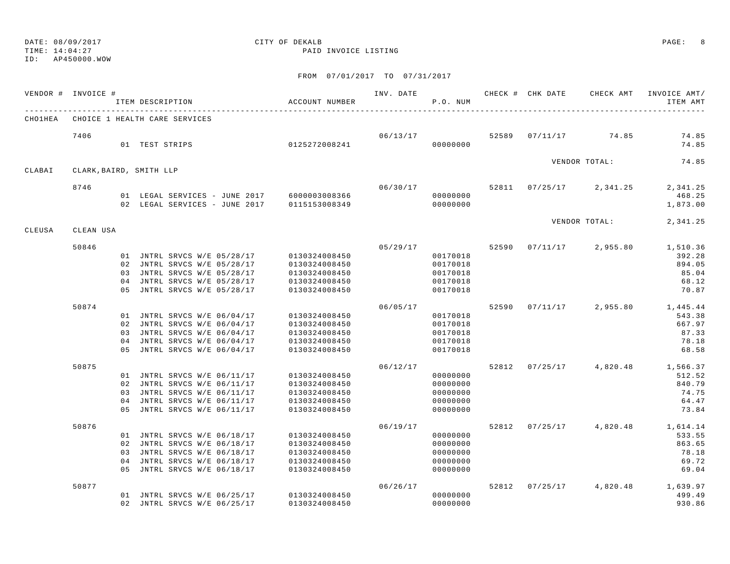TIME: 14:04:27 PAID INVOICE LISTING

ID: AP450000.WOW

|         | VENDOR # INVOICE #            |                | ITEM DESCRIPTION |                               | ACCOUNT NUMBER | INV. DATE | P.O. NUM |       | CHECK # CHK DATE |                     | CHECK AMT INVOICE AMT/<br>ITEM AMT |
|---------|-------------------------------|----------------|------------------|-------------------------------|----------------|-----------|----------|-------|------------------|---------------------|------------------------------------|
| СНО1НЕА | CHOICE 1 HEALTH CARE SERVICES |                |                  |                               |                |           |          |       |                  |                     |                                    |
|         | 7406                          |                | 01 TEST STRIPS   |                               | 0125272008241  | 06/13/17  | 00000000 | 52589 | 07/11/17         | 74.85               | 74.85<br>74.85                     |
| CLABAI  | CLARK, BAIRD, SMITH LLP       |                |                  |                               |                |           |          |       |                  | VENDOR TOTAL:       | 74.85                              |
|         | 8746                          |                |                  |                               |                | 06/30/17  |          |       | 52811 07/25/17   | 2,341.25            | 2,341.25                           |
|         |                               |                |                  | 01 LEGAL SERVICES - JUNE 2017 | 6000003008366  |           | 00000000 |       |                  |                     | 468.25                             |
|         |                               |                |                  | 02 LEGAL SERVICES - JUNE 2017 | 0115153008349  |           | 00000000 |       |                  |                     | 1,873.00                           |
|         |                               |                |                  |                               |                |           |          |       |                  | VENDOR TOTAL:       | 2,341.25                           |
| CLEUSA  | CLEAN USA                     |                |                  |                               |                |           |          |       |                  |                     |                                    |
|         | 50846                         |                |                  |                               |                | 05/29/17  |          | 52590 | 07/11/17         | 2,955.80            | 1,510.36                           |
|         |                               |                |                  | 01 JNTRL SRVCS W/E 05/28/17   | 0130324008450  |           | 00170018 |       |                  |                     | 392.28                             |
|         |                               |                |                  | 02 JNTRL SRVCS W/E 05/28/17   | 0130324008450  |           | 00170018 |       |                  |                     | 894.05                             |
|         |                               |                |                  | 03 JNTRL SRVCS W/E 05/28/17   | 0130324008450  |           | 00170018 |       |                  |                     | 85.04                              |
|         |                               | 04             |                  | JNTRL SRVCS W/E 05/28/17      | 0130324008450  |           | 00170018 |       |                  |                     | 68.12                              |
|         |                               | 0.5            |                  | JNTRL SRVCS W/E 05/28/17      | 0130324008450  |           | 00170018 |       |                  |                     | 70.87                              |
|         | 50874                         |                |                  |                               |                | 06/05/17  |          | 52590 | 07/11/17         | 2,955.80            | 1,445.44                           |
|         |                               |                |                  | 01 JNTRL SRVCS W/E 06/04/17   | 0130324008450  |           | 00170018 |       |                  |                     | 543.38                             |
|         |                               |                |                  | 02 JNTRL SRVCS W/E 06/04/17   | 0130324008450  |           | 00170018 |       |                  |                     | 667.97                             |
|         |                               |                |                  | 03 JNTRL SRVCS W/E 06/04/17   | 0130324008450  |           | 00170018 |       |                  |                     | 87.33                              |
|         |                               |                |                  | 04 JNTRL SRVCS W/E 06/04/17   | 0130324008450  |           | 00170018 |       |                  |                     | 78.18                              |
|         |                               | 0.5            |                  | JNTRL SRVCS W/E 06/04/17      | 0130324008450  |           | 00170018 |       |                  |                     | 68.58                              |
|         | 50875                         |                |                  |                               |                | 06/12/17  |          | 52812 |                  | $07/25/17$ 4,820.48 | 1,566.37                           |
|         |                               |                |                  | 01 JNTRL SRVCS W/E 06/11/17   | 0130324008450  |           | 00000000 |       |                  |                     | 512.52                             |
|         |                               |                |                  | 02 JNTRL SRVCS W/E 06/11/17   | 0130324008450  |           | 00000000 |       |                  |                     | 840.79                             |
|         |                               |                |                  | 03 JNTRL SRVCS W/E 06/11/17   | 0130324008450  |           | 00000000 |       |                  |                     | 74.75                              |
|         |                               | 0 <sub>4</sub> |                  | JNTRL SRVCS W/E 06/11/17      | 0130324008450  |           | 00000000 |       |                  |                     | 64.47                              |
|         |                               | 0.5            |                  | JNTRL SRVCS W/E 06/11/17      | 0130324008450  |           | 00000000 |       |                  |                     | 73.84                              |
|         | 50876                         |                |                  |                               |                | 06/19/17  |          | 52812 | 07/25/17         | 4,820.48            | 1,614.14                           |
|         |                               |                |                  | 01 JNTRL SRVCS W/E 06/18/17   | 0130324008450  |           | 00000000 |       |                  |                     | 533.55                             |
|         |                               |                |                  | 02 JNTRL SRVCS W/E 06/18/17   | 0130324008450  |           | 00000000 |       |                  |                     | 863.65                             |
|         |                               |                |                  | 03 JNTRL SRVCS W/E 06/18/17   | 0130324008450  |           | 00000000 |       |                  |                     | 78.18                              |
|         |                               | 04             |                  | JNTRL SRVCS W/E 06/18/17      | 0130324008450  |           | 00000000 |       |                  |                     | 69.72                              |
|         |                               |                |                  | 05 JNTRL SRVCS W/E 06/18/17   | 0130324008450  |           | 00000000 |       |                  |                     | 69.04                              |
|         | 50877                         |                |                  |                               |                | 06/26/17  |          | 52812 | 07/25/17         | 4,820.48            | 1,639.97                           |
|         |                               |                |                  | 01 JNTRL SRVCS W/E 06/25/17   | 0130324008450  |           | 00000000 |       |                  |                     | 499.49                             |
|         |                               |                |                  | 02 JNTRL SRVCS W/E 06/25/17   | 0130324008450  |           | 00000000 |       |                  |                     | 930.86                             |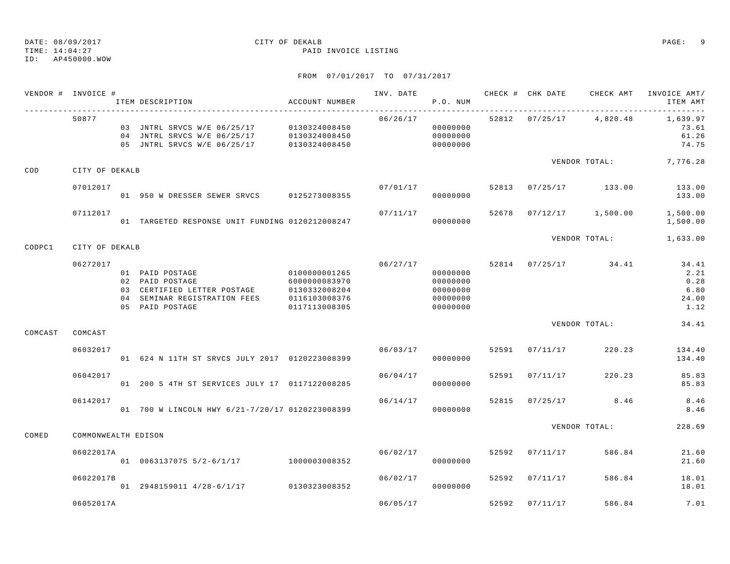TIME: 14:04:27 PAID INVOICE LISTING

ID: AP450000.WOW

|         | VENDOR # INVOICE #  | ITEM DESCRIPTION                                                                                                     | ACCOUNT NUMBER                                                                    | INV. DATE | P.O. NUM                                                 |       | CHECK # CHK DATE | CHECK AMT            | INVOICE AMT/<br>ITEM AMT                       |
|---------|---------------------|----------------------------------------------------------------------------------------------------------------------|-----------------------------------------------------------------------------------|-----------|----------------------------------------------------------|-------|------------------|----------------------|------------------------------------------------|
|         | 50877               | 03 JNTRL SRVCS W/E 06/25/17 0130324008450<br>04 JNTRL SRVCS W/E 06/25/17<br>05 JNTRL SRVCS W/E 06/25/17              | 0130324008450<br>0130324008450                                                    | 06/26/17  | 00000000<br>00000000<br>00000000                         |       | 52812 07/25/17   | 4,820.48             | 1,639.97<br>73.61<br>61.26<br>74.75            |
| COD     | CITY OF DEKALB      |                                                                                                                      |                                                                                   |           |                                                          |       |                  | VENDOR TOTAL:        | 7,776.28                                       |
|         | 07012017            | 01 950 W DRESSER SEWER SRVCS 0125273008355                                                                           |                                                                                   | 07/01/17  | 00000000                                                 | 52813 |                  | $07/25/17$ 133.00    | 133.00<br>133.00                               |
|         | 07112017            | 01 TARGETED RESPONSE UNIT FUNDING 0120212008247                                                                      |                                                                                   | 07/11/17  | 00000000                                                 | 52678 |                  | $07/12/17$ 1,500.00  | 1,500.00<br>1,500.00                           |
| CODPC1  | CITY OF DEKALB      |                                                                                                                      |                                                                                   |           |                                                          |       |                  | VENDOR TOTAL:        | 1,633.00                                       |
|         | 06272017            | 01 PAID POSTAGE<br>02 PAID POSTAGE<br>03 CERTIFIED LETTER POSTAGE<br>04 SEMINAR REGISTRATION FEES<br>05 PAID POSTAGE | 0100000001265<br>6000000083970<br>0130332008204<br>0116103008376<br>0117113008305 | 06/27/17  | 00000000<br>00000000<br>00000000<br>00000000<br>00000000 |       |                  | 52814 07/25/17 34.41 | 34.41<br>2.21<br>0.28<br>6.80<br>24.00<br>1.12 |
| COMCAST | COMCAST             |                                                                                                                      |                                                                                   |           |                                                          |       |                  | VENDOR TOTAL:        | 34.41                                          |
|         | 06032017            | 01 624 N 11TH ST SRVCS JULY 2017 0120223008399                                                                       |                                                                                   | 06/03/17  | 00000000                                                 | 52591 | 07/11/17         | 220.23               | 134.40<br>134.40                               |
|         | 06042017            | 01 200 S 4TH ST SERVICES JULY 17 0117122008285                                                                       |                                                                                   | 06/04/17  | 00000000                                                 | 52591 | 07/11/17         | 220.23               | 85.83<br>85.83                                 |
|         | 06142017            | 01 700 W LINCOLN HWY 6/21-7/20/17 0120223008399                                                                      |                                                                                   | 06/14/17  | 00000000                                                 | 52815 | 07/25/17         | 8.46                 | 8.46<br>8.46                                   |
| COMED   | COMMONWEALTH EDISON |                                                                                                                      |                                                                                   |           |                                                          |       |                  | VENDOR TOTAL:        | 228.69                                         |
|         | 06022017A           | 01 0063137075 5/2-6/1/17 1000003008352                                                                               |                                                                                   | 06/02/17  | 00000000                                                 | 52592 | 07/11/17         | 586.84               | 21.60<br>21.60                                 |
|         | 06022017B           | 01 2948159011 4/28-6/1/17 0130323008352                                                                              |                                                                                   | 06/02/17  | 00000000                                                 | 52592 | 07/11/17         | 586.84               | 18.01<br>18.01                                 |
|         | 06052017A           |                                                                                                                      |                                                                                   | 06/05/17  |                                                          | 52592 | 07/11/17         | 586.84               | 7.01                                           |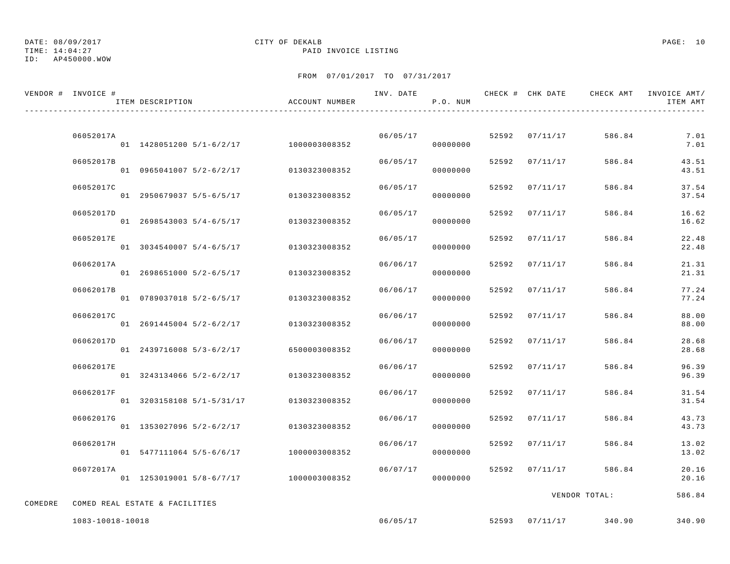# DATE: 08/09/2017 CITY OF DEKALB PAGE: 10

TIME: 14:04:27 PAID INVOICE LISTING

|         | VENDOR # INVOICE # | ITEM DESCRIPTION               | ACCOUNT NUMBER                         | INV. DATE | P.O. NUM             |       | CHECK # CHK DATE | CHECK AMT     | INVOICE AMT/<br>ITEM AMT |
|---------|--------------------|--------------------------------|----------------------------------------|-----------|----------------------|-------|------------------|---------------|--------------------------|
|         | 06052017A          |                                | 01 1428051200 5/1-6/2/17 1000003008352 |           | 06/05/17<br>00000000 |       | 52592 07/11/17   | 586.84        | 7.01<br>7.01             |
|         | 06052017B          | 01 0965041007 5/2-6/2/17       | 0130323008352                          | 06/05/17  | 00000000             |       | 52592 07/11/17   | 586.84        | 43.51<br>43.51           |
|         | 06052017C          | 01 2950679037 5/5-6/5/17       | 0130323008352                          | 06/05/17  | 00000000             |       | 52592 07/11/17   | 586.84        | 37.54<br>37.54           |
|         | 06052017D          | 01 2698543003 5/4-6/5/17       | 0130323008352                          | 06/05/17  | 00000000             |       | 52592 07/11/17   | 586.84        | 16.62<br>16.62           |
|         | 06052017E          | 01 3034540007 5/4-6/5/17       | 0130323008352                          | 06/05/17  | 00000000             |       | 52592 07/11/17   | 586.84        | 22.48<br>22.48           |
|         | 06062017A          | 01 2698651000 5/2-6/5/17       | 0130323008352                          | 06/06/17  | 00000000             | 52592 | 07/11/17         | 586.84        | 21.31<br>21.31           |
|         | 06062017B          | 01 0789037018 5/2-6/5/17       | 0130323008352                          | 06/06/17  | 00000000             | 52592 | 07/11/17         | 586.84        | 77.24<br>77.24           |
|         | 06062017C          | 01 2691445004 5/2-6/2/17       | 0130323008352                          | 06/06/17  | 00000000             |       | 52592 07/11/17   | 586.84        | 88.00<br>88.00           |
|         | 06062017D          | 01 2439716008 5/3-6/2/17       | 6500003008352                          | 06/06/17  | 00000000             |       | 52592 07/11/17   | 586.84        | 28.68<br>28.68           |
|         | 06062017E          | 01 3243134066 5/2-6/2/17       | 0130323008352                          | 06/06/17  | 00000000             | 52592 | 07/11/17         | 586.84        | 96.39<br>96.39           |
|         | 06062017F          | 01 3203158108 5/1-5/31/17      | 0130323008352                          | 06/06/17  | 00000000             | 52592 | 07/11/17         | 586.84        | 31.54<br>31.54           |
|         | 06062017G          | 01 1353027096 5/2-6/2/17       | 0130323008352                          | 06/06/17  | 00000000             | 52592 | 07/11/17         | 586.84        | 43.73<br>43.73           |
|         | 06062017H          | 01 5477111064 5/5-6/6/17       | 1000003008352                          | 06/06/17  | 00000000             |       | 52592 07/11/17   | 586.84        | 13.02<br>13.02           |
|         | 06072017A          |                                | 01 1253019001 5/8-6/7/17 1000003008352 | 06/07/17  | 00000000             |       | 52592 07/11/17   | 586.84        | 20.16<br>20.16           |
| COMEDRE |                    | COMED REAL ESTATE & FACILITIES |                                        |           |                      |       |                  | VENDOR TOTAL: | 586.84                   |
|         | 1083-10018-10018   |                                |                                        | 06/05/17  |                      |       | 52593 07/11/17   | 340.90        | 340.90                   |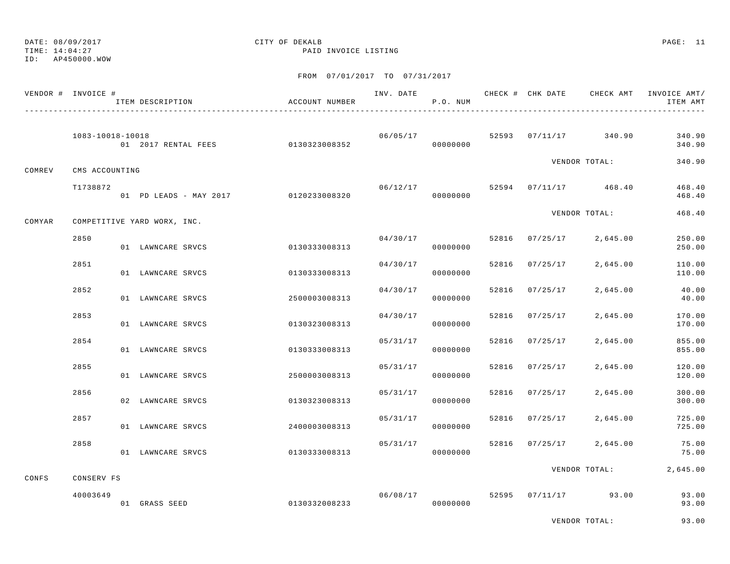# DATE: 08/09/2017 CITY OF DEKALB PAGE: 11

TIME: 14:04:27 PAID INVOICE LISTING

|        | VENDOR # INVOICE # | ITEM DESCRIPTION                     |               | ACCOUNT NUMBER |          | P.O. NUM |       |                |                       | INV. DATE 6 CHECK # CHK DATE CHECK AMT INVOICE AMT/<br>ITEM AMT |
|--------|--------------------|--------------------------------------|---------------|----------------|----------|----------|-------|----------------|-----------------------|-----------------------------------------------------------------|
|        | 1083-10018-10018   | 01 2017 RENTAL FEES 0130323008352    |               |                | 06/05/17 | 00000000 |       |                | 52593 07/11/17 340.90 | 340.90<br>340.90                                                |
| COMREV | CMS ACCOUNTING     |                                      |               |                |          |          |       |                | VENDOR TOTAL:         | 340.90                                                          |
|        | T1738872           | 01 PD LEADS - MAY 2017 0120233008320 |               |                | 06/12/17 | 00000000 |       |                | 52594 07/11/17 468.40 | 468.40<br>468.40                                                |
| COMYAR |                    | COMPETITIVE YARD WORX, INC.          |               |                |          |          |       |                | VENDOR TOTAL:         | 468.40                                                          |
|        | 2850               | 01 LAWNCARE SRVCS                    |               | 0130333008313  | 04/30/17 | 00000000 |       | 52816 07/25/17 | 2,645.00              | 250.00<br>250.00                                                |
|        | 2851               | 01 LAWNCARE SRVCS                    |               | 0130333008313  | 04/30/17 | 00000000 | 52816 | 07/25/17       | 2,645.00              | 110.00<br>110.00                                                |
|        | 2852               | 01 LAWNCARE SRVCS                    |               | 2500003008313  | 04/30/17 | 00000000 | 52816 | 07/25/17       | 2,645.00              | 40.00<br>40.00                                                  |
|        | 2853               | 01 LAWNCARE SRVCS                    |               | 0130323008313  | 04/30/17 | 00000000 | 52816 | 07/25/17       | 2,645.00              | 170.00<br>170.00                                                |
|        | 2854               | 01 LAWNCARE SRVCS                    |               | 0130333008313  | 05/31/17 | 00000000 | 52816 | 07/25/17       | 2,645.00              | 855.00<br>855.00                                                |
|        | 2855               | 01 LAWNCARE SRVCS                    |               | 2500003008313  | 05/31/17 | 00000000 | 52816 | 07/25/17       | 2,645.00              | 120.00<br>120.00                                                |
|        | 2856               | 02 LAWNCARE SRVCS                    |               | 0130323008313  | 05/31/17 | 00000000 | 52816 | 07/25/17       | 2,645.00              | 300.00<br>300.00                                                |
|        | 2857               | 01 LAWNCARE SRVCS                    |               | 2400003008313  | 05/31/17 | 00000000 | 52816 | 07/25/17       | 2,645.00              | 725.00<br>725.00                                                |
|        | 2858               | 01 LAWNCARE SRVCS                    |               | 0130333008313  | 05/31/17 | 00000000 |       | 52816 07/25/17 | 2,645.00              | 75.00<br>75.00                                                  |
| CONFS  | CONSERV FS         |                                      |               |                |          |          |       |                | VENDOR TOTAL:         | 2,645.00                                                        |
|        | 40003649           | 01 GRASS SEED                        | 0130332008233 |                | 06/08/17 | 00000000 |       |                | 52595 07/11/17 93.00  | 93.00<br>93.00                                                  |
|        |                    |                                      |               |                |          |          |       |                | VENDOR TOTAL:         | 93.00                                                           |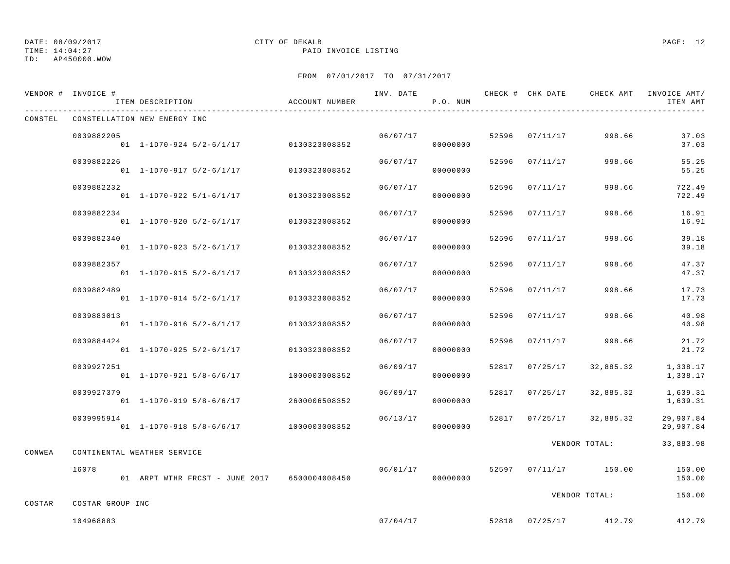TIME: 14:04:27 PAID INVOICE LISTING

ID: AP450000.WOW

|        | VENDOR # INVOICE #            | ITEM DESCRIPTION                             | ACCOUNT NUMBER | INV. DATE | P.O. NUM |       |                | CHECK # CHK DATE CHECK AMT INVOICE AMT/ | ITEM AMT               |
|--------|-------------------------------|----------------------------------------------|----------------|-----------|----------|-------|----------------|-----------------------------------------|------------------------|
|        |                               | CONSTEL CONSTELLATION NEW ENERGY INC         |                |           |          |       |                |                                         |                        |
|        | 0039882205                    | 01 1-1D70-924 5/2-6/1/17 0130323008352       |                | 06/07/17  | 00000000 |       | 52596 07/11/17 | 998.66                                  | 37.03<br>37.03         |
|        | 0039882226                    | $01$ 1-1D70-917 5/2-6/1/17                   | 0130323008352  | 06/07/17  | 00000000 | 52596 | 07/11/17       | 998.66                                  | 55.25<br>55.25         |
|        | 0039882232                    | 01 1-1D70-922 5/1-6/1/17                     | 0130323008352  | 06/07/17  | 00000000 | 52596 | 07/11/17       | 998.66                                  | 722.49<br>722.49       |
|        | 0039882234                    | 01 1-1D70-920 5/2-6/1/17                     | 0130323008352  | 06/07/17  | 00000000 | 52596 | 07/11/17       | 998.66                                  | 16.91<br>16.91         |
|        | 0039882340                    | 01 1-1D70-923 5/2-6/1/17                     | 0130323008352  | 06/07/17  | 00000000 |       | 52596 07/11/17 | 998.66                                  | 39.18<br>39.18         |
|        | 0039882357                    | $01$ 1-1D70-915 5/2-6/1/17                   | 0130323008352  | 06/07/17  | 00000000 | 52596 | 07/11/17       | 998.66                                  | 47.37<br>47.37         |
|        | 0039882489                    | $01 \quad 1 - 1D70 - 914 \quad 5/2 - 6/1/17$ | 0130323008352  | 06/07/17  | 00000000 | 52596 | 07/11/17       | 998.66                                  | 17.73<br>17.73         |
|        | 0039883013                    | $01$ 1-1D70-916 5/2-6/1/17                   | 0130323008352  | 06/07/17  | 00000000 | 52596 | 07/11/17       | 998.66                                  | 40.98<br>40.98         |
|        | 0039884424                    | $01$ 1-1D70-925 5/2-6/1/17                   | 0130323008352  | 06/07/17  | 00000000 | 52596 | 07/11/17       | 998.66                                  | 21.72<br>21.72         |
|        | 0039927251                    | 01 1-1D70-921 5/8-6/6/17                     | 1000003008352  | 06/09/17  | 00000000 |       | 52817 07/25/17 | 32,885.32                               | 1,338.17<br>1,338.17   |
|        | 0039927379                    | $01$ 1-1D70-919 5/8-6/6/17                   | 2600006508352  | 06/09/17  | 00000000 |       | 52817 07/25/17 | 32,885.32                               | 1,639.31<br>1,639.31   |
|        | 0039995914                    | 01  1-1D70-918  5/8-6/6/17  1000003008352    |                | 06/13/17  | 00000000 |       |                | 52817 07/25/17 32,885.32                | 29,907.84<br>29,907.84 |
| CONWEA |                               | CONTINENTAL WEATHER SERVICE                  |                |           |          |       |                | VENDOR TOTAL:                           | 33,883.98              |
|        | 16078                         | 01 ARPT WTHR FRCST - JUNE 2017 6500004008450 |                | 06/01/17  | 00000000 |       |                | 52597 07/11/17 150.00                   | 150.00<br>150.00       |
|        |                               |                                              |                |           |          |       |                | VENDOR TOTAL:                           | 150.00                 |
| COSTAR | COSTAR GROUP INC<br>104968883 |                                              |                | 07/04/17  |          |       |                | 52818 07/25/17 412.79                   | 412.79                 |
|        |                               |                                              |                |           |          |       |                |                                         |                        |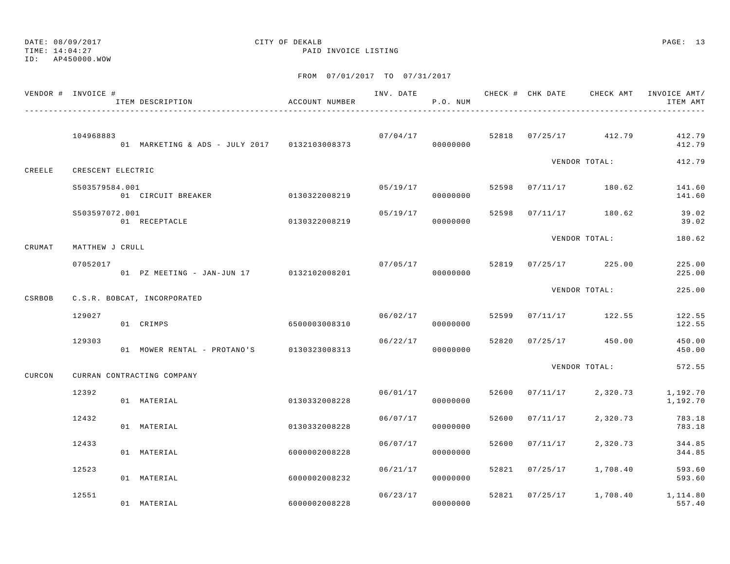TIME: 14:04:27 PAID INVOICE LISTING

ID: AP450000.WOW

|        | VENDOR # INVOICE # | ITEM DESCRIPTION                             | ACCOUNT NUMBER |          | P.O. NUM             |       |          |                       | INV. DATE 6 7 20 20 CHECK # CHK DATE 6 CHECK AMT INVOICE AMT<br>ITEM AMT |
|--------|--------------------|----------------------------------------------|----------------|----------|----------------------|-------|----------|-----------------------|--------------------------------------------------------------------------|
|        | 104968883          | 01 MARKETING & ADS - JULY 2017 0132103008373 |                | 07/04/17 | 00000000             |       |          | 52818 07/25/17 412.79 | 412.79<br>412.79                                                         |
| CREELE | CRESCENT ELECTRIC  |                                              |                |          |                      |       |          | VENDOR TOTAL:         | 412.79                                                                   |
|        | S503579584.001     | 01 CIRCUIT BREAKER 0130322008219             |                | 05/19/17 | 00000000             |       |          | 52598 07/11/17 180.62 | 141.60<br>141.60                                                         |
|        | S503597072.001     | 01 RECEPTACLE                                | 0130322008219  | 05/19/17 | 00000000             | 52598 |          | 07/11/17 180.62       | 39.02<br>39.02                                                           |
| CRUMAT | MATTHEW J CRULL    |                                              |                |          |                      |       |          | VENDOR TOTAL:         | 180.62                                                                   |
|        | 07052017           | 01 PZ MEETING - JAN-JUN 17 0132102008201     |                |          | 07/05/17<br>00000000 |       |          | 52819 07/25/17 225.00 | 225.00<br>225.00                                                         |
| CSRBOB |                    | C.S.R. BOBCAT, INCORPORATED                  |                |          |                      |       |          | VENDOR TOTAL:         | 225.00                                                                   |
|        | 129027             | 01 CRIMPS                                    | 6500003008310  | 06/02/17 | 00000000             | 52599 |          | 07/11/17 122.55       | 122.55<br>122.55                                                         |
|        | 129303             | 01 MOWER RENTAL - PROTANO'S 0130323008313    |                | 06/22/17 | 00000000             | 52820 |          | $07/25/17$ 450.00     | 450.00<br>450.00                                                         |
| CURCON |                    | CURRAN CONTRACTING COMPANY                   |                |          |                      |       |          | VENDOR TOTAL:         | 572.55                                                                   |
|        | 12392              | 01 MATERIAL                                  | 0130332008228  |          | 06/01/17<br>00000000 | 52600 | 07/11/17 | 2,320.73              | 1,192.70<br>1,192.70                                                     |
|        | 12432              | 01 MATERIAL                                  | 0130332008228  | 06/07/17 | 00000000             | 52600 | 07/11/17 | 2,320.73              | 783.18<br>783.18                                                         |
|        | 12433              | 01 MATERIAL                                  | 6000002008228  | 06/07/17 | 00000000             | 52600 | 07/11/17 | 2,320.73              | 344.85<br>344.85                                                         |
|        | 12523              | 01 MATERIAL                                  | 6000002008232  | 06/21/17 | 00000000             | 52821 |          | $07/25/17$ 1,708.40   | 593.60<br>593.60                                                         |
|        | 12551              | 01 MATERIAL                                  | 6000002008228  |          | 06/23/17<br>00000000 |       |          |                       | 52821 07/25/17 1,708.40 1,114.80<br>557.40                               |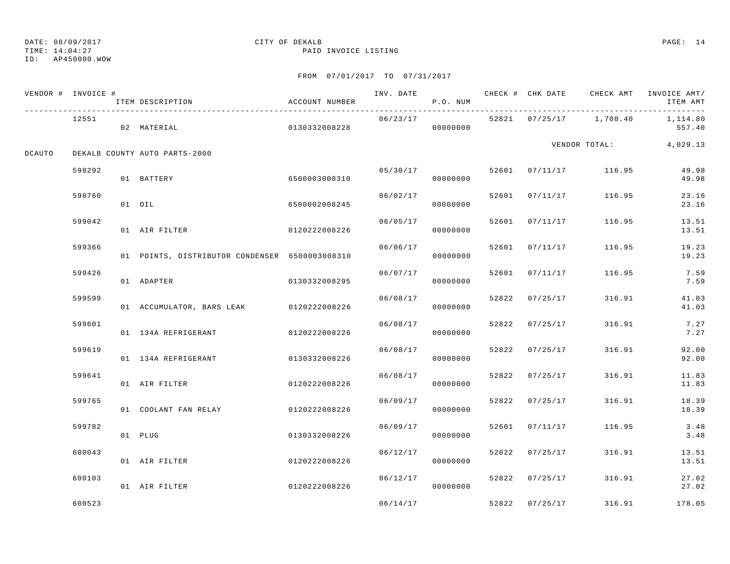TIME: 14:04:27 PAID INVOICE LISTING

ID: AP450000.WOW

|        | VENDOR # INVOICE # | ITEM DESCRIPTION                               | ACCOUNT NUMBER |          | P.O. NUM |       |                | INV. DATE 6 1999 CHECK # CHK DATE 6 CHECK AMT INVOICE AMT | ITEM AMT       |
|--------|--------------------|------------------------------------------------|----------------|----------|----------|-------|----------------|-----------------------------------------------------------|----------------|
|        | 12551              | 02 MATERIAL                                    | 0130332008228  | 06/23/17 | 00000000 |       |                | 52821 07/25/17 1,708.40 1,114.80                          | 557.40         |
| DCAUTO |                    | DEKALB COUNTY AUTO PARTS-2000                  |                |          |          |       |                | VENDOR TOTAL: 4,029.13                                    |                |
|        | 598292             | 01 BATTERY                                     | 6500003008310  | 05/30/17 | 00000000 |       |                | 52601 07/11/17 116.95                                     | 49.98<br>49.98 |
|        | 598760             | 01 OIL                                         | 6500002008245  | 06/02/17 | 00000000 |       | 52601 07/11/17 | 116.95                                                    | 23.16<br>23.16 |
|        | 599042             | 01 AIR FILTER                                  | 0120222008226  | 06/05/17 | 00000000 |       | 52601 07/11/17 | 116.95                                                    | 13.51<br>13.51 |
|        | 599366             | 01 POINTS, DISTRIBUTOR CONDENSER 6500003008310 |                | 06/06/17 | 00000000 | 52601 | 07/11/17       | 116.95                                                    | 19.23<br>19.23 |
|        | 599426             | 01 ADAPTER                                     | 0130332008295  | 06/07/17 | 00000000 | 52601 | 07/11/17       | 116.95                                                    | 7.59<br>7.59   |
|        | 599599             | 01 ACCUMULATOR, BARS LEAK 0120222008226        |                | 06/08/17 | 00000000 |       | 52822 07/25/17 | 316.91                                                    | 41.03<br>41.03 |
|        | 599601             | 01 134A REFRIGERANT                            | 0120222008226  | 06/08/17 | 00000000 | 52822 | 07/25/17       | 316.91                                                    | 7.27<br>7.27   |
|        | 599619             | 01 134A REFRIGERANT                            | 0130332008226  | 06/08/17 | 00000000 | 52822 | 07/25/17       | 316.91                                                    | 92.00<br>92.00 |
|        | 599641             | 01 AIR FILTER                                  | 0120222008226  | 06/08/17 | 00000000 |       | 52822 07/25/17 | 316.91                                                    | 11.83<br>11.83 |
|        | 599765             | 01 COOLANT FAN RELAY                           | 0120222008226  | 06/09/17 | 00000000 | 52822 | 07/25/17       | 316.91                                                    | 18.39<br>18.39 |
|        | 599782             | 01 PLUG                                        | 0130332008226  | 06/09/17 | 00000000 | 52601 | 07/11/17       | 116.95                                                    | 3.48<br>3.48   |
|        | 600043             | 01 AIR FILTER                                  | 0120222008226  | 06/12/17 | 00000000 | 52822 | 07/25/17       | 316.91                                                    | 13.51<br>13.51 |
|        | 600103             | 01 AIR FILTER                                  | 0120222008226  | 06/12/17 | 00000000 |       | 52822 07/25/17 | 316.91                                                    | 27.02<br>27.02 |
|        | 600523             |                                                |                | 06/14/17 |          |       | 52822 07/25/17 | 316.91                                                    | 178.05         |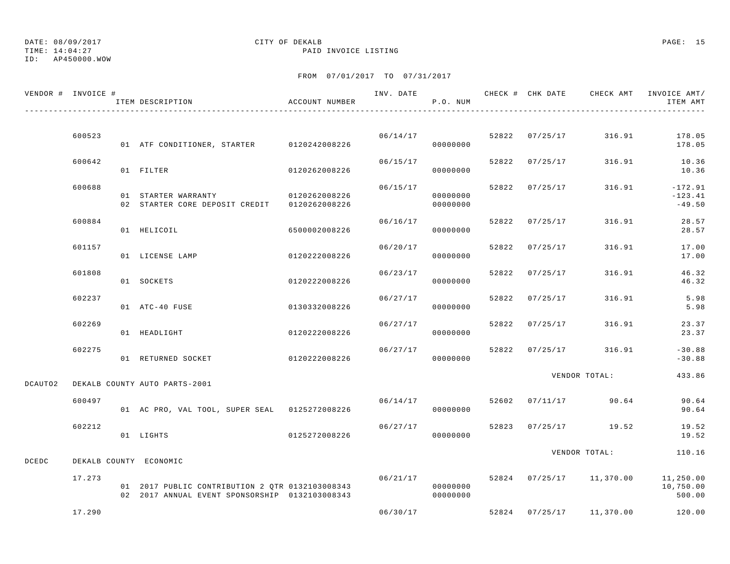# DATE: 08/09/2017 CITY OF DEKALB PAGE: 15

TIME: 14:04:27 PAID INVOICE LISTING

|              | VENDOR # INVOICE # | ACCOUNT NUMBER<br>ITEM DESCRIPTION                                                                   |               |          | P.O. NUM             |                |                          | INV. DATE 6 7 CHECK # CHK DATE CHECK AMT INVOICE AMT/<br>ITEM AMT  |
|--------------|--------------------|------------------------------------------------------------------------------------------------------|---------------|----------|----------------------|----------------|--------------------------|--------------------------------------------------------------------|
|              |                    |                                                                                                      |               |          |                      |                |                          |                                                                    |
|              | 600523             | 01 ATF CONDITIONER, STARTER 0120242008226                                                            |               | 06/14/17 | 00000000             |                | 52822 07/25/17 316.91    | 178.05<br>178.05                                                   |
|              | 600642             | 01 FILTER                                                                                            | 0120262008226 | 06/15/17 | 00000000             |                | 52822 07/25/17 316.91    | 10.36<br>10.36                                                     |
|              | 600688             | 01 STARTER WARRANTY 0120262008226<br>02 STARTER CORE DEPOSIT CREDIT 0120262008226                    |               | 06/15/17 | 00000000<br>00000000 | 52822 07/25/17 |                          | 316.91 - 172.91<br>$-123.41$<br>$-49.50$                           |
|              | 600884             | 01 HELICOIL                                                                                          | 6500002008226 | 06/16/17 | 00000000             |                | 52822 07/25/17 316.91    | 28.57<br>28.57                                                     |
|              | 601157             | 01 LICENSE LAMP                                                                                      | 0120222008226 | 06/20/17 | 00000000             | 52822 07/25/17 | 316.91                   | 17.00<br>17.00                                                     |
|              | 601808             | 01 SOCKETS                                                                                           | 0120222008226 | 06/23/17 | 00000000             | 52822 07/25/17 | 316.91                   | 46.32<br>46.32                                                     |
|              | 602237             | 01 ATC-40 FUSE                                                                                       | 0130332008226 | 06/27/17 | 00000000             | 52822 07/25/17 | 316.91                   | 5.98<br>5.98                                                       |
|              | 602269             | 01 HEADLIGHT                                                                                         | 0120222008226 | 06/27/17 | 00000000             | 52822 07/25/17 | 316.91                   | 23.37<br>23.37                                                     |
|              | 602275             | 01 RETURNED SOCKET                                                                                   | 0120222008226 | 06/27/17 | 00000000             |                | 52822 07/25/17 316.91    | $-30.88$<br>$-30.88$                                               |
| DCAUTO2      |                    | DEKALB COUNTY AUTO PARTS-2001                                                                        |               |          |                      |                | VENDOR TOTAL:            | 433.86                                                             |
|              | 600497             | 01 AC PRO, VAL TOOL, SUPER SEAL 0125272008226                                                        |               | 06/14/17 | 00000000             |                | 52602 07/11/17 90.64     | 90.64<br>90.64                                                     |
|              | 602212             | 01 LIGHTS                                                                                            | 0125272008226 | 06/27/17 | 00000000             |                | 52823 07/25/17 19.52     | 19.52<br>19.52                                                     |
| <b>DCEDC</b> |                    | DEKALB COUNTY ECONOMIC                                                                               |               |          |                      |                | VENDOR TOTAL:            | 110.16                                                             |
|              | 17.273             | 01 2017 PUBLIC CONTRIBUTION 2 QTR 0132103008343<br>02  2017  ANNUAL EVENT SPONSORSHIP  0132103008343 |               |          | 00000000<br>00000000 |                |                          | 06/21/17 52824 07/25/17 11,370.00 11,250.00<br>10,750.00<br>500.00 |
|              | 17.290             |                                                                                                      |               | 06/30/17 |                      |                | 52824 07/25/17 11,370.00 | 120.00                                                             |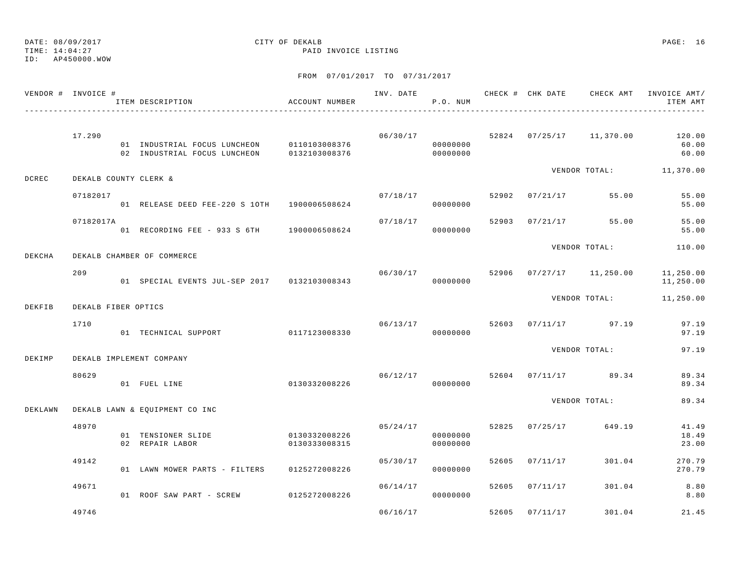TIME: 14:04:27 PAID INVOICE LISTING

ID: AP450000.WOW

|         | VENDOR # INVOICE #    | ITEM DESCRIPTION                             | ACCOUNT NUMBER                 |          | P.O. NUM                         |       |                |                          | ITEM AMT                 |
|---------|-----------------------|----------------------------------------------|--------------------------------|----------|----------------------------------|-------|----------------|--------------------------|--------------------------|
|         | 17.290                | 01 INDUSTRIAL FOCUS LUNCHEON 0110103008376   |                                | 06/30/17 | 00000000                         |       |                | 52824 07/25/17 11,370.00 | 120.00<br>60.00<br>60.00 |
| DCREC   | DEKALB COUNTY CLERK & |                                              |                                |          |                                  |       |                |                          | VENDOR TOTAL: 11,370.00  |
|         | 07182017              | 01 RELEASE DEED FEE-220 S 10TH 1900006508624 |                                | 07/18/17 | 00000000                         | 52902 |                | $07/21/17$ 55.00         | 55.00<br>55.00           |
|         | 07182017A             | 01 RECORDING FEE - 933 S 6TH 1900006508624   |                                |          | 07/18/17<br>00000000             |       |                | 52903 07/21/17 55.00     | 55.00<br>55.00           |
| DEKCHA  |                       | DEKALB CHAMBER OF COMMERCE                   |                                |          |                                  |       |                | VENDOR TOTAL:            | 110.00                   |
|         | 209                   | 01 SPECIAL EVENTS JUL-SEP 2017 0132103008343 |                                | 06/30/17 | 00000000                         | 52906 |                | $07/27/17$ 11,250.00     | 11,250.00<br>11,250.00   |
| DEKFIB  | DEKALB FIBER OPTICS   |                                              |                                |          |                                  |       |                | VENDOR TOTAL:            | 11,250.00                |
|         | 1710                  | 01 TECHNICAL SUPPORT 0117123008330           |                                |          | 06/13/17<br>00000000             |       |                | 52603 07/11/17 97.19     | 97.19<br>97.19           |
| DEKIMP  |                       | DEKALB IMPLEMENT COMPANY                     |                                |          |                                  |       |                | VENDOR TOTAL:            | 97.19                    |
|         | 80629                 | 01 FUEL LINE                                 | 0130332008226                  |          | 06/12/17<br>00000000             | 52604 |                | $07/11/17$ 89.34         | 89.34<br>89.34           |
| DEKLAWN |                       | DEKALB LAWN & EQUIPMENT CO INC               |                                |          |                                  |       |                | VENDOR TOTAL:            | 89.34                    |
|         | 48970                 | 01 TENSIONER SLIDE<br>02 REPAIR LABOR        | 0130332008226<br>0130333008315 |          | 05/24/17<br>00000000<br>00000000 |       |                | 52825 07/25/17 649.19    | 41.49<br>18.49<br>23.00  |
|         | 49142                 | 01 LAWN MOWER PARTS - FILTERS 0125272008226  |                                |          | 05/30/17<br>00000000             |       | 52605 07/11/17 | 301.04                   | 270.79<br>270.79         |
|         | 49671                 | 01 ROOF SAW PART - SCREW 0125272008226       |                                | 06/14/17 | 00000000                         | 52605 | 07/11/17       | 301.04                   | 8.80<br>8.80             |
|         | 49746                 |                                              |                                | 06/16/17 |                                  | 52605 | 07/11/17       | 301.04                   | 21.45                    |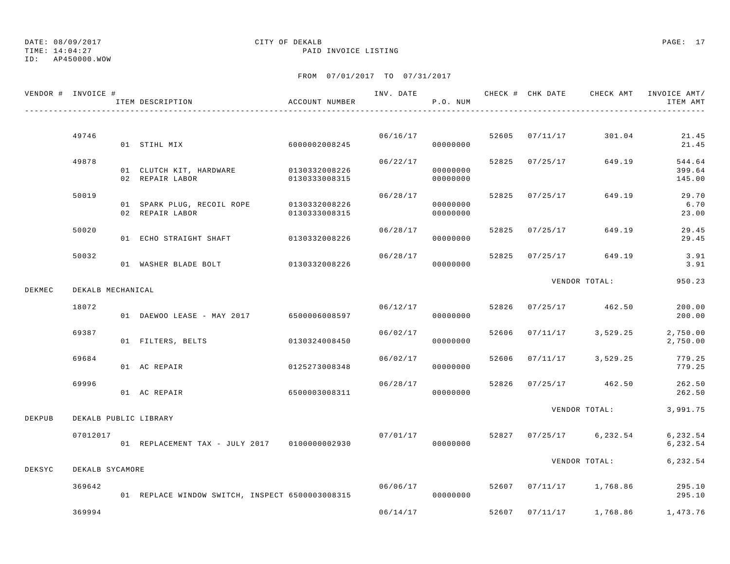TIME: 14:04:27 PAID INVOICE LISTING

ID: AP450000.WOW

|        | VENDOR # INVOICE # | ITEM DESCRIPTION                                            | ACCOUNT NUMBER |          | P.O. NUM             |                |                                    | INV. DATE 6 7 CHECK # CHK DATE CHECK AMT INVOICE AMT/<br>ITEM AMT |
|--------|--------------------|-------------------------------------------------------------|----------------|----------|----------------------|----------------|------------------------------------|-------------------------------------------------------------------|
|        |                    |                                                             |                |          |                      |                |                                    |                                                                   |
|        | 49746              | 01 STIHL MIX                                                | 6000002008245  |          | 06/16/17<br>00000000 | 52605 07/11/17 | 301.04                             | 21.45<br>21.45                                                    |
|        | 49878              | 01 CLUTCH KIT, HARDWARE 0130332008226<br>02 REPAIR LABOR    | 0130333008315  | 06/22/17 | 00000000<br>00000000 | 52825 07/25/17 | 649.19                             | 544.64<br>399.64<br>145.00                                        |
|        | 50019              | 01 SPARK PLUG, RECOIL ROPE 0130332008226<br>02 REPAIR LABOR | 0130333008315  | 06/28/17 | 00000000<br>00000000 | 52825 07/25/17 | 649.19                             | 29.70<br>6.70<br>23.00                                            |
|        | 50020              | 01 ECHO STRAIGHT SHAFT 0130332008226                        |                | 06/28/17 | 00000000             | 52825 07/25/17 | 649.19                             | 29.45<br>29.45                                                    |
|        | 50032              | 01 WASHER BLADE BOLT 0130332008226                          |                | 06/28/17 | 00000000             | 52825 07/25/17 | 649.19                             | 3.91<br>3.91                                                      |
| DEKMEC | DEKALB MECHANICAL  |                                                             |                |          |                      |                | VENDOR TOTAL:                      | 950.23                                                            |
|        | 18072              | 01 DAEWOO LEASE - MAY 2017 6500006008597                    |                |          | 06/12/17<br>00000000 |                | 52826 07/25/17 462.50              | 200.00<br>200.00                                                  |
|        | 69387              | 01 FILTERS, BELTS                                           | 0130324008450  | 06/02/17 | 00000000             |                | 52606 07/11/17 3,529.25            | 2,750.00<br>2,750.00                                              |
|        | 69684              | 01 AC REPAIR                                                | 0125273008348  | 06/02/17 | 00000000             |                | 52606 07/11/17 3,529.25            | 779.25<br>779.25                                                  |
|        | 69996              | 01 AC REPAIR                                                | 6500003008311  | 06/28/17 | 00000000             |                | 52826 07/25/17 462.50              | 262.50<br>262.50                                                  |
| DEKPUB |                    | DEKALB PUBLIC LIBRARY                                       |                |          |                      |                |                                    | VENDOR TOTAL: 3,991.75                                            |
|        | 07012017           | 01 REPLACEMENT TAX - JULY 2017 0100000002930                |                |          | 00000000             |                | $07/01/17$ 52827 07/25/17 6,232.54 | 6,232.54<br>6,232.54                                              |
| DEKSYC | DEKALB SYCAMORE    |                                                             |                |          |                      |                |                                    | VENDOR TOTAL: 6,232.54                                            |
|        | 369642             | 01 REPLACE WINDOW SWITCH, INSPECT 6500003008315             |                | 06/06/17 | 00000000             |                | 52607 07/11/17 1,768.86            | 295.10<br>295.10                                                  |
|        | 369994             |                                                             |                | 06/14/17 |                      |                | 52607 07/11/17 1,768.86            | 1,473.76                                                          |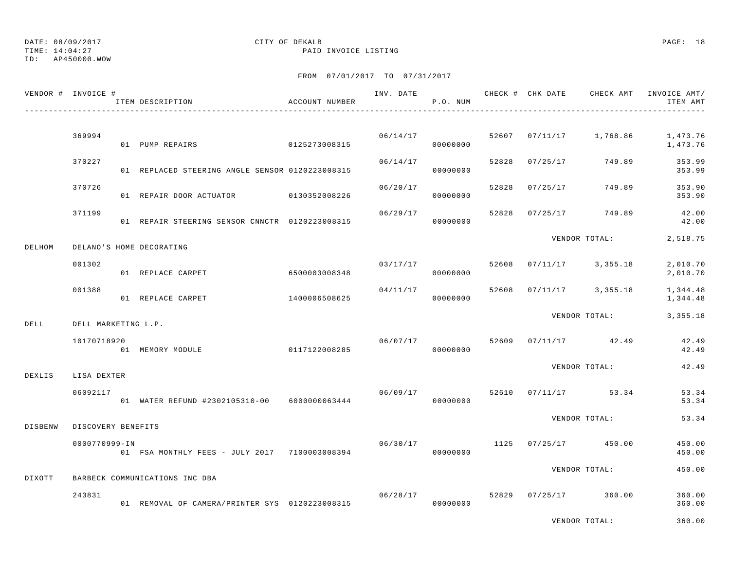TIME: 14:04:27 PAID INVOICE LISTING

ID: AP450000.WOW

|         | VENDOR # INVOICE #  | ITEM DESCRIPTION                                | ACCOUNT NUMBER |          | P.O. NUM             |       | INV. DATE 6 CHECK # CHK DATE CHECK AMT INVOICE AMT/ | ITEM AMT             |
|---------|---------------------|-------------------------------------------------|----------------|----------|----------------------|-------|-----------------------------------------------------|----------------------|
|         |                     |                                                 |                |          |                      |       |                                                     |                      |
|         | 369994              | 01 PUMP REPAIRS                                 | 0125273008315  |          | 06/14/17<br>00000000 |       | 52607 07/11/17 1,768.86                             | 1,473.76<br>1,473.76 |
|         | 370227              | 01 REPLACED STEERING ANGLE SENSOR 0120223008315 |                | 06/14/17 | 00000000             | 52828 | 07/25/17 749.89                                     | 353.99<br>353.99     |
|         | 370726              | 01 REPAIR DOOR ACTUATOR 0130352008226           |                | 06/20/17 | 00000000             | 52828 | 07/25/17 749.89                                     | 353.90<br>353.90     |
|         | 371199              | 01 REPAIR STEERING SENSOR CNNCTR 0120223008315  |                | 06/29/17 | 00000000             | 52828 | 07/25/17 749.89                                     | 42.00<br>42.00       |
| DELHOM  |                     | DELANO'S HOME DECORATING                        |                |          |                      |       | VENDOR TOTAL:                                       | 2,518.75             |
|         | 001302              | 01 REPLACE CARPET                               | 6500003008348  |          | 03/17/17<br>00000000 | 52608 | $07/11/17$ 3,355.18                                 | 2,010.70<br>2,010.70 |
|         | 001388              | 01 REPLACE CARPET                               | 1400006508625  | 04/11/17 | 00000000             |       | 52608 07/11/17 3,355.18                             | 1,344.48<br>1,344.48 |
| DELL    | DELL MARKETING L.P. |                                                 |                |          |                      |       | VENDOR TOTAL:                                       | 3, 355. 18           |
|         | 10170718920         | 01 MEMORY MODULE                                | 0117122008285  |          | 06/07/17<br>00000000 | 52609 | $07/11/17$ 42.49                                    | 42.49<br>42.49       |
| DEXLIS  | LISA DEXTER         |                                                 |                |          |                      |       | VENDOR TOTAL:                                       | 42.49                |
|         | 06092117            | 01 WATER REFUND #2302105310-00 6000000063444    |                | 06/09/17 | 00000000             |       | 52610 07/11/17 53.34                                | 53.34<br>53.34       |
| DISBENW | DISCOVERY BENEFITS  |                                                 |                |          |                      |       | VENDOR TOTAL:                                       | 53.34                |
|         | 0000770999-IN       | 01 FSA MONTHLY FEES - JULY 2017 7100003008394   |                | 06/30/17 | 00000000             | 1125  | $07/25/17$ 450.00                                   | 450.00<br>450.00     |
| DIXOTT  |                     | BARBECK COMMUNICATIONS INC DBA                  |                |          |                      |       | VENDOR TOTAL:                                       | 450.00               |
|         | 243831              |                                                 |                | 06/28/17 |                      |       | 52829 07/25/17 360.00                               | 360.00               |
|         |                     | 01 REMOVAL OF CAMERA/PRINTER SYS 0120223008315  |                |          | 00000000             |       |                                                     | 360.00               |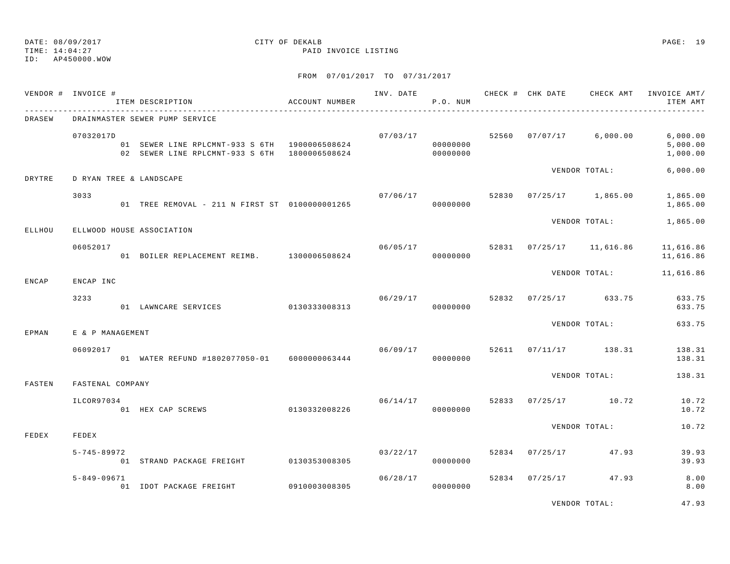TIME: 14:04:27 PAID INVOICE LISTING

ID: AP450000.WOW

|               | VENDOR # INVOICE # | ITEM DESCRIPTION                                                                               | ACCOUNT NUMBER |          | P.O. NUM             |       |                | INV. DATE 6 CHECK # CHK DATE 6 CHECK AMT | INVOICE AMT/<br>ITEM AMT         |
|---------------|--------------------|------------------------------------------------------------------------------------------------|----------------|----------|----------------------|-------|----------------|------------------------------------------|----------------------------------|
| <b>DRASEW</b> |                    | DRAINMASTER SEWER PUMP SERVICE                                                                 |                |          |                      |       |                |                                          |                                  |
|               | 07032017D          | 01 SEWER LINE RPLCMNT-933 S 6TH 1900006508624<br>02 SEWER LINE RPLCMNT-933 S 6TH 1800006508624 |                |          | 00000000<br>00000000 |       |                | $07/03/17$ 52560 07/07/17 6,000.00       | 6,000.00<br>5,000.00<br>1,000.00 |
| DRYTRE        |                    | D RYAN TREE & LANDSCAPE                                                                        |                |          |                      |       |                | VENDOR TOTAL:                            | 6,000.00                         |
|               | 3033               | 01 TREE REMOVAL - 211 N FIRST ST 0100000001265                                                 |                |          | 07/06/17<br>00000000 |       |                | 52830 07/25/17 1,865.00                  | 1,865.00<br>1,865.00             |
| ELLHOU        |                    | ELLWOOD HOUSE ASSOCIATION                                                                      |                |          |                      |       |                | VENDOR TOTAL:                            | 1,865.00                         |
|               | 06052017           | 01 BOILER REPLACEMENT REIMB. 1300006508624                                                     |                |          | 06/05/17<br>00000000 |       |                | 52831 07/25/17 11,616.86                 | 11,616.86<br>11,616.86           |
| <b>ENCAP</b>  | ENCAP INC          |                                                                                                |                |          |                      |       |                | VENDOR TOTAL:                            | 11,616.86                        |
|               | 3233               | 01 LAWNCARE SERVICES 0130333008313                                                             |                | 06/29/17 | 00000000             |       |                | 52832 07/25/17 633.75                    | 633.75<br>633.75                 |
| EPMAN         | E & P MANAGEMENT   |                                                                                                |                |          |                      |       |                | VENDOR TOTAL:                            | 633.75                           |
|               | 06092017           | 01 WATER REFUND #1802077050-01 6000000063444                                                   |                | 06/09/17 | 00000000             | 52611 |                | $07/11/17$ 138.31                        | 138.31<br>138.31                 |
| FASTEN        | FASTENAL COMPANY   |                                                                                                |                |          |                      |       |                | VENDOR TOTAL:                            | 138.31                           |
|               | ILCOR97034         | 01 HEX CAP SCREWS                                                                              | 0130332008226  | 06/14/17 | 00000000             | 52833 |                | $07/25/17$ 10.72                         | 10.72<br>10.72                   |
| FEDEX         | FEDEX              |                                                                                                |                |          |                      |       |                | VENDOR TOTAL:                            | 10.72                            |
|               | $5 - 745 - 89972$  | 01 STRAND PACKAGE FREIGHT 0130353008305                                                        |                | 03/22/17 | 00000000             |       | 52834 07/25/17 | 47.93                                    | 39.93<br>39.93                   |
|               | $5 - 849 - 09671$  | 01 IDOT PACKAGE FREIGHT                                                                        | 0910003008305  | 06/28/17 | 00000000             | 52834 | 07/25/17       | 47.93                                    | 8.00<br>8.00                     |
|               |                    |                                                                                                |                |          |                      |       |                | VENDOR TOTAL:                            | 47.93                            |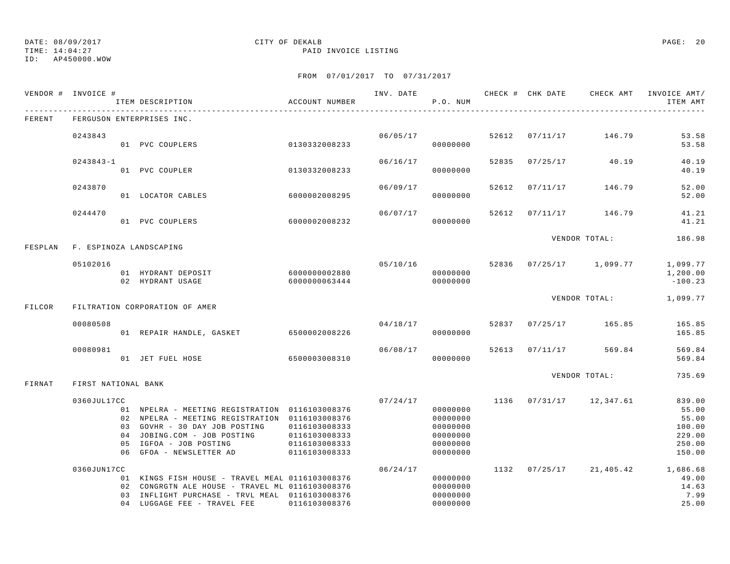TIME: 14:04:27 PAID INVOICE LISTING

ID: AP450000.WOW

|         | VENDOR # INVOICE #  |                      | ITEM DESCRIPTION                                                                                                                                                                                          | ACCOUNT NUMBER                                                   | INV. DATE | P.O. NUM                                                             |       | CHECK # CHK DATE | CHECK AMT           | INVOICE AMT/<br>ITEM AMT                                         |
|---------|---------------------|----------------------|-----------------------------------------------------------------------------------------------------------------------------------------------------------------------------------------------------------|------------------------------------------------------------------|-----------|----------------------------------------------------------------------|-------|------------------|---------------------|------------------------------------------------------------------|
| FERENT  |                     |                      | FERGUSON ENTERPRISES INC.                                                                                                                                                                                 |                                                                  |           |                                                                      |       |                  |                     |                                                                  |
|         | 0243843             |                      | 01 PVC COUPLERS                                                                                                                                                                                           | 0130332008233                                                    | 06/05/17  | 00000000                                                             | 52612 | 07/11/17         | 146.79              | 53.58<br>53.58                                                   |
|         | $0243843 - 1$       |                      | 01 PVC COUPLER                                                                                                                                                                                            | 0130332008233                                                    | 06/16/17  | 00000000                                                             | 52835 | 07/25/17         | 40.19               | 40.19<br>40.19                                                   |
|         | 0243870             |                      | 01 LOCATOR CABLES                                                                                                                                                                                         | 6000002008295                                                    | 06/09/17  | 00000000                                                             | 52612 | 07/11/17         | 146.79              | 52.00<br>52.00                                                   |
|         | 0244470             |                      | 01 PVC COUPLERS                                                                                                                                                                                           | 6000002008232                                                    | 06/07/17  | 00000000                                                             | 52612 | 07/11/17         | 146.79              | 41.21<br>41.21                                                   |
| FESPLAN |                     |                      | F. ESPINOZA LANDSCAPING                                                                                                                                                                                   |                                                                  |           |                                                                      |       |                  | VENDOR TOTAL:       | 186.98                                                           |
|         | 05102016            |                      | 01 HYDRANT DEPOSIT<br>02 HYDRANT USAGE                                                                                                                                                                    | 6000000002880<br>6000000063444                                   | 05/10/16  | 00000000<br>00000000                                                 | 52836 |                  | $07/25/17$ 1,099.77 | 1,099.77<br>1,200.00<br>$-100.23$                                |
| FILCOR  |                     |                      | FILTRATION CORPORATION OF AMER                                                                                                                                                                            |                                                                  |           |                                                                      |       |                  | VENDOR TOTAL:       | 1,099.77                                                         |
|         | 00080508            |                      | 01 REPAIR HANDLE, GASKET                                                                                                                                                                                  | 6500002008226                                                    | 04/18/17  | 00000000                                                             | 52837 | 07/25/17         | 165.85              | 165.85<br>165.85                                                 |
|         | 00080981            |                      | 01 JET FUEL HOSE                                                                                                                                                                                          | 6500003008310                                                    | 06/08/17  | 00000000                                                             | 52613 | 07/11/17         | 569.84              | 569.84<br>569.84                                                 |
| FIRNAT  | FIRST NATIONAL BANK |                      |                                                                                                                                                                                                           |                                                                  |           |                                                                      |       |                  | VENDOR TOTAL:       | 735.69                                                           |
|         | 0360JUL17CC         | 03<br>04<br>05<br>06 | 01 NPELRA - MEETING REGISTRATION 0116103008376<br>02 NPELRA - MEETING REGISTRATION 0116103008376<br>GOVHR - 30 DAY JOB POSTING<br>JOBING.COM - JOB POSTING<br>IGFOA - JOB POSTING<br>GFOA - NEWSLETTER AD | 0116103008333<br>0116103008333<br>0116103008333<br>0116103008333 | 07/24/17  | 00000000<br>00000000<br>00000000<br>00000000<br>00000000<br>00000000 | 1136  | 07/31/17         | 12,347.61           | 839.00<br>55.00<br>55.00<br>100.00<br>229.00<br>250.00<br>150.00 |
|         | 0360JUN17CC         | 02<br>0.3            | 01 KINGS FISH HOUSE - TRAVEL MEAL 0116103008376<br>CONGRGTN ALE HOUSE - TRAVEL ML 0116103008376<br>INFLIGHT PURCHASE - TRVL MEAL 0116103008376<br>04 LUGGAGE FEE - TRAVEL FEE                             | 0116103008376                                                    | 06/24/17  | 00000000<br>00000000<br>00000000<br>00000000                         | 1132  | 07/25/17         | 21,405.42           | 1,686.68<br>49.00<br>14.63<br>7.99<br>25.00                      |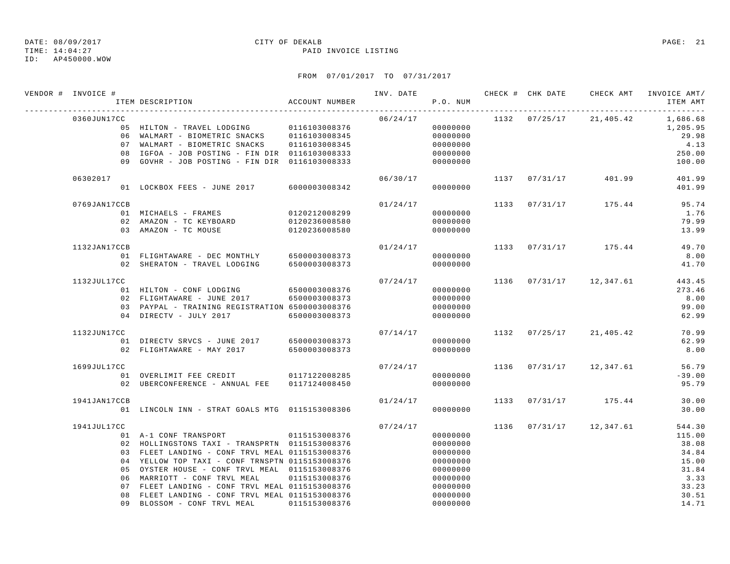### TIME: 14:04:27 PAID INVOICE LISTING

ID: AP450000.WOW

| VENDOR # INVOICE # | ACCOUNT NUMBER<br>ITEM DESCRIPTION                                                                                                                                                                                                                                                                                                                                                  |                                                 |          | P.O. NUM                                                                                     |      |                         | INV. DATE 6 1999 CHECK # CHK DATE CHECK AMT INVOICE AMT/<br>ITEM AMT           |
|--------------------|-------------------------------------------------------------------------------------------------------------------------------------------------------------------------------------------------------------------------------------------------------------------------------------------------------------------------------------------------------------------------------------|-------------------------------------------------|----------|----------------------------------------------------------------------------------------------|------|-------------------------|--------------------------------------------------------------------------------|
| 0360JUN17CC        | 05 HILTON - TRAVEL LODGING 0116103008376<br>06 WALMART - BIOMETRIC SNACKS 0116103008345<br>07 WALMART - BIOMETRIC SNACKS 0116103008345<br>08 IGFOA - JOB POSTING - FIN DIR 0116103008333<br>09 GOVHR - JOB POSTING - FIN DIR 0116103008333                                                                                                                                          |                                                 | 06/24/17 | 00000000<br>00000000<br>00000000<br>00000000<br>00000000                                     |      | 1132 07/25/17 21,405.42 | 1,686.68<br>1,205.95<br>29.98<br>4.13<br>250.00<br>100.00                      |
| 06302017           | 01 LOCKBOX FEES - JUNE 2017                                                                                                                                                                                                                                                                                                                                                         | 6000003008342                                   | 06/30/17 | 00000000                                                                                     |      | 1137 07/31/17 401.99    | 401.99<br>401.99                                                               |
| 0769JAN17CCB       | 01 MICHAELS - FRAMES<br>02 AMAZON - TC KEYBOARD<br>03 AMAZON - TC MOUSE                                                                                                                                                                                                                                                                                                             | 0120212008299<br>0120236008580<br>0120236008580 | 01/24/17 | 00000000<br>00000000<br>00000000                                                             |      | 1133 07/31/17 175.44    | 95.74<br>1.76<br>79.99<br>13.99                                                |
| 1132JAN17CCB       | 01 FLIGHTAWARE - DEC MONTHLY 6500003008373<br>02 SHERATON - TRAVEL LODGING 6500003008373                                                                                                                                                                                                                                                                                            |                                                 | 01/24/17 | 00000000<br>00000000                                                                         |      | 1133 07/31/17 175.44    | 49.70<br>8.00<br>41.70                                                         |
| 1132JUL17CC        | 01 HILTON - CONF LODGING<br>02 FLIGHTAWARE - JUNE 2017 6500003008373<br>03 PAYPAL - TRAINING REGISTRATION 6500003008376<br>04 DIRECTV - JULY 2017                                                                                                                                                                                                                                   | 6500003008376<br>6500003008373                  | 07/24/17 | 00000000<br>00000000<br>00000000<br>00000000                                                 |      | 1136 07/31/17 12,347.61 | 443.45<br>273.46<br>8.00<br>99.00<br>62.99                                     |
| 1132JUN17CC        | 01 DIRECTV SRVCS - JUNE 2017 6500003008373<br>02 FLIGHTAWARE - MAY 2017 6500003008373                                                                                                                                                                                                                                                                                               |                                                 | 07/14/17 | 00000000<br>00000000                                                                         |      | 1132 07/25/17 21,405.42 | 70.99<br>62.99<br>8.00                                                         |
| 1699JUL17CC        | 01 OVERLIMIT FEE CREDIT 0117122008285<br>02 UBERCONFERENCE - ANNUAL FEE 0117124008450                                                                                                                                                                                                                                                                                               |                                                 | 07/24/17 | 00000000<br>00000000                                                                         |      | 1136 07/31/17 12,347.61 | 56.79<br>$-39.00$<br>95.79                                                     |
| 1941JAN17CCB       | 01 LINCOLN INN - STRAT GOALS MTG 0115153008306                                                                                                                                                                                                                                                                                                                                      |                                                 | 01/24/17 | 00000000                                                                                     |      | 1133 07/31/17 175.44    | 30.00<br>30.00                                                                 |
| 1941JUL17CC        | 01 A-1 CONF TRANSPORT 0115153008376<br>02 HOLLINGSTONS TAXI - TRANSPRTN 0115153008376<br>03 FLEET LANDING - CONF TRVL MEAL 0115153008376<br>04 YELLOW TOP TAXI - CONF TRNSPTN 0115153008376<br>05 OYSTER HOUSE - CONF TRVL MEAL 0115153008376<br>06 MARRIOTT - CONF TRVL MEAL<br>07 FLEET LANDING - CONF TRVL MEAL 0115153008376<br>08 FLEET LANDING - CONF TRVL MEAL 0115153008376 | 0115153008376                                   | 07/24/17 | 00000000<br>00000000<br>00000000<br>00000000<br>00000000<br>00000000<br>00000000<br>00000000 | 1136 | $07/31/17$ 12,347.61    | 544.30<br>115.00<br>38.08<br>34.84<br>15.00<br>31.84<br>3.33<br>33.23<br>30.51 |
|                    | 09 BLOSSOM - CONF TRVL MEAL                                                                                                                                                                                                                                                                                                                                                         | 0115153008376                                   |          | 00000000                                                                                     |      |                         | 14.71                                                                          |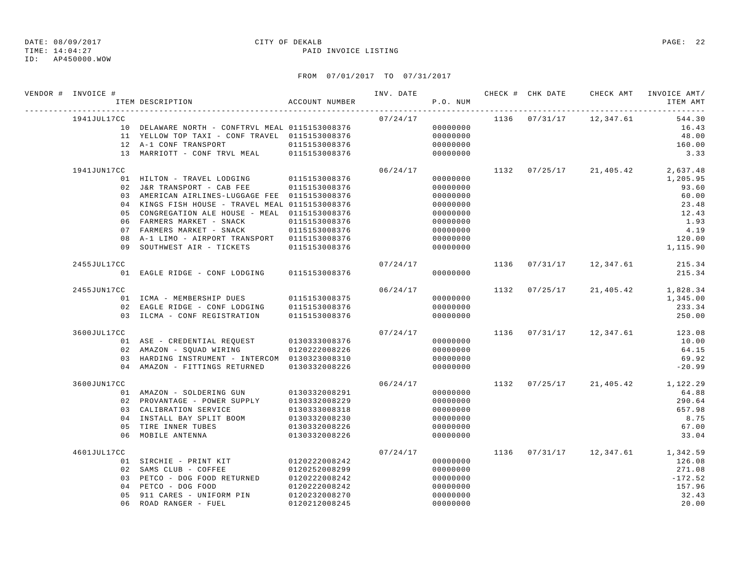TIME: 14:04:27 PAID INVOICE LISTING

ID: AP450000.WOW

| VENDOR # INVOICE #                   | ITEM DESCRIPTION                                                                                                                                                                                                                                                                                                                                | ACCOUNT NUMBER                                                                                     | INV. DATE | P.O. NUM                                                                                                 |      |               | CHECK # CHK DATE CHECK AMT       | INVOICE AMT/<br>ITEM AMT                                                                       |
|--------------------------------------|-------------------------------------------------------------------------------------------------------------------------------------------------------------------------------------------------------------------------------------------------------------------------------------------------------------------------------------------------|----------------------------------------------------------------------------------------------------|-----------|----------------------------------------------------------------------------------------------------------|------|---------------|----------------------------------|------------------------------------------------------------------------------------------------|
| 1941JUL17CC                          | 10 DELAWARE NORTH - CONFTRVL MEAL 0115153008376<br>11 YELLOW TOP TAXI - CONF TRAVEL 0115153008376<br>12 A-1 CONF TRANSPORT<br>13 MARRIOTT - CONF TRVL MEAL                                                                                                                                                                                      | 0115153008376<br>0115153008376                                                                     | 07/24/17  | 00000000<br>00000000<br>00000000<br>00000000                                                             |      | 1136 07/31/17 | 12,347.61                        | 544.30<br>16.43<br>48.00<br>160.00<br>3.33                                                     |
| 1941JUN17CC<br>05<br>08<br>09        | 01 HILTON - TRAVEL LODGING<br>02 J&R TRANSPORT - CAB FEE<br>03 AMERICAN AIRLINES-LUGGAGE FEE 0115153008376<br>04 KINGS FISH HOUSE - TRAVEL MEAL 0115153008376<br>CONGREGATION ALE HOUSE - MEAL 0115153008376<br>06 FARMERS MARKET - SNACK<br>07 FARMERS MARKET - SNACK<br>A-1 LIMO - AIRPORT TRANSPORT 0115153008376<br>SOUTHWEST AIR - TICKETS | 0115153008376<br>0115153008376<br>0115153008376<br>0115153008376<br>0115153008376                  | 06/24/17  | 00000000<br>00000000<br>00000000<br>00000000<br>00000000<br>00000000<br>00000000<br>00000000<br>00000000 |      | 1132 07/25/17 | 21,405.42                        | 2,637.48<br>1,205.95<br>93.60<br>60.00<br>23.48<br>12.43<br>1.93<br>4.19<br>120.00<br>1,115.90 |
| 2455JUL17CC                          | 01 EAGLE RIDGE - CONF LODGING                                                                                                                                                                                                                                                                                                                   | 0115153008376                                                                                      | 07/24/17  | 00000000                                                                                                 | 1136 | 07/31/17      | 12,347.61                        | 215.34<br>215.34                                                                               |
| 2455JUN17CC                          | 01 ICMA - MEMBERSHIP DUES<br>02 EAGLE RIDGE - CONF LODGING<br>03 ILCMA - CONF REGISTRATION                                                                                                                                                                                                                                                      | 0115153008375<br>0115153008376<br>0115153008376                                                    | 06/24/17  | 00000000<br>00000000<br>00000000                                                                         | 1132 | 07/25/17      | 21,405.42                        | 1,828.34<br>1,345.00<br>233.34<br>250.00                                                       |
| 3600JUL17CC                          | 01 ASE - CREDENTIAL REQUEST<br>02 AMAZON - SQUAD WIRING<br>03 HARDING INSTRUMENT - INTERCOM 0130323008310<br>04 AMAZON - FITTINGS RETURNED                                                                                                                                                                                                      | 0130333008376<br>0120222008226<br>0130332008226                                                    | 07/24/17  | 00000000<br>00000000<br>00000000<br>00000000                                                             |      |               | 1136 07/31/17 12,347.61          | 123.08<br>10.00<br>64.15<br>69.92<br>$-20.99$                                                  |
| 3600JUN17CC<br>05                    | 01 AMAZON - SOLDERING GUN<br>02 PROVANTAGE - POWER SUPPLY<br>03 CALIBRATION SERVICE<br>04 INSTALL BAY SPLIT BOOM<br>TIRE INNER TUBES<br>06 MOBILE ANTENNA                                                                                                                                                                                       | 0130332008291<br>0130332008229<br>0130333008318<br>0130332008230<br>0130332008226<br>0130332008226 | 06/24/17  | 00000000<br>00000000<br>00000000<br>00000000<br>00000000<br>00000000                                     | 1132 |               | $07/25/17$ 21,405.42             | 1,122.29<br>64.88<br>290.64<br>657.98<br>8.75<br>67.00<br>33.04                                |
| 4601JUL17CC<br>0 <sub>4</sub><br>0.5 | 01 SIRCHIE - PRINT KIT<br>02 SAMS CLUB - COFFEE<br>03 PETCO - DOG FOOD RETURNED<br>PETCO - DOG FOOD<br>911 CARES - UNIFORM PIN<br>06 ROAD RANGER - FUEL                                                                                                                                                                                         | 0120222008242<br>0120252008299<br>0120222008242<br>0120222008242<br>0120232008270<br>0120212008245 | 07/24/17  | 00000000<br>00000000<br>00000000<br>00000000<br>00000000<br>$0.00000000$                                 |      |               | 1136 07/31/17 12,347.61 1,342.59 | 126.08<br>271.08<br>$-172.52$<br>157.96<br>32.43<br>20.00                                      |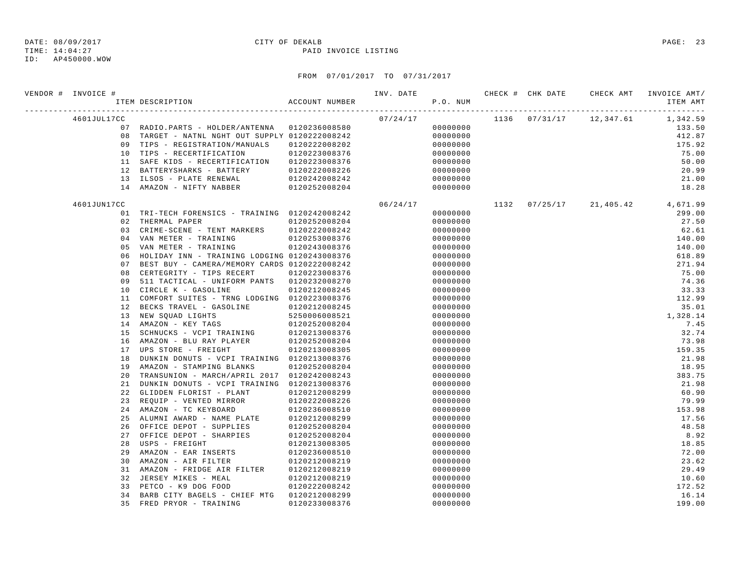TIME: 14:04:27 PAID INVOICE LISTING

ID: AP450000.WOW

| VENDOR # INVOICE # | ITEM DESCRIPTION                                | ACCOUNT NUMBER | INV. DATE | P.O. NUM |  | CHECK # CHK DATE CHECK AMT INVOICE AMT/<br>ITEM AMT |
|--------------------|-------------------------------------------------|----------------|-----------|----------|--|-----------------------------------------------------|
| 4601JUL17CC        |                                                 |                | 07/24/17  |          |  | $1136$ $07/31/17$ $12,347.61$ $1,342.59$            |
|                    | 07 RADIO.PARTS - HOLDER/ANTENNA 0120236008580   |                |           | 00000000 |  | 133.50                                              |
|                    | 08 TARGET - NATNL NGHT OUT SUPPLY 0120222008242 |                |           | 00000000 |  | 412.87                                              |
|                    | 09 TIPS - REGISTRATION/MANUALS                  | 0120222008202  |           | 00000000 |  | 175.92                                              |
|                    | 10 TIPS - RECERTIFICATION                       | 0120223008376  |           | 00000000 |  | 75.00                                               |
|                    | 11 SAFE KIDS - RECERTIFICATION 0120223008376    |                |           | 00000000 |  | 50.00                                               |
|                    | 12 BATTERYSHARKS - BATTERY                      | 0120222008226  |           | 00000000 |  | 20.99                                               |
|                    | 13 ILSOS - PLATE RENEWAL                        | 0120242008242  |           | 00000000 |  | 21.00                                               |
|                    | 14 AMAZON - NIFTY NABBER                        | 0120252008204  |           | 00000000 |  | 18.28                                               |
| 4601JUN17CC        |                                                 |                | 06/24/17  |          |  | 1132 07/25/17 21,405.42 4,671.99                    |
|                    | 01 TRI-TECH FORENSICS - TRAINING 0120242008242  |                |           | 00000000 |  | 299.00                                              |
| 02                 | THERMAL PAPER                                   | 0120252008204  |           | 00000000 |  | 27.50                                               |
|                    | 03 CRIME-SCENE - TENT MARKERS                   | 0120222008242  |           | 00000000 |  | 62.61                                               |
|                    | 04 VAN METER - TRAINING                         | 0120253008376  |           | 00000000 |  | 140.00                                              |
| 05                 | VAN METER - TRAINING                            | 0120243008376  |           | 00000000 |  | 140.00                                              |
| 06                 | HOLIDAY INN - TRAINING LODGING 0120243008376    |                |           | 00000000 |  | 618.89                                              |
| 07                 | BEST BUY - CAMERA/MEMORY CARDS 0120222008242    |                |           | 00000000 |  | 271.94                                              |
| 08                 | CERTEGRITY - TIPS RECERT                        | 0120223008376  |           | 00000000 |  | 75.00                                               |
| 09                 | 511 TACTICAL - UNIFORM PANTS 0120232008270      |                |           | 00000000 |  | 74.36                                               |
| 10                 | CIRCLE K - GASOLINE                             | 0120212008245  |           | 00000000 |  | 33.33                                               |
| 11                 | COMFORT SUITES - TRNG LODGING 0120223008376     |                |           | 00000000 |  | 112.99                                              |
| 12                 | BECKS TRAVEL - GASOLINE                         | 0120212008245  |           | 00000000 |  | 35.01                                               |
|                    | 13 NEW SQUAD LIGHTS                             |                |           | 00000000 |  | 1,328.14                                            |
| 14                 | AMAZON - KEY TAGS                               |                |           | 00000000 |  | 7.45                                                |
| 15                 | SCHNUCKS - VCPI TRAINING 0120213008376          |                |           | 00000000 |  | 32.74                                               |
|                    | 16 AMAZON - BLU RAY PLAYER                      | 0120252008204  |           | 00000000 |  | 73.98                                               |
|                    | 17 UPS STORE - FREIGHT                          | 0120213008305  |           | 00000000 |  | 159.35                                              |
| 18                 | DUNKIN DONUTS - VCPI TRAINING 0120213008376     |                |           | 00000000 |  | 21.98                                               |
| 19                 | AMAZON - STAMPING BLANKS                        | 0120252008204  |           | 00000000 |  | 18.95                                               |
| 20                 | TRANSUNION - MARCH/APRIL 2017 0120242008243     |                |           | 00000000 |  | 383.75                                              |
| 21                 | DUNKIN DONUTS - VCPI TRAINING 0120213008376     |                |           | 00000000 |  | 21.98                                               |
| 22                 | GLIDDEN FLORIST - PLANT                         | 0120212008299  |           | 00000000 |  | 60.90                                               |
|                    | 23 REQUIP - VENTED MIRROR                       | 0120222008226  |           | 00000000 |  | 79.99                                               |
|                    | 24 AMAZON - TC KEYBOARD                         | 0120236008510  |           | 00000000 |  | 153.98                                              |
| 25                 | ALUMNI AWARD - NAME PLATE                       | 0120212008299  |           | 00000000 |  | 17.56                                               |
| 26                 | OFFICE DEPOT - SUPPLIES                         | 0120252008204  |           | 00000000 |  | 48.58                                               |
| 27                 | OFFICE DEPOT - SHARPIES                         | 0120252008204  |           | 00000000 |  | 8.92                                                |
| 28                 | USPS - FREIGHT                                  | 0120213008305  |           | 00000000 |  | 18.85                                               |
| 29                 | AMAZON - EAR INSERTS                            | 0120236008510  |           | 00000000 |  | 72.00                                               |
| 30                 | AMAZON - AIR FILTER                             | 0120212008219  |           | 00000000 |  | 23.62                                               |
| 31                 | AMAZON - FRIDGE AIR FILTER                      | 0120212008219  |           | 00000000 |  | 29.49                                               |
| 32                 | JERSEY MIKES - MEAL                             | 0120212008219  |           | 00000000 |  | 10.60                                               |
| 33                 | PETCO - K9 DOG FOOD                             | 0120222008242  |           | 00000000 |  | 172.52                                              |
| 34                 | BARB CITY BAGELS - CHIEF MTG 0120212008299      |                |           | 00000000 |  | 16.14                                               |
| 35                 | FRED PRYOR - TRAINING                           | 0120233008376  |           | 00000000 |  | 199.00                                              |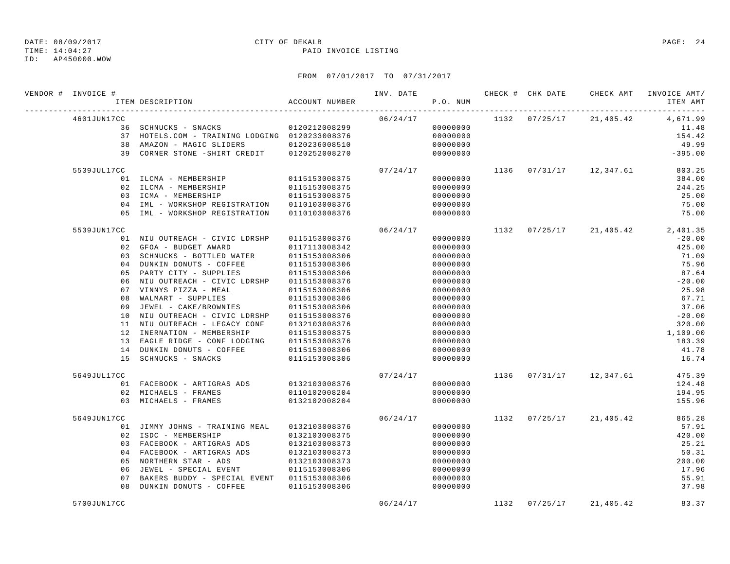TIME: 14:04:27 PAID INVOICE LISTING

ID: AP450000.WOW

| VENDOR # INVOICE # | ITEM DESCRIPTION                               | ACCOUNT NUMBER |          | P.O. NUM |               |                         | INVOICE AMT/<br>ITEM AMT |
|--------------------|------------------------------------------------|----------------|----------|----------|---------------|-------------------------|--------------------------|
| 4601JUN17CC        |                                                |                | 06/24/17 |          |               | 1132 07/25/17 21,405.42 | 4,671.99                 |
|                    | 36 SCHNUCKS - SNACKS 0120212008299             |                |          | 00000000 |               |                         | 11.48                    |
|                    | 37 HOTELS.COM - TRAINING LODGING 0120233008376 |                |          | 00000000 |               |                         | 154.42                   |
|                    | 38 AMAZON - MAGIC SLIDERS 0120236008510        |                |          | 00000000 |               |                         | 49.99                    |
|                    | 39 CORNER STONE - SHIRT CREDIT 0120252008270   |                |          | 00000000 |               |                         | $-395.00$                |
| 5539JUL17CC        |                                                |                | 07/24/17 |          |               | 1136 07/31/17 12,347.61 | 803.25                   |
|                    | 01 ILCMA - MEMBERSHIP                          | 0115153008375  |          | 00000000 |               |                         | 384.00                   |
|                    | 02 ILCMA - MEMBERSHIP                          | 0115153008375  |          | 00000000 |               |                         | 244.25                   |
|                    | 03 ICMA - MEMBERSHIP                           | 0115153008375  |          | 00000000 |               |                         | 25.00                    |
|                    | 04 IML - WORKSHOP REGISTRATION                 | 0110103008376  |          | 00000000 |               |                         | 75.00                    |
|                    | 05 IML - WORKSHOP REGISTRATION                 | 0110103008376  |          | 00000000 |               |                         | 75.00                    |
| 5539JUN17CC        |                                                |                | 06/24/17 |          |               | 1132 07/25/17 21,405.42 | 2,401.35                 |
|                    | 01 NIU OUTREACH - CIVIC LDRSHP                 | 0115153008376  |          | 00000000 |               |                         | $-20.00$                 |
|                    | 02 GFOA - BUDGET AWARD                         | 0117113008342  |          | 00000000 |               |                         | 425.00                   |
|                    | 03 SCHNUCKS - BOTTLED WATER                    | 0115153008306  |          | 00000000 |               |                         | 71.09                    |
|                    | 04 DUNKIN DONUTS - COFFEE                      | 0115153008306  |          | 00000000 |               |                         | 75.96                    |
|                    | 05 PARTY CITY - SUPPLIES                       | 0115153008306  |          | 00000000 |               |                         | 87.64                    |
| 06                 | NIU OUTREACH - CIVIC LDRSHP                    | 0115153008376  |          | 00000000 |               |                         | $-20.00$                 |
| 07                 | VINNYS PIZZA - MEAL                            | 0115153008306  |          | 00000000 |               |                         | 25.98                    |
| 08                 | WALMART - SUPPLIES                             | 0115153008306  |          | 00000000 |               |                         | 67.71                    |
| 09                 | JEWEL - CAKE/BROWNIES                          | 0115153008306  |          | 00000000 |               |                         | 37.06                    |
|                    | 10 NIU OUTREACH - CIVIC LDRSHP                 | 0115153008376  |          | 00000000 |               |                         | $-20.00$                 |
|                    | 11 NIU OUTREACH - LEGACY CONF                  | 0132103008376  |          | 00000000 |               |                         | 320.00                   |
|                    | 12 INERNATION - MEMBERSHIP                     | 0115153008375  |          | 00000000 |               |                         | 1,109.00                 |
|                    | 13 EAGLE RIDGE - CONF LODGING                  | 0115153008376  |          | 00000000 |               |                         | 183.39                   |
|                    | 14 DUNKIN DONUTS - COFFEE                      | 0115153008306  |          | 00000000 |               |                         | 41.78                    |
|                    | 15 SCHNUCKS - SNACKS                           | 0115153008306  |          | 00000000 |               |                         | 16.74                    |
| 5649JUL17CC        |                                                |                | 07/24/17 |          |               | 1136 07/31/17 12,347.61 | 475.39                   |
|                    | 01 FACEBOOK - ARTIGRAS ADS 0132103008376       |                |          | 00000000 |               |                         | 124.48                   |
|                    | 02 MICHAELS - FRAMES                           | 0110102008204  |          | 00000000 |               |                         | 194.95                   |
|                    | 03 MICHAELS - FRAMES                           | 0132102008204  |          | 00000000 |               |                         | 155.96                   |
| 5649JUN17CC        |                                                |                | 06/24/17 |          |               | 1132 07/25/17 21,405.42 | 865.28                   |
|                    | 01 JIMMY JOHNS - TRAINING MEAL                 | 0132103008376  |          | 00000000 |               |                         | 57.91                    |
|                    | 02 ISDC - MEMBERSHIP                           | 0132103008375  |          | 00000000 |               |                         | 420.00                   |
|                    | 03 FACEBOOK - ARTIGRAS ADS                     | 0132103008373  |          | 00000000 |               |                         | 25.21                    |
|                    | 04 FACEBOOK - ARTIGRAS ADS                     | 0132103008373  |          | 00000000 |               |                         | 50.31                    |
|                    | 05 NORTHERN STAR - ADS                         | 0132103008373  |          | 00000000 |               |                         | 200.00                   |
| 06                 | JEWEL - SPECIAL EVENT                          | 0115153008306  |          | 00000000 |               |                         | 17.96                    |
| 07                 | BAKERS BUDDY - SPECIAL EVENT 0115153008306     |                |          | 00000000 |               |                         | 55.91                    |
| 08                 | DUNKIN DONUTS - COFFEE                         | 0115153008306  |          | 00000000 |               |                         | 37.98                    |
| 5700JUN17CC        |                                                |                | 06/24/17 |          | 1132 07/25/17 | 21,405.42               | 83.37                    |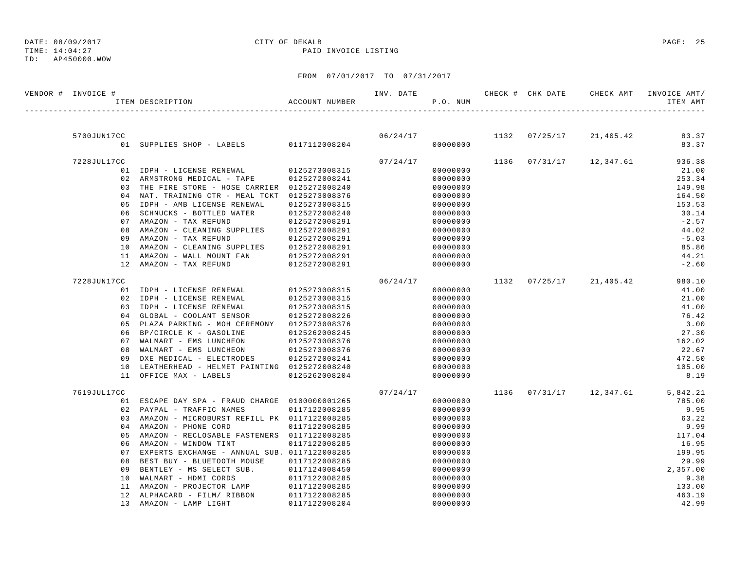## DATE: 08/09/2017 CITY OF DEKALB PAGE: 25

TIME: 14:04:27 PAID INVOICE LISTING

| VENDOR # INVOICE # | ACCOUNT NUMBER<br>ITEM DESCRIPTION              |               | INV. DATE | P.O. NUM |      |          | CHECK # CHK DATE       CHECK AMT     INVOICE AMT / | ITEM AMT |
|--------------------|-------------------------------------------------|---------------|-----------|----------|------|----------|----------------------------------------------------|----------|
|                    |                                                 |               |           |          |      |          |                                                    |          |
| 5700JUN17CC        |                                                 |               | 06/24/17  |          | 1132 | 07/25/17 | 21,405.42                                          | 83.37    |
|                    | 01 SUPPLIES SHOP - LABELS 0117112008204         |               |           | 00000000 |      |          |                                                    | 83.37    |
| 7228JUL17CC        |                                                 |               | 07/24/17  |          | 1136 |          | $07/31/17$ 12,347.61                               | 936.38   |
|                    | 01 IDPH - LICENSE RENEWAL                       | 0125273008315 |           | 00000000 |      |          |                                                    | 21.00    |
|                    | 02 ARMSTRONG MEDICAL - TAPE                     | 0125272008241 |           | 00000000 |      |          |                                                    | 253.34   |
|                    | 03 THE FIRE STORE - HOSE CARRIER 0125272008240  |               |           | 00000000 |      |          |                                                    | 149.98   |
|                    | 04 NAT. TRAINING CTR - MEAL TCKT 0125273008376  |               |           | 00000000 |      |          |                                                    | 164.50   |
| 05                 | IDPH - AMB LICENSE RENEWAL                      | 0125273008315 |           | 00000000 |      |          |                                                    | 153.53   |
| 06                 | SCHNUCKS - BOTTLED WATER                        | 0125272008240 |           | 00000000 |      |          |                                                    | 30.14    |
| 0.7                | AMAZON - TAX REFUND                             | 0125272008291 |           | 00000000 |      |          |                                                    | $-2.57$  |
|                    | 08 AMAZON - CLEANING SUPPLIES                   | 0125272008291 |           | 00000000 |      |          |                                                    | 44.02    |
|                    | 09 AMAZON - TAX REFUND                          | 0125272008291 |           | 00000000 |      |          |                                                    | $-5.03$  |
|                    | 10 AMAZON - CLEANING SUPPLIES                   | 0125272008291 |           | 00000000 |      |          |                                                    | 85.86    |
| 11                 | AMAZON - WALL MOUNT FAN                         | 0125272008291 |           | 00000000 |      |          |                                                    | 44.21    |
|                    | 12 AMAZON - TAX REFUND                          | 0125272008291 |           | 00000000 |      |          |                                                    | $-2.60$  |
| 7228JUN17CC        |                                                 |               | 06/24/17  |          |      |          | 1132 07/25/17 21,405.42                            | 980.10   |
|                    | 01 IDPH - LICENSE RENEWAL                       | 0125273008315 |           | 00000000 |      |          |                                                    | 41.00    |
|                    | 02 IDPH - LICENSE RENEWAL                       | 0125273008315 |           | 00000000 |      |          |                                                    | 21.00    |
|                    | 03 IDPH - LICENSE RENEWAL                       | 0125273008315 |           | 00000000 |      |          |                                                    | 41.00    |
|                    | 04 GLOBAL - COOLANT SENSOR                      | 0125272008226 |           | 00000000 |      |          |                                                    | 76.42    |
|                    | 05 PLAZA PARKING - MOH CEREMONY 0125273008376   |               |           | 00000000 |      |          |                                                    | 3.00     |
|                    | 06 BP/CIRCLE K - GASOLINE                       | 0125262008245 |           | 00000000 |      |          |                                                    | 27.30    |
|                    | 07 WALMART - EMS LUNCHEON                       | 0125273008376 |           | 00000000 |      |          |                                                    | 162.02   |
| 08                 | WALMART - EMS LUNCHEON                          | 0125273008376 |           | 00000000 |      |          |                                                    | 22.67    |
| 09                 | DXE MEDICAL - ELECTRODES                        | 0125272008241 |           | 00000000 |      |          |                                                    | 472.50   |
| 10                 | LEATHERHEAD - HELMET PAINTING 0125272008240     |               |           | 00000000 |      |          |                                                    | 105.00   |
|                    | 11 OFFICE MAX - LABELS                          | 0125262008204 |           | 00000000 |      |          |                                                    | 8.19     |
| 7619JUL17CC        |                                                 |               | 07/24/17  |          | 1136 | 07/31/17 | 12,347.61                                          | 5,842.21 |
|                    | 01 ESCAPE DAY SPA - FRAUD CHARGE 01000000001265 |               |           | 00000000 |      |          |                                                    | 785.00   |
|                    | 02 PAYPAL - TRAFFIC NAMES                       | 0117122008285 |           | 00000000 |      |          |                                                    | 9.95     |
|                    | 03 AMAZON - MICROBURST REFILL PK 0117122008285  |               |           | 00000000 |      |          |                                                    | 63.22    |
| 04                 | AMAZON - PHONE CORD                             | 0117122008285 |           | 00000000 |      |          |                                                    | 9.99     |
|                    | 05 AMAZON - RECLOSABLE FASTENERS 0117122008285  |               |           | 00000000 |      |          |                                                    | 117.04   |
|                    | 06 AMAZON - WINDOW TINT                         | 0117122008285 |           | 00000000 |      |          |                                                    | 16.95    |
| 07                 | EXPERTS EXCHANGE - ANNUAL SUB. 0117122008285    |               |           | 00000000 |      |          |                                                    | 199.95   |
| 08                 | BEST BUY - BLUETOOTH MOUSE                      | 0117122008285 |           | 00000000 |      |          |                                                    | 29.99    |
| 09                 | BENTLEY - MS SELECT SUB.                        | 0117124008450 |           | 00000000 |      |          |                                                    | 2,357.00 |
| 10                 | WALMART - HDMI CORDS                            | 0117122008285 |           | 00000000 |      |          |                                                    | 9.38     |
| 11                 | AMAZON - PROJECTOR LAMP                         | 0117122008285 |           | 00000000 |      |          |                                                    | 133.00   |
|                    | 12 ALPHACARD - FILM/ RIBBON                     | 0117122008285 |           | 00000000 |      |          |                                                    | 463.19   |
|                    | 13 AMAZON - LAMP LIGHT                          | 0117122008204 |           | 00000000 |      |          |                                                    | 42.99    |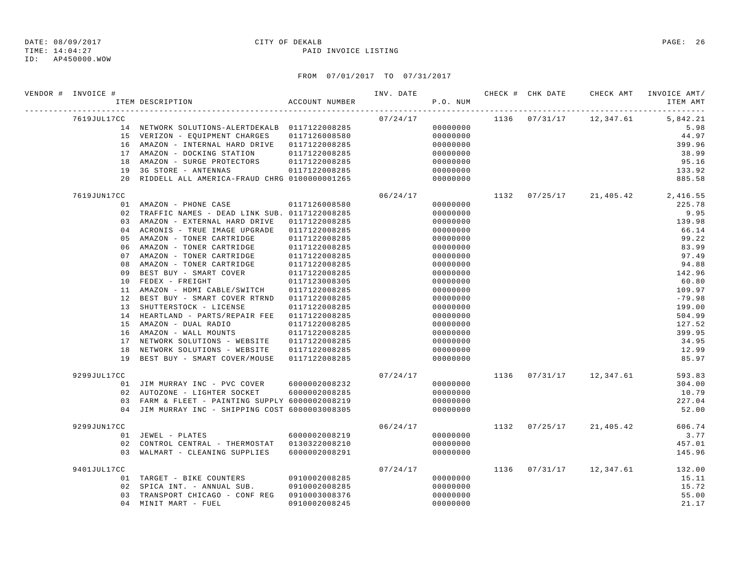TIME: 14:04:27 PAID INVOICE LISTING

ID: AP450000.WOW

| VENDOR # INVOICE # | ITEM DESCRIPTION                                                          | ACCOUNT NUMBER | INV. DATE | P.O. NUM             |      |          | CHECK # CHK DATE CHECK AMT INVOICE AMT/ | ITEM AMT         |
|--------------------|---------------------------------------------------------------------------|----------------|-----------|----------------------|------|----------|-----------------------------------------|------------------|
| 7619JUL17CC        |                                                                           |                | 07/24/17  |                      |      |          | 1136  07/31/17  12,347.61  5,842.21     |                  |
|                    | 14 NETWORK SOLUTIONS-ALERTDEKALB 0117122008285                            |                |           | 00000000             |      |          |                                         | 5.98             |
|                    | 15 VERIZON - EQUIPMENT CHARGES                                            | 0117126008580  |           | 00000000             |      |          |                                         | 44.97            |
|                    | 16 AMAZON - INTERNAL HARD DRIVE 0117122008285                             |                |           | 00000000             |      |          |                                         | 399.96           |
|                    | 17 AMAZON - DOCKING STATION                                               | 0117122008285  |           | 00000000             |      |          |                                         | 38.99            |
|                    | 18 AMAZON - SURGE PROTECTORS                                              | 0117122008285  |           | 00000000             |      |          |                                         | 95.16            |
|                    | 19 3G STORE - ANTENNAS<br>20 RIDDELL ALL AMERICA-FRAUD CHRG 0100000001265 | 0117122008285  |           | 00000000<br>00000000 |      |          |                                         | 133.92<br>885.58 |
| 7619JUN17CC        |                                                                           |                | 06/24/17  |                      |      |          | 1132 07/25/17 21,405.42 2,416.55        |                  |
|                    | 01 AMAZON - PHONE CASE                                                    | 0117126008580  |           | 00000000             |      |          |                                         | 225.78           |
|                    | 02 TRAFFIC NAMES - DEAD LINK SUB. 0117122008285                           |                |           | 00000000             |      |          |                                         | 9.95             |
|                    | 03 AMAZON - EXTERNAL HARD DRIVE                                           | 0117122008285  |           | 00000000             |      |          |                                         | 139.98           |
|                    | 04 ACRONIS - TRUE IMAGE UPGRADE                                           | 0117122008285  |           | 00000000             |      |          |                                         | 66.14            |
| 05                 | AMAZON - TONER CARTRIDGE                                                  | 0117122008285  |           | 00000000             |      |          |                                         | 99.22            |
| 06                 | AMAZON - TONER CARTRIDGE                                                  | 0117122008285  |           | 00000000             |      |          |                                         | 83.99            |
|                    | 07 AMAZON - TONER CARTRIDGE                                               | 0117122008285  |           | 00000000             |      |          |                                         | 97.49            |
| 08                 | AMAZON - TONER CARTRIDGE                                                  | 0117122008285  |           | 00000000             |      |          |                                         | 94.88            |
| 09                 | BEST BUY - SMART COVER                                                    | 0117122008285  |           | 00000000             |      |          |                                         | 142.96           |
| 10                 | FEDEX - FREIGHT                                                           | 0117123008305  |           | 00000000             |      |          |                                         | 60.80            |
| 11                 | AMAZON - HDMI CABLE/SWITCH                                                | 0117122008285  |           | 00000000             |      |          |                                         | 109.97           |
|                    | 12 BEST BUY - SMART COVER RTRND                                           | 0117122008285  |           | 00000000             |      |          |                                         | $-79.98$         |
|                    | 13 SHUTTERSTOCK - LICENSE                                                 | 0117122008285  |           | 00000000             |      |          |                                         | 199.00           |
|                    | 14 HEARTLAND - PARTS/REPAIR FEE 0117122008285                             |                |           | 00000000             |      |          |                                         | 504.99           |
|                    | 15 AMAZON - DUAL RADIO                                                    | 0117122008285  |           | 00000000             |      |          |                                         | 127.52           |
|                    | 16 AMAZON - WALL MOUNTS                                                   | 0117122008285  |           | 00000000             |      |          |                                         | 399.95           |
|                    | 17 NETWORK SOLUTIONS - WEBSITE                                            | 0117122008285  |           | 00000000             |      |          |                                         | 34.95            |
| 19                 | 18 NETWORK SOLUTIONS - WEBSITE<br>BEST BUY - SMART COVER/MOUSE            | 0117122008285  |           | 00000000             |      |          |                                         | 12.99<br>85.97   |
|                    |                                                                           | 0117122008285  |           | 00000000             |      |          |                                         |                  |
| 9299JUL17CC        |                                                                           |                | 07/24/17  |                      |      |          | 1136 07/31/17 12,347.61                 | 593.83           |
|                    | 01 JIM MURRAY INC - PVC COVER                                             | 6000002008232  |           | 00000000             |      |          |                                         | 304.00           |
|                    | 02 AUTOZONE - LIGHTER SOCKET                                              | 6000002008285  |           | 00000000             |      |          |                                         | 10.79            |
|                    | 03 FARM & FLEET - PAINTING SUPPLY 6000002008219                           |                |           | 00000000             |      |          |                                         | 227.04           |
|                    | 04 JIM MURRAY INC - SHIPPING COST 6000003008305                           |                |           | 00000000             |      |          |                                         | 52.00            |
| 9299JUN17CC        |                                                                           |                | 06/24/17  |                      |      |          | 1132 07/25/17 21,405.42                 | 606.74           |
|                    | 01 JEWEL - PLATES                                                         | 6000002008219  |           | 00000000             |      |          |                                         | 3.77             |
|                    | 02 CONTROL CENTRAL - THERMOSTAT 0130322008210                             |                |           | 00000000             |      |          |                                         | 457.01           |
|                    | 03 WALMART - CLEANING SUPPLIES                                            | 6000002008291  |           | 00000000             |      |          |                                         | 145.96           |
| 9401JUL17CC        |                                                                           |                | 07/24/17  |                      | 1136 | 07/31/17 | 12,347.61                               | 132.00           |
|                    | 01 TARGET - BIKE COUNTERS                                                 | 0910002008285  |           | 00000000             |      |          |                                         | 15.11            |
|                    | 02 SPICA INT. - ANNUAL SUB.                                               | 0910002008285  |           | 00000000             |      |          |                                         | 15.72            |
|                    | 03 TRANSPORT CHICAGO - CONF REG 0910003008376<br>$0.4$ MINIT MART - FUEL  | 0910002008245  |           | 00000000<br>00000000 |      |          |                                         | 55.00<br>21.17   |
|                    |                                                                           |                |           |                      |      |          |                                         |                  |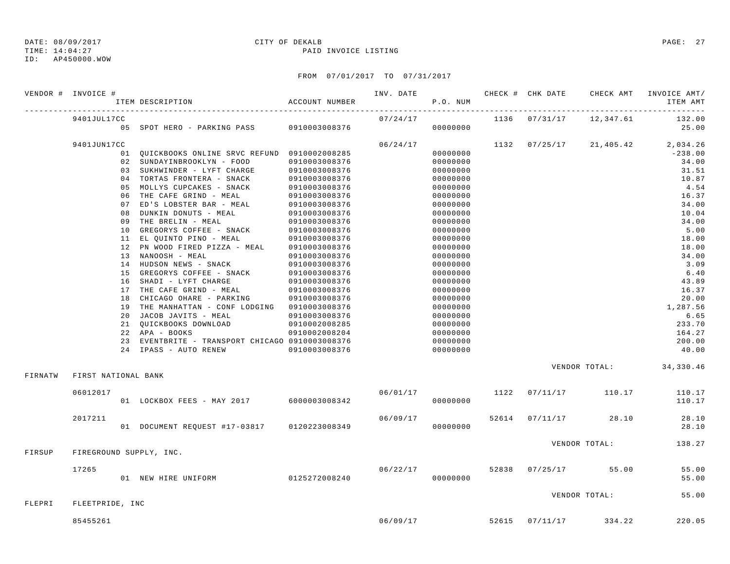TIME: 14:04:27 PAID INVOICE LISTING

ID: AP450000.WOW

|         | VENDOR # INVOICE #  | ITEM DESCRIPTION                                                                                                                                                        | ACCOUNT NUMBER                 | INV. DATE | P.O. NUM |       | CHECK # CHK DATE        | CHECK AMT                     | INVOICE AMT/<br>ITEM AMT |
|---------|---------------------|-------------------------------------------------------------------------------------------------------------------------------------------------------------------------|--------------------------------|-----------|----------|-------|-------------------------|-------------------------------|--------------------------|
|         | 9401JUL17CC         |                                                                                                                                                                         |                                | 07/24/17  |          |       |                         | 1136 07/31/17 12,347.61       | 132.00                   |
|         |                     | 05 SPOT HERO - PARKING PASS 0910003008376                                                                                                                               |                                |           | 00000000 |       |                         |                               | 25.00                    |
|         | 9401JUN17CC         |                                                                                                                                                                         |                                | 06/24/17  |          | 1132  |                         | $07/25/17$ 21,405.42 2,034.26 |                          |
|         |                     | 01 QUICKBOOKS ONLINE SRVC REFUND 0910002008285                                                                                                                          |                                |           | 00000000 |       |                         |                               | $-238.00$                |
|         |                     | 02 SUNDAYINBROOKLYN - FOOD                                                                                                                                              | 0910003008376                  |           | 00000000 |       |                         |                               | 34.00                    |
|         |                     | 03 SUKHWINDER - LYFT CHARGE                                                                                                                                             | 0910003008376                  |           | 00000000 |       |                         |                               | 31.51                    |
|         |                     | 04 TORTAS FRONTERA - SNACK                                                                                                                                              | 0910003008376                  |           | 00000000 |       |                         |                               | 10.87                    |
|         |                     | 05 MOLLYS CUPCAKES - SNACK                                                                                                                                              | 0910003008376                  |           | 00000000 |       |                         |                               | 4.54                     |
|         |                     | 06 THE CAFE GRIND - MEAL                                                                                                                                                | 0910003008376                  |           | 00000000 |       |                         |                               | 16.37                    |
|         |                     | 07 ED'S LOBSTER BAR - MEAL                                                                                                                                              | 0910003008376                  |           | 00000000 |       |                         |                               | 34.00                    |
|         |                     | 08 DUNKIN DONUTS - MEAL                                                                                                                                                 | 0910003008376                  |           | 00000000 |       |                         |                               | 10.04                    |
|         |                     |                                                                                                                                                                         |                                |           | 00000000 |       |                         |                               | 34.00                    |
|         |                     | 09 THE BRELIN - MEAL 0910003008376<br>10 GREGORYS COFFEE - SNACK 0910003008376<br>11 EL QUINTO PINO - MEAL 0910003008376<br>12 PN WOOD FIRED PIZZA - MEAL 0910003008376 |                                |           | 00000000 |       |                         |                               | 5.00                     |
|         |                     |                                                                                                                                                                         |                                |           | 00000000 |       |                         |                               | 18.00                    |
|         |                     |                                                                                                                                                                         |                                |           | 00000000 |       |                         |                               | 18.00                    |
|         |                     | 13 NANOOSH - MEAL                                                                                                                                                       | 0910003008376<br>0910003008376 |           | 00000000 |       |                         |                               | 34.00                    |
|         |                     | 14 HUDSON NEWS - SNACK                                                                                                                                                  |                                |           | 00000000 |       |                         |                               | 3.09                     |
|         |                     | 15 GREGORYS COFFEE - SNACK 0910003008376<br>16 SHADI - LYFT CHARGE 0910003008376                                                                                        |                                |           | 00000000 |       |                         |                               | 6.40                     |
|         |                     |                                                                                                                                                                         |                                |           | 00000000 |       |                         |                               | 43.89                    |
|         |                     | 17 THE CAFE GRIND - MEAL                                                                                                                                                | 0910003008376                  |           | 00000000 |       |                         |                               | 16.37                    |
|         |                     | 18 CHICAGO OHARE - PARKING                                                                                                                                              | 0910003008376                  |           | 00000000 |       |                         |                               | 20.00                    |
|         |                     | 19 THE MANHATTAN - CONF LODGING 0910003008376                                                                                                                           |                                |           | 00000000 |       |                         |                               | 1,287.56                 |
|         |                     | 20 JACOB JAVITS - MEAL                                                                                                                                                  | 0910003008376                  |           | 00000000 |       |                         |                               | 6.65                     |
|         |                     | 21 QUICKBOOKS DOWNLOAD                                                                                                                                                  | 0910002008285                  |           | 00000000 |       |                         |                               | 233.70                   |
|         |                     | 22 APA - BOOKS                                                                                                                                                          | 0910002008204                  |           | 00000000 |       |                         |                               | 164.27                   |
|         |                     | 23 EVENTBRITE - TRANSPORT CHICAGO 0910003008376                                                                                                                         |                                |           | 00000000 |       |                         |                               | 200.00                   |
|         |                     | 24 IPASS - AUTO RENEW                                                                                                                                                   | 0910003008376                  |           | 00000000 |       |                         |                               | 40.00                    |
|         |                     |                                                                                                                                                                         |                                |           |          |       |                         | VENDOR TOTAL: 34,330.46       |                          |
| FIRNATW | FIRST NATIONAL BANK |                                                                                                                                                                         |                                |           |          |       |                         |                               |                          |
|         | 06012017            |                                                                                                                                                                         |                                | 06/01/17  |          | 1122  | 07/11/17                | 110.17                        | 110.17                   |
|         |                     | 01 LOCKBOX FEES - MAY 2017 6000003008342                                                                                                                                |                                |           | 00000000 |       |                         |                               | 110.17                   |
|         | 2017211             |                                                                                                                                                                         |                                | 06/09/17  |          | 52614 |                         | $07/11/17$ 28.10              | 28.10                    |
|         |                     | 01 DOCUMENT REQUEST #17-03817 0120223008349                                                                                                                             |                                |           | 00000000 |       |                         |                               | 28.10                    |
|         |                     |                                                                                                                                                                         |                                |           |          |       |                         | VENDOR TOTAL:                 | 138.27                   |
| FIRSUP  |                     | FIREGROUND SUPPLY, INC.                                                                                                                                                 |                                |           |          |       |                         |                               |                          |
|         | 17265               |                                                                                                                                                                         |                                | 06/22/17  |          |       |                         | 52838 07/25/17 55.00          | 55.00                    |
|         |                     | 01 NEW HIRE UNIFORM                                                                                                                                                     | 0125272008240                  |           | 00000000 |       |                         |                               | 55.00                    |
|         |                     |                                                                                                                                                                         |                                |           |          |       |                         | VENDOR TOTAL:                 | 55.00                    |
| FLEPRI  | FLEETPRIDE, INC     |                                                                                                                                                                         |                                |           |          |       |                         |                               |                          |
|         | 85455261            |                                                                                                                                                                         |                                |           |          |       | 06/09/17 52615 07/11/17 | 334.22                        | 220.05                   |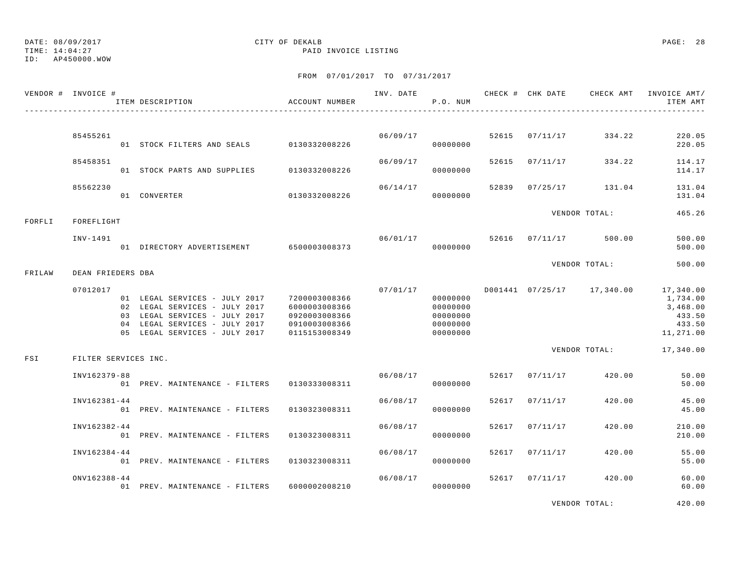TIME: 14:04:27 PAID INVOICE LISTING

ID: AP450000.WOW

## FROM 07/01/2017 TO 07/31/2017

|        | VENDOR # INVOICE #     | ITEM DESCRIPTION                                                                                                                                                  | ACCOUNT NUMBER                                                                    |          | P.O. NUM                                                 |       |                | INV. DATE 6 1999 CHECK # CHK DATE 6 CHECK AMT INVOICE AMT | ITEM AMT                                                           |
|--------|------------------------|-------------------------------------------------------------------------------------------------------------------------------------------------------------------|-----------------------------------------------------------------------------------|----------|----------------------------------------------------------|-------|----------------|-----------------------------------------------------------|--------------------------------------------------------------------|
|        |                        |                                                                                                                                                                   |                                                                                   |          |                                                          |       |                |                                                           |                                                                    |
|        | 85455261               | 01 STOCK FILTERS AND SEALS 0130332008226                                                                                                                          |                                                                                   |          | 06/09/17<br>00000000                                     |       | 52615 07/11/17 | 334.22                                                    | 220.05<br>220.05                                                   |
|        | 85458351               | 01 STOCK PARTS AND SUPPLIES                                                                                                                                       | 0130332008226                                                                     | 06/09/17 | 00000000                                                 |       | 52615 07/11/17 | 334.22                                                    | 114.17<br>114.17                                                   |
|        | 85562230               | 01 CONVERTER                                                                                                                                                      | 0130332008226                                                                     | 06/14/17 | 00000000                                                 | 52839 | 07/25/17       | 131.04                                                    | 131.04<br>131.04                                                   |
|        |                        |                                                                                                                                                                   |                                                                                   |          |                                                          |       |                | VENDOR TOTAL:                                             | 465.26                                                             |
| FORFLI | FOREFLIGHT<br>INV-1491 | 01 DIRECTORY ADVERTISEMENT 6500003008373                                                                                                                          |                                                                                   | 06/01/17 | 00000000                                                 |       |                | 52616 07/11/17 500.00                                     | 500.00<br>500.00                                                   |
| FRILAW | DEAN FRIEDERS DBA      |                                                                                                                                                                   |                                                                                   |          |                                                          |       |                | VENDOR TOTAL:                                             | 500.00                                                             |
|        | 07012017               | 01 LEGAL SERVICES - JULY 2017<br>02 LEGAL SERVICES - JULY 2017<br>03 LEGAL SERVICES - JULY 2017<br>04 LEGAL SERVICES - JULY 2017<br>05 LEGAL SERVICES - JULY 2017 | 7200003008366<br>6000003008366<br>0920003008366<br>0910003008366<br>0115153008349 | 07/01/17 | 00000000<br>00000000<br>00000000<br>00000000<br>00000000 |       |                | D001441  07/25/17  17,340.00                              | 17,340.00<br>1,734.00<br>3,468.00<br>433.50<br>433.50<br>11,271.00 |
| FSI    | FILTER SERVICES INC.   |                                                                                                                                                                   |                                                                                   |          |                                                          |       |                | VENDOR TOTAL:                                             | 17,340.00                                                          |
|        | INV162379-88           | 01 PREV. MAINTENANCE - FILTERS                                                                                                                                    | 0130333008311                                                                     |          | 06/08/17<br>00000000                                     |       | 52617 07/11/17 | 420.00                                                    | 50.00<br>50.00                                                     |
|        | INV162381-44           | 01 PREV. MAINTENANCE - FILTERS                                                                                                                                    | 0130323008311                                                                     | 06/08/17 | 00000000                                                 | 52617 | 07/11/17       | 420.00                                                    | 45.00<br>45.00                                                     |
|        | INV162382-44           | 01 PREV. MAINTENANCE - FILTERS                                                                                                                                    | 0130323008311                                                                     | 06/08/17 | 00000000                                                 | 52617 | 07/11/17       | 420.00                                                    | 210.00<br>210.00                                                   |
|        | INV162384-44           | 01 PREV. MAINTENANCE - FILTERS                                                                                                                                    | 0130323008311                                                                     | 06/08/17 | 00000000                                                 | 52617 | 07/11/17       | 420.00                                                    | 55.00<br>55.00                                                     |
|        | ONV162388-44           | 01 PREV. MAINTENANCE - FILTERS                                                                                                                                    | 6000002008210                                                                     | 06/08/17 | 00000000                                                 |       | 52617 07/11/17 | 420.00                                                    | 60.00<br>60.00                                                     |
|        |                        |                                                                                                                                                                   |                                                                                   |          |                                                          |       |                |                                                           |                                                                    |

VENDOR TOTAL: 420.00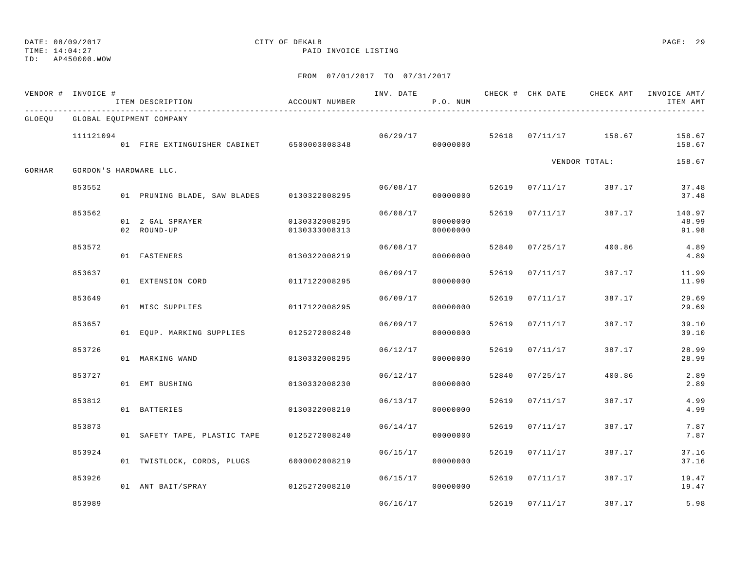TIME: 14:04:27 PAID INVOICE LISTING

ID: AP450000.WOW

|        | VENDOR # INVOICE # | ITEM DESCRIPTION                           | ACCOUNT NUMBER                 | INV. DATE | P.O. NUM             |       |                |                         | CHECK # CHK DATE CHECK AMT INVOICE AMT/<br>ITEM AMT |
|--------|--------------------|--------------------------------------------|--------------------------------|-----------|----------------------|-------|----------------|-------------------------|-----------------------------------------------------|
|        |                    | GLOEQU GLOBAL EQUIPMENT COMPANY            |                                |           |                      |       |                |                         |                                                     |
|        | 111121094          | 01 FIRE EXTINGUISHER CABINET 6500003008348 |                                | 06/29/17  | 00000000             |       |                | 52618  07/11/17  158.67 | 158.67<br>158.67                                    |
| GORHAR |                    | GORDON'S HARDWARE LLC.                     |                                |           |                      |       |                | VENDOR TOTAL:           | 158.67                                              |
|        | 853552             | 01 PRUNING BLADE, SAW BLADES 0130322008295 |                                | 06/08/17  | 00000000             |       | 52619 07/11/17 | 387.17                  | 37.48<br>37.48                                      |
|        | 853562             | 01 2 GAL SPRAYER<br>02 ROUND-UP            | 0130332008295<br>0130333008313 | 06/08/17  | 00000000<br>00000000 |       | 52619 07/11/17 | 387.17                  | 140.97<br>48.99<br>91.98                            |
|        | 853572             | 01 FASTENERS                               | 0130322008219                  | 06/08/17  | 00000000             | 52840 | 07/25/17       | 400.86                  | 4.89<br>4.89                                        |
|        | 853637             | 01 EXTENSION CORD                          | 0117122008295                  | 06/09/17  | 00000000             | 52619 | 07/11/17       | 387.17                  | 11.99<br>11.99                                      |
|        | 853649             | 01 MISC SUPPLIES                           | 0117122008295                  | 06/09/17  | 00000000             |       | 52619 07/11/17 | 387.17                  | 29.69<br>29.69                                      |
|        | 853657             | 01 EOUP. MARKING SUPPLIES 0125272008240    |                                | 06/09/17  | 00000000             |       | 52619 07/11/17 | 387.17                  | 39.10<br>39.10                                      |
|        | 853726             | 01 MARKING WAND                            | 0130332008295                  | 06/12/17  | 00000000             | 52619 | 07/11/17       | 387.17                  | 28.99<br>28.99                                      |
|        | 853727             | 01 EMT BUSHING                             | 0130332008230                  | 06/12/17  | 00000000             |       | 52840 07/25/17 | 400.86                  | 2.89<br>2.89                                        |
|        | 853812             | 01 BATTERIES                               | 0130322008210                  | 06/13/17  | 00000000             |       | 52619 07/11/17 | 387.17                  | 4.99<br>4.99                                        |
|        | 853873             | 01 SAFETY TAPE, PLASTIC TAPE               | 0125272008240                  | 06/14/17  | 00000000             | 52619 | 07/11/17       | 387.17                  | 7.87<br>7.87                                        |
|        | 853924             | 01 TWISTLOCK, CORDS, PLUGS                 | 6000002008219                  | 06/15/17  | 00000000             | 52619 | 07/11/17       | 387.17                  | 37.16<br>37.16                                      |
|        | 853926             | 01 ANT BAIT/SPRAY                          | 0125272008210                  | 06/15/17  | 00000000             |       | 52619 07/11/17 | 387.17                  | 19.47<br>19.47                                      |
|        | 853989             |                                            |                                | 06/16/17  |                      |       | 52619 07/11/17 | 387.17                  | 5.98                                                |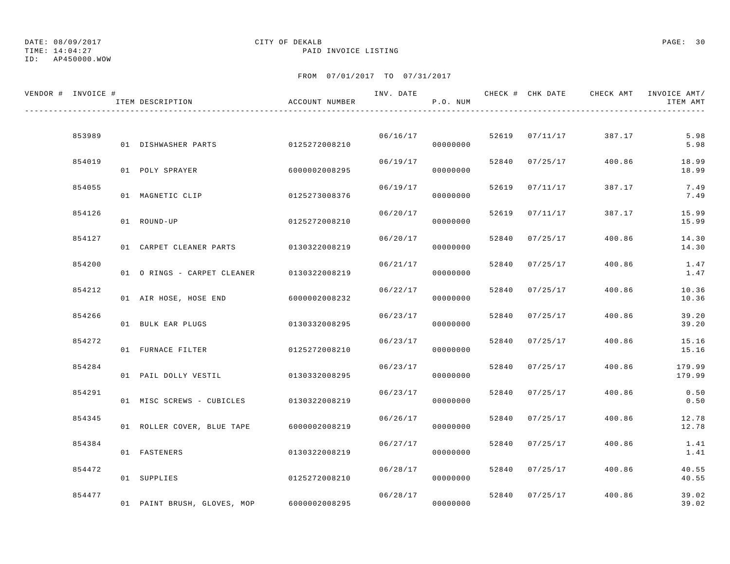TIME: 14:04:27 PAID INVOICE LISTING

ID: AP450000.WOW

| VENDOR # INVOICE # | ITEM DESCRIPTION                        | ACCOUNT NUMBER |          | P.O. NUM |       |                |        | ITEM AMT        |
|--------------------|-----------------------------------------|----------------|----------|----------|-------|----------------|--------|-----------------|
|                    |                                         |                |          |          |       |                |        |                 |
| 853989             | 01 DISHWASHER PARTS                     | 0125272008210  | 06/16/17 | 00000000 |       | 52619 07/11/17 | 387.17 | 5.98<br>5.98    |
| 854019             | 01 POLY SPRAYER                         | 6000002008295  | 06/19/17 | 00000000 | 52840 | 07/25/17       | 400.86 | 18.99<br>18.99  |
| 854055             | 01 MAGNETIC CLIP                        | 0125273008376  | 06/19/17 | 00000000 | 52619 | 07/11/17       | 387.17 | 7.49<br>7.49    |
| 854126             | 01 ROUND-UP                             | 0125272008210  | 06/20/17 | 00000000 | 52619 | 07/11/17       | 387.17 | 15.99<br>15.99  |
| 854127             | 01 CARPET CLEANER PARTS 0130322008219   |                | 06/20/17 | 00000000 | 52840 | 07/25/17       | 400.86 | 14.30<br>14.30  |
| 854200             | 01 O RINGS - CARPET CLEANER             | 0130322008219  | 06/21/17 | 00000000 | 52840 | 07/25/17       | 400.86 | 1.47<br>1.47    |
| 854212             | 01 AIR HOSE, HOSE END                   | 6000002008232  | 06/22/17 | 00000000 | 52840 | 07/25/17       | 400.86 | 10.36<br>10.36  |
| 854266             | 01 BULK EAR PLUGS                       | 0130332008295  | 06/23/17 | 00000000 | 52840 | 07/25/17       | 400.86 | 39.20<br>39.20  |
| 854272             | 01 FURNACE FILTER                       | 0125272008210  | 06/23/17 | 00000000 | 52840 | 07/25/17       | 400.86 | 15.16           |
| 854284             |                                         |                | 06/23/17 |          |       | 52840 07/25/17 | 400.86 | 15.16<br>179.99 |
| 854291             | 01 PAIL DOLLY VESTIL                    | 0130332008295  | 06/23/17 | 00000000 | 52840 | 07/25/17       | 400.86 | 179.99<br>0.50  |
|                    | 01 MISC SCREWS - CUBICLES 0130322008219 |                |          | 00000000 |       |                |        | 0.50            |
| 854345             | 01 ROLLER COVER, BLUE TAPE              | 6000002008219  | 06/26/17 | 00000000 | 52840 | 07/25/17       | 400.86 | 12.78<br>12.78  |
| 854384             | 01 FASTENERS                            | 0130322008219  | 06/27/17 | 00000000 | 52840 | 07/25/17       | 400.86 | 1.41<br>1.41    |
| 854472             | 01 SUPPLIES                             | 0125272008210  | 06/28/17 | 00000000 | 52840 | 07/25/17       | 400.86 | 40.55<br>40.55  |
| 854477             | 01 PAINT BRUSH, GLOVES, MOP             | 6000002008295  | 06/28/17 | 00000000 |       | 52840 07/25/17 | 400.86 | 39.02<br>39.02  |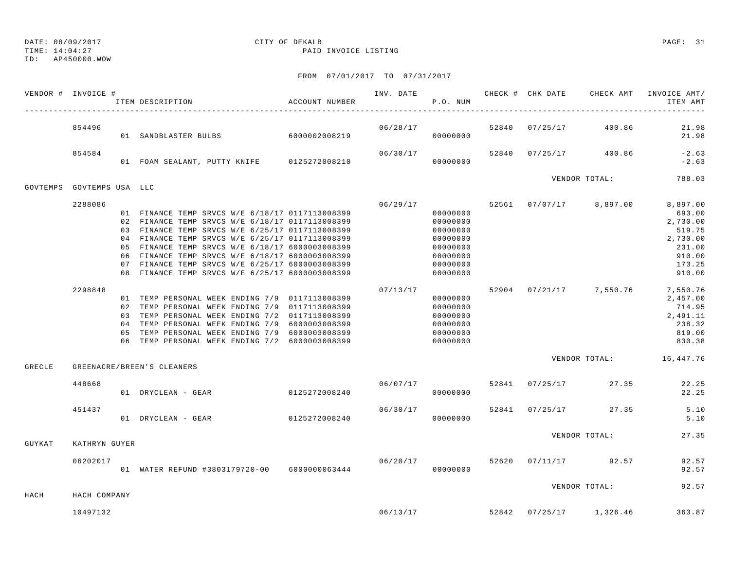TIME: 14:04:27 PAID INVOICE LISTING

ID: AP450000.WOW

|          | VENDOR # INVOICE # | ITEM DESCRIPTION                                | ACCOUNT NUMBER | INV. DATE 6 CHECK # CHK DATE CHECK AMT | P.O. NUM             |  |                                    | INVOICE AMT/<br>ITEM AMT         |
|----------|--------------------|-------------------------------------------------|----------------|----------------------------------------|----------------------|--|------------------------------------|----------------------------------|
|          | 854496             | 01 SANDBLASTER BULBS 6000002008219              |                |                                        | 06/28/17<br>00000000 |  | 52840 07/25/17 400.86              | 21.98<br>21.98                   |
|          | 854584             | 01 FOAM SEALANT, PUTTY KNIFE 0125272008210      |                | 06/30/17                               | 00000000             |  | 52840 07/25/17 400.86              | $-2.63$<br>$-2.63$               |
| GOVTEMPS | GOVTEMPS USA LLC   |                                                 |                |                                        |                      |  | VENDOR TOTAL:                      | 788.03                           |
|          | 2288086            |                                                 |                | 06/29/17                               |                      |  | 52561 07/07/17 8,897.00            | 8,897.00                         |
|          |                    | 01 FINANCE TEMP SRVCS W/E 6/18/17 0117113008399 |                |                                        | 00000000             |  |                                    | 693.00                           |
|          |                    | 02 FINANCE TEMP SRVCS W/E 6/18/17 0117113008399 |                |                                        | 00000000             |  |                                    | 2,730.00                         |
|          |                    | 03 FINANCE TEMP SRVCS W/E 6/25/17 0117113008399 |                |                                        | 00000000             |  |                                    | 519.75                           |
|          |                    | 04 FINANCE TEMP SRVCS W/E 6/25/17 0117113008399 |                |                                        | 00000000             |  |                                    | 2,730.00                         |
|          |                    | 05 FINANCE TEMP SRVCS W/E 6/18/17 6000003008399 |                |                                        | 00000000             |  |                                    | 231.00                           |
|          |                    | 06 FINANCE TEMP SRVCS W/E 6/18/17 6000003008399 |                |                                        | 00000000             |  |                                    | 910.00                           |
|          |                    | 07 FINANCE TEMP SRVCS W/E 6/25/17 6000003008399 |                |                                        | 00000000             |  |                                    | 173.25                           |
|          |                    | 08 FINANCE TEMP SRVCS W/E 6/25/17 6000003008399 |                |                                        | 00000000             |  |                                    | 910.00                           |
|          | 2298848            |                                                 |                | 07/13/17                               |                      |  |                                    | 52904 07/21/17 7,550.76 7,550.76 |
|          |                    | 01 TEMP PERSONAL WEEK ENDING 7/9 0117113008399  |                |                                        | 00000000             |  |                                    | 2,457.00                         |
|          |                    | 02 TEMP PERSONAL WEEK ENDING 7/9 0117113008399  |                |                                        | 00000000             |  |                                    | 714.95                           |
|          |                    | 03 TEMP PERSONAL WEEK ENDING 7/2 0117113008399  |                |                                        | 00000000             |  |                                    | 2,491.11                         |
|          |                    | 04 TEMP PERSONAL WEEK ENDING 7/9 6000003008399  |                |                                        | 00000000             |  |                                    | 238.32                           |
|          |                    | 05 TEMP PERSONAL WEEK ENDING 7/9 6000003008399  |                |                                        | 00000000             |  |                                    | 819.00                           |
|          |                    | 06 TEMP PERSONAL WEEK ENDING 7/2 6000003008399  |                |                                        | 00000000             |  |                                    | 830.38                           |
| GRECLE   |                    | GREENACRE/BREEN'S CLEANERS                      |                |                                        |                      |  |                                    | VENDOR TOTAL: 16,447.76          |
|          |                    |                                                 |                |                                        |                      |  |                                    |                                  |
|          | 448668             | 01 DRYCLEAN - GEAR                              | 0125272008240  | 06/07/17                               | 00000000             |  | 52841 07/25/17 27.35               | 22.25<br>22.25                   |
|          |                    |                                                 |                |                                        |                      |  |                                    |                                  |
|          | 451437             |                                                 |                | 06/30/17                               |                      |  | 52841 07/25/17 27.35               | 5.10                             |
|          |                    | 01 DRYCLEAN - GEAR                              | 0125272008240  |                                        | 00000000             |  |                                    | 5.10                             |
| GUYKAT   | KATHRYN GUYER      |                                                 |                |                                        |                      |  | VENDOR TOTAL:                      | 27.35                            |
|          |                    |                                                 |                |                                        |                      |  |                                    |                                  |
|          | 06202017           |                                                 |                | 06/20/17 52620                         |                      |  | 07/11/17 92.57                     | 92.57                            |
|          |                    | 01 WATER REFUND #3803179720-00    6000000063444 |                |                                        | 00000000             |  |                                    | 92.57                            |
|          |                    |                                                 |                |                                        |                      |  | VENDOR TOTAL:                      | 92.57                            |
| HACH     | HACH COMPANY       |                                                 |                |                                        |                      |  |                                    |                                  |
|          | 10497132           |                                                 |                |                                        |                      |  | $06/13/17$ 52842 07/25/17 1,326.46 | 363.87                           |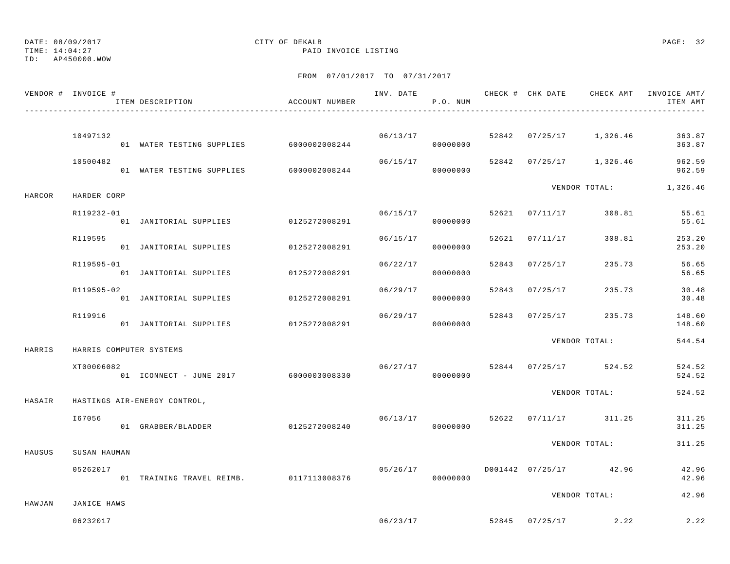## DATE: 08/09/2017 CITY OF DEKALB PAGE: 32

TIME: 14:04:27 PAID INVOICE LISTING

|        | VENDOR # INVOICE #      | ITEM DESCRIPTION                        | ACCOUNT NUMBER |          | P.O. NUM              |                |                                    | INV. DATE 6 1999 CHECK # CHK DATE 6 CHECK AMT INVOICE AMT<br>ITEM AMT |
|--------|-------------------------|-----------------------------------------|----------------|----------|-----------------------|----------------|------------------------------------|-----------------------------------------------------------------------|
|        | 10497132                | 01 WATER TESTING SUPPLIES 6000002008244 |                |          | 06/13/17<br>000000000 |                |                                    | 52842 07/25/17 1,326.46 363.87<br>363.87                              |
|        | 10500482                | 01 WATER TESTING SUPPLIES 6000002008244 |                |          | 00000000              |                | $06/15/17$ 52842 07/25/17 1,326.46 | 962.59<br>962.59                                                      |
| HARCOR | HARDER CORP             |                                         |                |          |                       |                |                                    | VENDOR TOTAL: 1,326.46                                                |
|        | R119232-01              | 01 JANITORIAL SUPPLIES 0125272008291    |                |          | 06/15/17<br>00000000  |                | 52621 07/11/17 308.81              | 55.61<br>55.61                                                        |
|        | R119595                 | 01 JANITORIAL SUPPLIES 0125272008291    |                | 06/15/17 | 00000000              | 52621 07/11/17 | 308.81                             | 253.20<br>253.20                                                      |
|        | R119595-01              | 01 JANITORIAL SUPPLIES 0125272008291    |                | 06/22/17 | 00000000              | 52843 07/25/17 | 235.73                             | 56.65<br>56.65                                                        |
|        | R119595-02              | 01 JANITORIAL SUPPLIES                  | 0125272008291  |          | 06/29/17<br>00000000  | 52843 07/25/17 | 235.73                             | 30.48<br>30.48                                                        |
|        | R119916                 | 01 JANITORIAL SUPPLIES 0125272008291    |                | 06/29/17 | 00000000              |                | 52843 07/25/17 235.73              | 148.60<br>148.60                                                      |
| HARRIS | HARRIS COMPUTER SYSTEMS |                                         |                |          |                       |                | VENDOR TOTAL:                      | 544.54                                                                |
|        | XT00006082              | 01 ICONNECT - JUNE 2017 6000003008330   |                | 06/27/17 | 00000000              |                | 52844 07/25/17 524.52              | 524.52<br>524.52                                                      |
| HASAIR |                         | HASTINGS AIR-ENERGY CONTROL,            |                |          |                       |                | VENDOR TOTAL:                      | 524.52                                                                |
|        | I67056                  | 01 GRABBER/BLADDER                      | 0125272008240  |          | 00000000              |                | $06/13/17$ 52622 07/11/17 311.25   | 311.25<br>311.25                                                      |
| HAUSUS | SUSAN HAUMAN            |                                         |                |          |                       |                | VENDOR TOTAL:                      | 311.25                                                                |
|        | 05262017                | 01 TRAINING TRAVEL REIMB. 0117113008376 |                | 05/26/17 | 00000000              |                | D001442 07/25/17 42.96             | 42.96<br>42.96                                                        |
| HAWJAN | JANICE HAWS             |                                         |                |          |                       |                | VENDOR TOTAL:                      | 42.96                                                                 |
|        | 06232017                |                                         |                |          |                       |                | $06/23/17$ 52845 07/25/17 2.22     | 2.22                                                                  |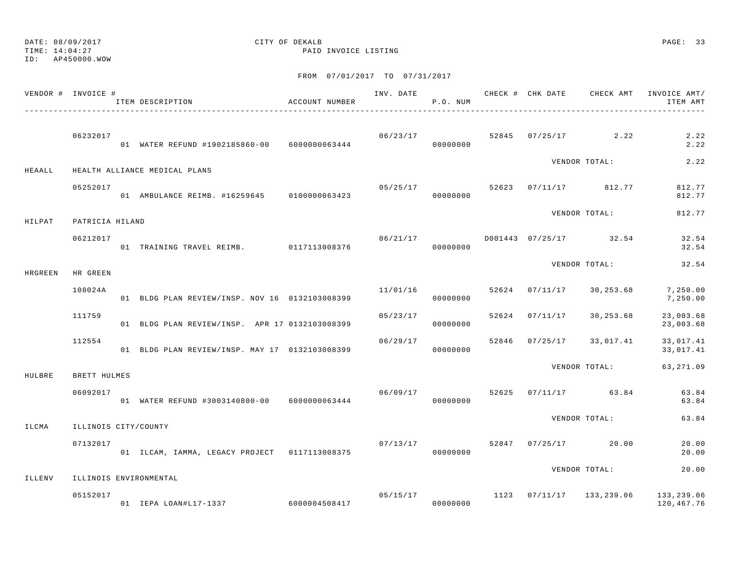TIME: 14:04:27 PAID INVOICE LISTING

ID: AP450000.WOW

|         | VENDOR # INVOICE #   | ITEM DESCRIPTION                                                    | ACCOUNT NUMBER |          | P.O. NUM |  |                                   | INV. DATE 6 7 200 CHECK # CHK DATE CHECK AMT INVOICE AMT/<br>ITEM AMT |
|---------|----------------------|---------------------------------------------------------------------|----------------|----------|----------|--|-----------------------------------|-----------------------------------------------------------------------|
|         | 06232017             | 01 WATER REFUND #1902185860-00 6000000063444                        |                |          | 00000000 |  | $06/23/17$ 52845 07/25/17 2.22    | 2.22<br>2.22                                                          |
| HEAALL  |                      | HEALTH ALLIANCE MEDICAL PLANS                                       |                |          |          |  | VENDOR TOTAL:                     | 2.22                                                                  |
|         | 05252017             | 01 AMBULANCE REIMB. #16259645 0100000063423                         |                | 05/25/17 | 00000000 |  | 52623 07/11/17 812.77             | 812.77<br>812.77                                                      |
| HILPAT  | PATRICIA HILAND      |                                                                     |                |          |          |  | VENDOR TOTAL:                     | 812.77                                                                |
|         | 06212017             | 01 TRAINING TRAVEL REIMB. 0117113008376                             |                |          | 00000000 |  | $06/21/17$ D001443 07/25/17 32.54 | 32.54<br>32.54                                                        |
| HRGREEN | HR GREEN             |                                                                     |                |          |          |  | VENDOR TOTAL:                     | 32.54                                                                 |
|         | 108024A              | 01 BLDG PLAN REVIEW/INSP. NOV 16 0132103008399                      |                | 11/01/16 | 00000000 |  | 52624 07/11/17 30,253.68          | 7,250.00<br>7,250.00                                                  |
|         | 111759               | 01 BLDG PLAN REVIEW/INSP. APR 17 0132103008399                      |                | 05/23/17 | 00000000 |  | 52624 07/11/17 30,253.68          | 23,003.68<br>23,003.68                                                |
|         | 112554               | 01 BLDG PLAN REVIEW/INSP. MAY 17 0132103008399                      |                | 06/29/17 | 00000000 |  | 52846 07/25/17 33,017.41          | 33,017.41<br>33,017.41                                                |
| HULBRE  | BRETT HULMES         |                                                                     |                |          |          |  | VENDOR TOTAL:                     | 63,271.09                                                             |
|         | 06092017             |                                                                     |                |          |          |  | 06/09/17 52625 07/11/17 63.84     | 63.84<br>63.84                                                        |
| ILCMA   | ILLINOIS CITY/COUNTY |                                                                     |                |          |          |  | VENDOR TOTAL:                     | 63.84                                                                 |
|         | 07132017             | 01 ILCAM, IAMMA, LEGACY PROJECT 0117113008375                       |                | 07/13/17 | 00000000 |  | 52847 07/25/17 20.00              | 20.00<br>20.00                                                        |
| ILLENV  |                      | ILLINOIS ENVIRONMENTAL                                              |                |          |          |  | VENDOR TOTAL:                     | 20.00                                                                 |
|         | 05152017             | ,<br>01   IEPA LOAN#L17-1337                          6000004508417 |                | 00000000 |          |  |                                   | $05/15/17$ 1123 $07/11/17$ 133, 239.06 133, 239.06<br>120,467.76      |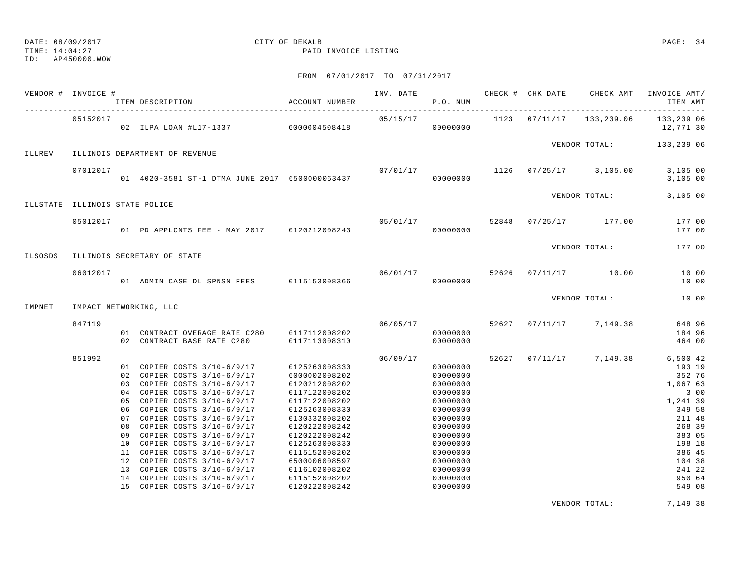TIME: 14:04:27 PAID INVOICE LISTING

ID: AP450000.WOW

## FROM 07/01/2017 TO 07/31/2017

|         | VENDOR # INVOICE #             | ITEM DESCRIPTION                                                          | ACCOUNT NUMBER                 |          | P.O. NUM             |               | INV. DATE 6 1999 CHECK # CHK DATE 6 CHECK AMT INVOICE AMT | ITEM AMT                   |
|---------|--------------------------------|---------------------------------------------------------------------------|--------------------------------|----------|----------------------|---------------|-----------------------------------------------------------|----------------------------|
|         | 05152017                       | 02 ILPA LOAN #L17-1337 6000004508418                                      |                                | 05/15/17 |                      | 1123 07/11/17 | 133,239.06                                                | 133,239.06<br>12,771.30    |
|         |                                |                                                                           |                                |          |                      |               | VENDOR TOTAL: 133, 239.06                                 |                            |
| ILLREV  |                                | ILLINOIS DEPARTMENT OF REVENUE                                            |                                |          |                      |               |                                                           |                            |
|         | 07012017                       | 01 4020-3581 ST-1 DTMA JUNE 2017 6500000063437                            |                                | 07/01/17 | 00000000             |               | 1126 07/25/17 3,105.00                                    | 3,105.00<br>3,105.00       |
|         |                                |                                                                           |                                |          |                      |               | VENDOR TOTAL:                                             | 3,105.00                   |
|         | ILLSTATE ILLINOIS STATE POLICE |                                                                           |                                |          |                      |               |                                                           |                            |
|         | 05012017                       | 01 PD APPLCNTS FEE - MAY 2017 0120212008243                               |                                |          | 00000000             |               | $05/01/17$ $52848$ $07/25/17$ $177.00$                    | 177.00<br>177.00           |
|         |                                |                                                                           |                                |          |                      |               | VENDOR TOTAL:                                             | 177.00                     |
| ILSOSDS |                                | ILLINOIS SECRETARY OF STATE                                               |                                |          |                      |               |                                                           |                            |
|         | 06012017                       | 01 ADMIN CASE DL SPNSN FEES 0115153008366                                 |                                | 00000000 |                      |               | 06/01/17 52626 07/11/17 10.00                             | 10.00<br>10.00             |
|         |                                |                                                                           |                                |          |                      |               | VENDOR TOTAL:                                             | 10.00                      |
| IMPNET  |                                | IMPACT NETWORKING, LLC                                                    |                                |          |                      |               |                                                           |                            |
|         | 847119                         | 01 CONTRACT OVERAGE RATE C280 0117112008202<br>02 CONTRACT BASE RATE C280 | 0117113008310                  | 06/05/17 | 00000000<br>00000000 |               | 52627 07/11/17 7,149.38                                   | 648.96<br>184.96<br>464.00 |
|         | 851992                         |                                                                           |                                | 06/09/17 |                      |               | 52627 07/11/17 7,149.38                                   | 6,500.42                   |
|         |                                | 01 COPIER COSTS 3/10-6/9/17                                               | 0125263008330                  |          | 00000000             |               |                                                           | 193.19                     |
|         |                                | 02 COPIER COSTS 3/10-6/9/17                                               | 6000002008202                  |          | 00000000             |               |                                                           | 352.76                     |
|         |                                | 03 COPIER COSTS 3/10-6/9/17<br>04 COPIER COSTS 3/10-6/9/17                | 0120212008202<br>0117122008202 |          | 00000000<br>00000000 |               |                                                           | 1,067.63<br>3.00           |
|         |                                | 05 COPIER COSTS 3/10-6/9/17                                               | 0117122008202                  |          | 00000000             |               |                                                           | 1,241.39                   |
|         |                                | 06 COPIER COSTS 3/10-6/9/17                                               | 0125263008330                  |          | 00000000             |               |                                                           | 349.58                     |
|         |                                | 07 COPIER COSTS 3/10-6/9/17                                               | 0130332008202                  |          | 00000000             |               |                                                           | 211.48                     |
|         |                                | 08 COPIER COSTS 3/10-6/9/17                                               | 0120222008242                  |          | 00000000             |               |                                                           | 268.39                     |
|         |                                | 09 COPIER COSTS 3/10-6/9/17                                               | 0120222008242                  |          | 00000000             |               |                                                           | 383.05                     |
|         |                                | 10 COPIER COSTS 3/10-6/9/17                                               | 0125263008330                  |          | 00000000             |               |                                                           | 198.18                     |
|         |                                | 11 COPIER COSTS 3/10-6/9/17                                               | 0115152008202                  |          | 00000000             |               |                                                           | 386.45                     |
|         |                                | 12 COPIER COSTS 3/10-6/9/17<br>13 COPIER COSTS 3/10-6/9/17                | 6500006008597<br>0116102008202 |          | 00000000<br>00000000 |               |                                                           | 104.38<br>241.22           |
|         |                                | 14 COPIER COSTS 3/10-6/9/17                                               | 0115152008202                  |          | 00000000             |               |                                                           | 950.64                     |
|         |                                | 15 COPIER COSTS 3/10-6/9/17                                               | 0120222008242                  |          | 00000000             |               |                                                           | 549.08                     |
|         |                                |                                                                           |                                |          |                      |               |                                                           |                            |

VENDOR TOTAL: 7,149.38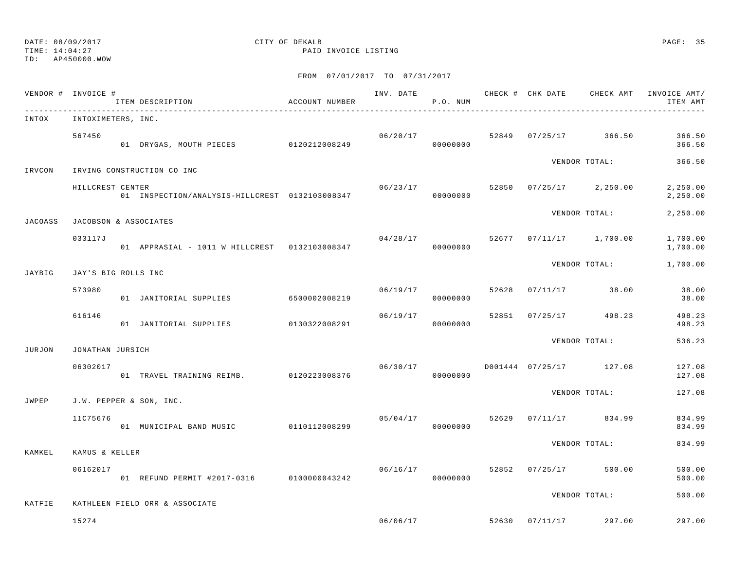TIME: 14:04:27 PAID INVOICE LISTING

ID: AP450000.WOW

|         | VENDOR # INVOICE #  | ITEM DESCRIPTION                               | ACCOUNT NUMBER |                | P.O. NUM |       |          |                         | INV. DATE 6 CHECK # CHK DATE CHECK AMT INVOICE AMT/<br>ITEM AMT |
|---------|---------------------|------------------------------------------------|----------------|----------------|----------|-------|----------|-------------------------|-----------------------------------------------------------------|
| INTOX   | INTOXIMETERS, INC.  |                                                |                |                |          |       |          |                         |                                                                 |
|         | 567450              | 01 DRYGAS, MOUTH PIECES 0120212008249          |                | 06/20/17       | 00000000 |       |          | 52849 07/25/17 366.50   | 366.50<br>366.50                                                |
| IRVCON  |                     | IRVING CONSTRUCTION CO INC                     |                |                |          |       |          | VENDOR TOTAL:           | 366.50                                                          |
|         | HILLCREST CENTER    | 01 INSPECTION/ANALYSIS-HILLCREST 0132103008347 |                | 06/23/17 52850 | 00000000 |       |          | $07/25/17$ 2,250.00     | 2,250.00<br>2,250.00                                            |
| JACOASS |                     | JACOBSON & ASSOCIATES                          |                |                |          |       |          | VENDOR TOTAL:           | 2,250.00                                                        |
|         | 033117J             | 01 APPRASIAL - 1011 W HILLCREST 0132103008347  |                | 04/28/17       | 00000000 |       |          | 52677 07/11/17 1,700.00 | 1,700.00<br>1,700.00                                            |
| JAYBIG  | JAY'S BIG ROLLS INC |                                                |                |                |          |       |          | VENDOR TOTAL:           | 1,700.00                                                        |
|         | 573980              | 01 JANITORIAL SUPPLIES 6500002008219           |                | 06/19/17       | 00000000 | 52628 |          | $07/11/17$ 38.00        | 38.00<br>38.00                                                  |
|         | 616146              | 01 JANITORIAL SUPPLIES 0130322008291           |                | 06/19/17       | 00000000 |       |          | 52851 07/25/17 498.23   | 498.23<br>498.23                                                |
| JURJON  | JONATHAN JURSICH    |                                                |                |                |          |       |          | VENDOR TOTAL:           | 536.23                                                          |
|         | 06302017            | 01 TRAVEL TRAINING REIMB. 0120223008376        |                | 06/30/17       | 00000000 |       |          | D001444 07/25/17 127.08 | 127.08<br>127.08                                                |
| JWPEP   |                     | J.W. PEPPER & SON, INC.                        |                |                |          |       |          | VENDOR TOTAL:           | 127.08                                                          |
|         | 11C75676            | 01 MUNICIPAL BAND MUSIC 0110112008299          |                | 05/04/17       | 00000000 | 52629 |          | $07/11/17$ 834.99       | 834.99<br>834.99                                                |
| KAMKEL  | KAMUS & KELLER      |                                                |                |                |          |       |          | VENDOR TOTAL:           | 834.99                                                          |
|         | 06162017            | 01 REFUND PERMIT #2017-0316 0100000043242      |                | 06/16/17       | 00000000 | 52852 |          | $07/25/17$ 500.00       | 500.00<br>500.00                                                |
| KATFIE  |                     | KATHLEEN FIELD ORR & ASSOCIATE                 |                |                |          |       |          | VENDOR TOTAL:           | 500.00                                                          |
|         | 15274               |                                                |                | 06/06/17       |          | 52630 | 07/11/17 | 297.00                  | 297.00                                                          |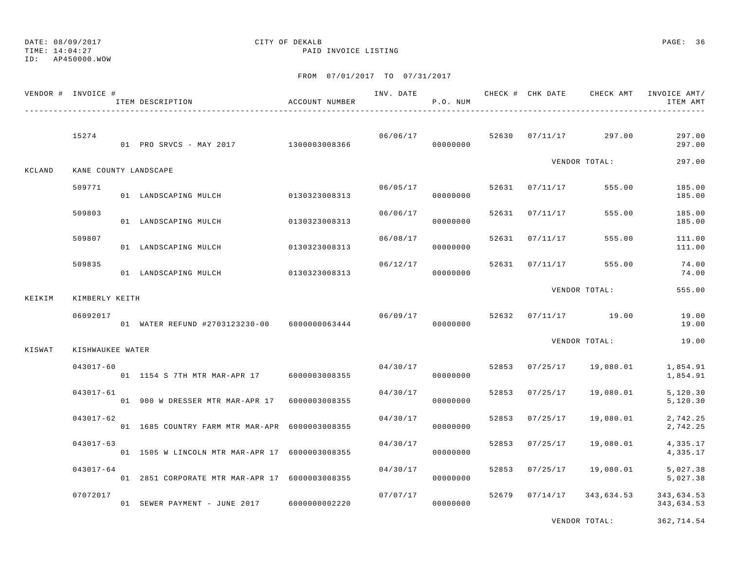## DATE: 08/09/2017 CITY OF DEKALB PAGE: 36

TIME: 14:04:27 PAID INVOICE LISTING

FROM 07/01/2017 TO 07/31/2017

|        | VENDOR # INVOICE # | ITEM DESCRIPTION                               | ACCOUNT NUMBER |          | P.O. NUM |       |                |                                  | ITEM AMT                 |
|--------|--------------------|------------------------------------------------|----------------|----------|----------|-------|----------------|----------------------------------|--------------------------|
|        | 15274              | 01 PRO SRVCS - MAY 2017 1300003008366          |                |          | 00000000 |       |                | $06/06/17$ 52630 07/11/17 297.00 | 297.00<br>297.00         |
| KCLAND |                    | KANE COUNTY LANDSCAPE                          |                |          |          |       |                | VENDOR TOTAL:                    | 297.00                   |
|        | 509771             | 01 LANDSCAPING MULCH 0130323008313             |                | 06/05/17 | 00000000 |       | 52631 07/11/17 | 555.00                           | 185.00<br>185.00         |
|        | 509803             | 01 LANDSCAPING MULCH                           | 0130323008313  | 06/06/17 | 00000000 | 52631 | 07/11/17       | 555.00                           | 185.00<br>185.00         |
|        | 509807             | 01 LANDSCAPING MULCH                           | 0130323008313  | 06/08/17 | 00000000 | 52631 | 07/11/17       | 555.00                           | 111.00<br>111.00         |
|        | 509835             | 01 LANDSCAPING MULCH 0130323008313             |                | 06/12/17 | 00000000 |       | 52631 07/11/17 | 555.00                           | 74.00<br>74.00           |
| KEIKIM | KIMBERLY KEITH     |                                                |                |          |          |       |                | VENDOR TOTAL:                    | 555.00                   |
|        | 06092017           | 01 WATER REFUND #2703123230-00 6000000063444   |                | 06/09/17 | 00000000 |       |                | 52632 07/11/17 19.00             | 19.00<br>19.00           |
| KISWAT | KISHWAUKEE WATER   |                                                |                |          |          |       |                | VENDOR TOTAL:                    | 19.00                    |
|        | $043017 - 60$      | 01 1154 S 7TH MTR MAR-APR 17 6000003008355     |                | 04/30/17 | 00000000 |       | 52853 07/25/17 | 19,080.01                        | 1,854.91<br>1,854.91     |
|        | $043017 - 61$      | 01 900 W DRESSER MTR MAR-APR 17 6000003008355  |                | 04/30/17 | 00000000 |       | 52853 07/25/17 | 19,080.01                        | 5,120.30<br>5,120.30     |
|        | $043017 - 62$      | 01 1685 COUNTRY FARM MTR MAR-APR 6000003008355 |                | 04/30/17 | 00000000 | 52853 | 07/25/17       | 19,080.01                        | 2,742.25<br>2,742.25     |
|        | $043017 - 63$      | 01 1505 W LINCOLN MTR MAR-APR 17 6000003008355 |                | 04/30/17 | 00000000 | 52853 | 07/25/17       | 19,080.01                        | 4,335.17<br>4,335.17     |
|        | $043017 - 64$      | 01 2851 CORPORATE MTR MAR-APR 17 6000003008355 |                | 04/30/17 | 00000000 |       | 52853 07/25/17 | 19,080.01                        | 5,027.38<br>5,027.38     |
|        | 07072017           | 01 SEWER PAYMENT - JUNE 2017 6000000002220     |                | 07/07/17 | 00000000 |       | 52679 07/14/17 | 343,634.53                       | 343,634.53<br>343,634.53 |

VENDOR TOTAL: 362,714.54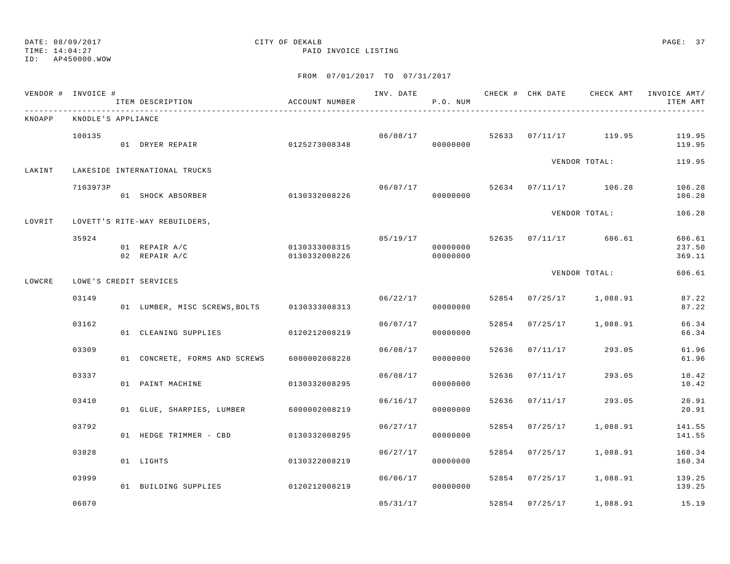TIME: 14:04:27 PAID INVOICE LISTING

ID: AP450000.WOW

|        | VENDOR # INVOICE # | ITEM DESCRIPTION                            | ACCOUNT NUMBER                 |          | P.O. NUM             |       |                |                                  | INV. DATE 6 1999 CHECK # CHK DATE 6 CHECK AMT INVOICE AMT<br>ITEM AMT |
|--------|--------------------|---------------------------------------------|--------------------------------|----------|----------------------|-------|----------------|----------------------------------|-----------------------------------------------------------------------|
| KNOAPP | KNODLE'S APPLIANCE |                                             |                                |          |                      |       |                |                                  |                                                                       |
|        | 100135             | 01 DRYER REPAIR                             | 0125273008348                  | 06/08/17 | 00000000             |       |                | 52633 07/11/17 119.95            | 119.95<br>119.95                                                      |
| LAKINT |                    | LAKESIDE INTERNATIONAL TRUCKS               |                                |          |                      |       |                | VENDOR TOTAL:                    | 119.95                                                                |
|        | 7103973P           | 01 SHOCK ABSORBER                           | 0130332008226                  |          | 00000000             |       |                | $06/07/17$ 52634 07/11/17 106.28 | 106.28<br>106.28                                                      |
| LOVRIT |                    | LOVETT'S RITE-WAY REBUILDERS,               |                                |          |                      |       |                | VENDOR TOTAL:                    | 106.28                                                                |
|        | 35924              | 01 REPAIR A/C<br>02 REPAIR A/C              | 0130333008315<br>0130332008226 |          | 00000000<br>00000000 |       |                | $05/19/17$ 52635 07/11/17 606.61 | 606.61<br>237.50<br>369.11                                            |
| LOWCRE |                    | LOWE'S CREDIT SERVICES                      |                                |          |                      |       |                | VENDOR TOTAL:                    | 606.61                                                                |
|        | 03149              | 01 LUMBER, MISC SCREWS, BOLTS 0130333008313 |                                |          | 06/22/17<br>00000000 |       |                | 52854 07/25/17 1,088.91          | 87.22<br>87.22                                                        |
|        | 03162              | 01 CLEANING SUPPLIES                        | 0120212008219                  | 06/07/17 | 00000000             | 52854 |                | 07/25/17 1,088.91                | 66.34<br>66.34                                                        |
|        | 03309              | 01 CONCRETE, FORMS AND SCREWS               | 6000002008228                  |          | 06/08/17<br>00000000 | 52636 | 07/11/17       | 293.05                           | 61.96<br>61.96                                                        |
|        | 03337              | 01 PAINT MACHINE                            | 0130332008295                  | 06/08/17 | 00000000             | 52636 | 07/11/17       | 293.05                           | 10.42<br>10.42                                                        |
|        | 03410              | 01 GLUE, SHARPIES, LUMBER 6000002008219     |                                | 06/16/17 | 00000000             |       | 52636 07/11/17 | 293.05                           | 20.91<br>20.91                                                        |
|        | 03792              | 01 HEDGE TRIMMER - CBD                      | 0130332008295                  |          | 06/27/17<br>00000000 | 52854 | 07/25/17       | 1,088.91                         | 141.55<br>141.55                                                      |
|        | 03828              | 01 LIGHTS                                   | 0130322008219                  | 06/27/17 | 00000000             |       | 52854 07/25/17 | 1,088.91                         | 160.34<br>160.34                                                      |
|        | 03999              | 01 BUILDING SUPPLIES                        | 0120212008219                  | 06/06/17 | 00000000             |       |                | 52854 07/25/17 1,088.91          | 139.25<br>139.25                                                      |
|        | 06070              |                                             |                                | 05/31/17 |                      |       | 52854 07/25/17 | 1,088.91                         | 15.19                                                                 |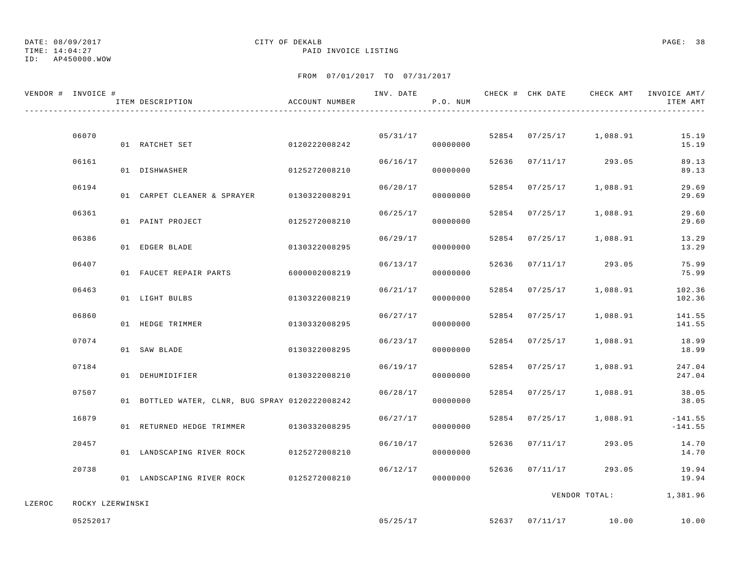# DATE: 08/09/2017 CITY OF DEKALB PAGE: 38

TIME: 14:04:27 PAID INVOICE LISTING

|        | VENDOR # INVOICE # | ITEM DESCRIPTION                                | ACCOUNT NUMBER | INV. DATE | P.O. NUM             |       |                |                         | CHECK # CHK DATE CHECK AMT INVOICE AMT/<br>ITEM AMT |
|--------|--------------------|-------------------------------------------------|----------------|-----------|----------------------|-------|----------------|-------------------------|-----------------------------------------------------|
|        |                    |                                                 |                |           |                      |       |                |                         |                                                     |
|        | 06070              | 0120222008242<br>01 RATCHET SET                 |                |           | 05/31/17<br>00000000 |       |                | 52854 07/25/17 1,088.91 | 15.19<br>15.19                                      |
|        | 06161              | 01 DISHWASHER                                   | 0125272008210  | 06/16/17  | 00000000             | 52636 |                | $07/11/17$ 293.05       | 89.13<br>89.13                                      |
|        | 06194              | 01 CARPET CLEANER & SPRAYER 0130322008291       |                | 06/20/17  | 00000000             |       | 52854 07/25/17 | 1,088.91                | 29.69<br>29.69                                      |
|        | 06361              | 01 PAINT PROJECT                                | 0125272008210  | 06/25/17  | 00000000             |       | 52854 07/25/17 | 1,088.91                | 29.60<br>29.60                                      |
|        | 06386              | 01 EDGER BLADE                                  | 0130322008295  | 06/29/17  | 00000000             |       | 52854 07/25/17 | 1,088.91                | 13.29<br>13.29                                      |
|        | 06407              | 01 FAUCET REPAIR PARTS                          | 6000002008219  | 06/13/17  | 00000000             | 52636 |                | $07/11/17$ 293.05       | 75.99<br>75.99                                      |
|        | 06463              | 01 LIGHT BULBS                                  | 0130322008219  | 06/21/17  | 00000000             | 52854 | 07/25/17       | 1,088.91                | 102.36<br>102.36                                    |
|        | 06860              | 01 HEDGE TRIMMER                                | 0130332008295  | 06/27/17  | 00000000             |       | 52854 07/25/17 | 1,088.91                | 141.55<br>141.55                                    |
|        | 07074              | 01 SAW BLADE                                    | 0130322008295  | 06/23/17  | 00000000             |       | 52854 07/25/17 | 1,088.91                | 18.99<br>18.99                                      |
|        | 07184              | 01 DEHUMIDIFIER                                 | 0130322008210  | 06/19/17  | 00000000             |       | 52854 07/25/17 | 1,088.91                | 247.04<br>247.04                                    |
|        | 07507              | 01 BOTTLED WATER, CLNR, BUG SPRAY 0120222008242 |                | 06/28/17  | 00000000             |       | 52854 07/25/17 | 1,088.91                | 38.05<br>38.05                                      |
|        | 16879              | 01 RETURNED HEDGE TRIMMER 0130332008295         |                | 06/27/17  | 00000000             |       | 52854 07/25/17 | 1,088.91                | $-141.55$<br>$-141.55$                              |
|        | 20457              | 01 LANDSCAPING RIVER ROCK 0125272008210         |                | 06/10/17  | 00000000             | 52636 | 07/11/17       | 293.05                  | 14.70<br>14.70                                      |
|        | 20738              | 01 LANDSCAPING RIVER ROCK 0125272008210         |                | 06/12/17  | 00000000             |       | 52636 07/11/17 | 293.05                  | 19.94<br>19.94                                      |
|        |                    |                                                 |                |           |                      |       |                |                         | VENDOR TOTAL: 1,381.96                              |
| LZEROC | ROCKY LZERWINSKI   |                                                 |                |           |                      |       |                |                         |                                                     |
|        | 05252017           |                                                 |                | 05/25/17  |                      |       |                | 52637 07/11/17 10.00    | 10.00                                               |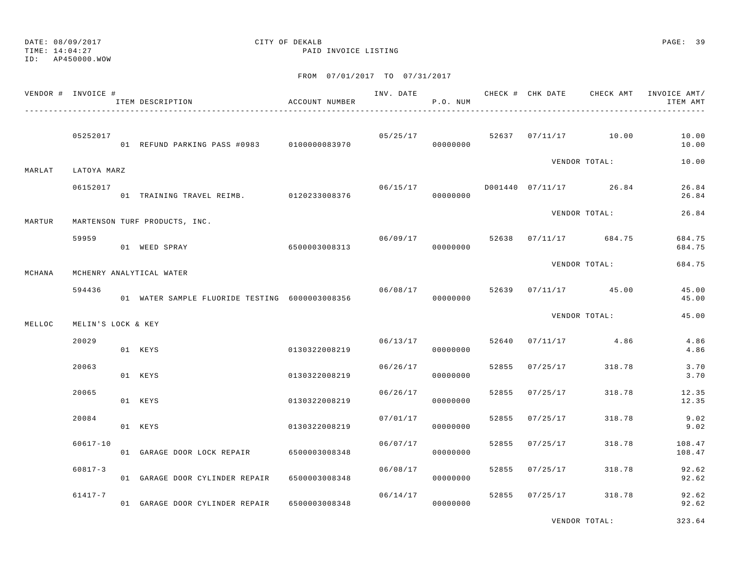TIME: 14:04:27 PAID INVOICE LISTING

ID: AP450000.WOW

FROM 07/01/2017 TO 07/31/2017

|        | VENDOR # INVOICE # | ITEM DESCRIPTION                               | ACCOUNT NUMBER |          | P.O. NUM |       |                |                                      | ITEM AMT         |
|--------|--------------------|------------------------------------------------|----------------|----------|----------|-------|----------------|--------------------------------------|------------------|
|        | 05252017           | 01 REFUND PARKING PASS #0983 0100000083970     |                |          | 00000000 |       |                | $05/25/17$ 52637 07/11/17 10.00      | 10.00<br>10.00   |
| MARLAT | LATOYA MARZ        |                                                |                |          |          |       |                | VENDOR TOTAL:                        | 10.00            |
|        | 06152017           | 01 TRAINING TRAVEL REIMB. 0120233008376        |                | 06/15/17 | 00000000 |       |                | D001440 07/11/17 26.84               | 26.84<br>26.84   |
| MARTUR |                    | MARTENSON TURF PRODUCTS, INC.                  |                |          |          |       |                | VENDOR TOTAL:                        | 26.84            |
|        | 59959              | 01 WEED SPRAY                                  | 6500003008313  |          | 00000000 |       |                | $06/09/17$ 52638 07/11/17 684.75     | 684.75<br>684.75 |
| MCHANA |                    | MCHENRY ANALYTICAL WATER                       |                |          |          |       |                | VENDOR TOTAL:                        | 684.75           |
|        | 594436             | 01 WATER SAMPLE FLUORIDE TESTING 6000003008356 |                | 06/08/17 | 00000000 |       |                | 52639 07/11/17 45.00                 | 45.00<br>45.00   |
| MELLOC | MELIN'S LOCK & KEY |                                                |                |          |          |       |                | VENDOR TOTAL:                        | 45.00            |
|        | 20029              | 01 KEYS                                        | 0130322008219  |          | 00000000 |       |                | $06/13/17$ $52640$ $07/11/17$ $4.86$ | 4.86<br>4.86     |
|        | 20063              | 01 KEYS                                        | 0130322008219  | 06/26/17 | 00000000 |       | 52855 07/25/17 | 318.78                               | 3.70<br>3.70     |
|        | 20065              | 01 KEYS                                        | 0130322008219  | 06/26/17 | 00000000 |       | 52855 07/25/17 | 318.78                               | 12.35<br>12.35   |
|        | 20084              | 01 KEYS                                        | 0130322008219  | 07/01/17 | 00000000 | 52855 | 07/25/17       | 318.78                               | 9.02<br>9.02     |
|        | $60617 - 10$       | 01 GARAGE DOOR LOCK REPAIR                     | 6500003008348  | 06/07/17 | 00000000 |       | 52855 07/25/17 | 318.78                               | 108.47<br>108.47 |
|        | $60817 - 3$        | 01 GARAGE DOOR CYLINDER REPAIR 6500003008348   |                | 06/08/17 | 00000000 |       | 52855 07/25/17 | 318.78                               | 92.62<br>92.62   |
|        | $61417 - 7$        | 01 GARAGE DOOR CYLINDER REPAIR 6500003008348   |                | 06/14/17 | 00000000 |       | 52855 07/25/17 | 318.78                               | 92.62<br>92.62   |

VENDOR TOTAL: 323.64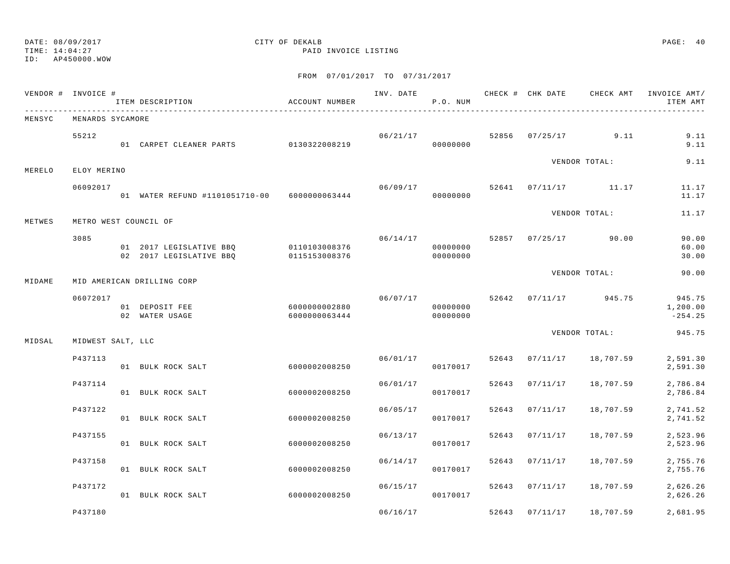TIME: 14:04:27 PAID INVOICE LISTING

ID: AP450000.WOW

|        | VENDOR # INVOICE #    | ITEM DESCRIPTION                                                 | ACCOUNT NUMBER                 | INV. DATE | P.O. NUM                         |       |                |                                | CHECK # CHK DATE CHECK AMT INVOICE AMT/<br>ITEM AMT |
|--------|-----------------------|------------------------------------------------------------------|--------------------------------|-----------|----------------------------------|-------|----------------|--------------------------------|-----------------------------------------------------|
| MENSYC | MENARDS SYCAMORE      |                                                                  |                                |           |                                  |       |                |                                |                                                     |
|        | 55212                 | 01 CARPET CLEANER PARTS 0130322008219                            |                                |           | 06/21/17<br>00000000             |       |                | 52856 07/25/17 9.11            | 9.11<br>9.11                                        |
| MERELO | ELOY MERINO           |                                                                  |                                |           |                                  |       |                | VENDOR TOTAL:                  | 9.11                                                |
|        | 06092017              | 01 WATER REFUND #1101051710-00 6000000063444                     |                                |           | 06/09/17<br>00000000             |       |                | 52641 07/11/17 11.17           | 11.17<br>11.17                                      |
| METWES | METRO WEST COUNCIL OF |                                                                  |                                |           |                                  |       |                | VENDOR TOTAL:                  | 11.17                                               |
|        | 3085                  | 01 2017 LEGISLATIVE BBQ 0110103008376<br>02 2017 LEGISLATIVE BBO | 0115153008376                  |           | 06/14/17<br>00000000<br>00000000 |       |                | 52857 07/25/17 90.00           | 90.00<br>60.00<br>30.00                             |
| MIDAME |                       | MID AMERICAN DRILLING CORP                                       |                                |           |                                  |       |                | VENDOR TOTAL:                  | 90.00                                               |
|        | 06072017              | 01 DEPOSIT FEE<br>02 WATER USAGE                                 | 6000000002880<br>6000000063444 |           | 00000000<br>00000000             |       |                | 06/07/17 52642 07/11/17 945.75 | 945.75<br>1,200.00<br>$-254.25$                     |
| MIDSAL | MIDWEST SALT, LLC     |                                                                  |                                |           |                                  |       |                | VENDOR TOTAL:                  | 945.75                                              |
|        | P437113               | 01 BULK ROCK SALT                                                | 6000002008250                  | 06/01/17  | 00170017                         | 52643 | 07/11/17       | 18,707.59                      | 2,591.30<br>2,591.30                                |
|        | P437114               | 01 BULK ROCK SALT                                                | 6000002008250                  | 06/01/17  | 00170017                         | 52643 | 07/11/17       | 18,707.59                      | 2,786.84<br>2,786.84                                |
|        | P437122               | 01 BULK ROCK SALT                                                | 6000002008250                  | 06/05/17  | 00170017                         | 52643 | 07/11/17       | 18,707.59                      | 2,741.52<br>2,741.52                                |
|        | P437155               | 01 BULK ROCK SALT                                                | 6000002008250                  | 06/13/17  | 00170017                         | 52643 | 07/11/17       | 18,707.59                      | 2,523.96<br>2,523.96                                |
|        | P437158               | 01 BULK ROCK SALT                                                | 6000002008250                  | 06/14/17  | 00170017                         | 52643 | 07/11/17       | 18,707.59                      | 2,755.76<br>2,755.76                                |
|        | P437172               | 01 BULK ROCK SALT                                                | 6000002008250                  | 06/15/17  | 00170017                         |       | 52643 07/11/17 | 18,707.59                      | 2,626.26<br>2,626.26                                |
|        | P437180               |                                                                  |                                | 06/16/17  |                                  |       | 52643 07/11/17 | 18,707.59                      | 2,681.95                                            |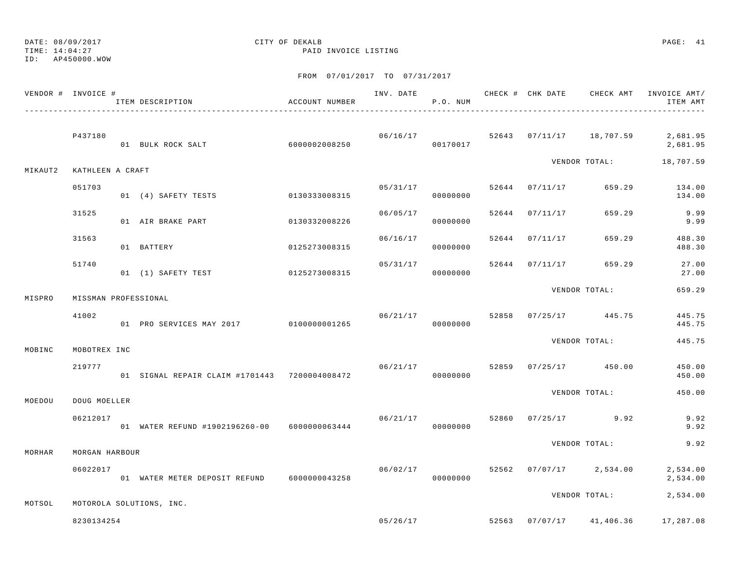TIME: 14:04:27 PAID INVOICE LISTING

ID: AP450000.WOW

|         | VENDOR # INVOICE #   | ITEM DESCRIPTION                                | ACCOUNT NUMBER |          | P.O. NUM             |       |                |                          | INV. DATE 6 1999 CHECK # CHK DATE CHECK AMT INVOICE AMT/<br>ITEM AMT |
|---------|----------------------|-------------------------------------------------|----------------|----------|----------------------|-------|----------------|--------------------------|----------------------------------------------------------------------|
|         | P437180              | 01 BULK ROCK SALT                               | 60000002008250 |          | 06/16/17<br>00170017 |       |                | 52643 07/11/17 18,707.59 | 2,681.95<br>2,681.95                                                 |
| MIKAUT2 | KATHLEEN A CRAFT     |                                                 |                |          |                      |       |                | VENDOR TOTAL:            | 18,707.59                                                            |
|         | 051703               | 01 (4) SAFETY TESTS                             | 0130333008315  | 05/31/17 | 00000000             |       |                | 52644 07/11/17 659.29    | 134.00<br>134.00                                                     |
|         | 31525                | 01 AIR BRAKE PART                               | 0130332008226  | 06/05/17 | 00000000             |       | 52644 07/11/17 | 659.29                   | 9.99<br>9.99                                                         |
|         | 31563                | 01 BATTERY                                      | 0125273008315  | 06/16/17 | 00000000             |       | 52644 07/11/17 | 659.29                   | 488.30<br>488.30                                                     |
|         | 51740                | 01 (1) SAFETY TEST                              | 0125273008315  | 05/31/17 | 00000000             | 52644 | 07/11/17       | 659.29                   | 27.00<br>27.00                                                       |
| MISPRO  | MISSMAN PROFESSIONAL |                                                 |                |          |                      |       |                | VENDOR TOTAL:            | 659.29                                                               |
|         | 41002                | 01 PRO SERVICES MAY 2017 0100000001265          |                | 06/21/17 | 00000000             |       |                | 52858 07/25/17 445.75    | 445.75<br>445.75                                                     |
| MOBINC  | MOBOTREX INC         |                                                 |                |          |                      |       |                | VENDOR TOTAL:            | 445.75                                                               |
|         | 219777               | 01 SIGNAL REPAIR CLAIM #1701443 7200004008472   |                | 06/21/17 | 00000000             |       |                | 52859 07/25/17 450.00    | 450.00<br>450.00                                                     |
| MOEDOU  | DOUG MOELLER         |                                                 |                |          |                      |       |                | VENDOR TOTAL:            | 450.00                                                               |
|         | 06212017             | 01 WATER REFUND #1902196260-00    6000000063444 |                | 06/21/17 | 00000000             | 52860 |                | $07/25/17$ 9.92          | 9.92<br>9.92                                                         |
| MORHAR  | MORGAN HARBOUR       |                                                 |                |          |                      |       |                | VENDOR TOTAL:            | 9.92                                                                 |
|         | 06022017             | 01 WATER METER DEPOSIT REFUND 6000000043258     |                | 06/02/17 | 00000000             |       |                | 52562 07/07/17 2,534.00  | 2,534.00<br>2,534.00                                                 |
| MOTSOL  |                      | MOTOROLA SOLUTIONS, INC.                        |                |          |                      |       |                | VENDOR TOTAL:            | 2,534.00                                                             |
|         | 8230134254           |                                                 |                | 05/26/17 |                      | 52563 |                | $07/07/17$ 41,406.36     | 17,287.08                                                            |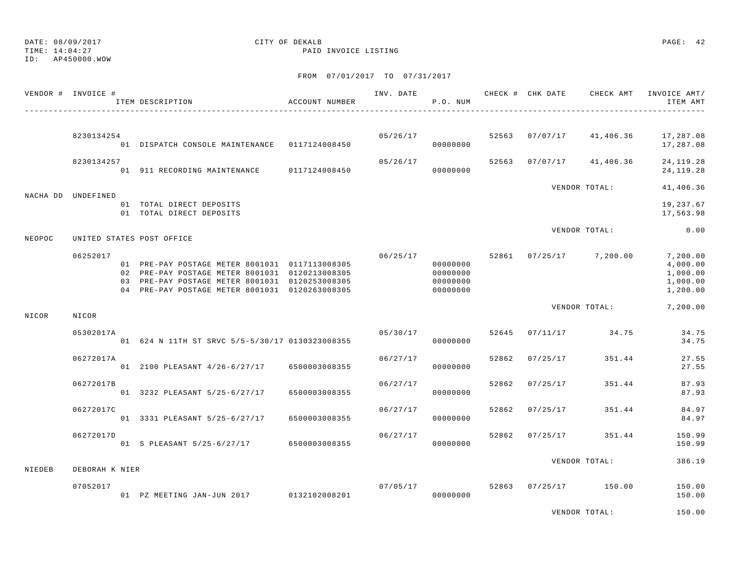DATE: 08/09/2017 CITY OF DEKALB PAGE: 42 TIME: 14:04:27 PAID INVOICE LISTING ID: AP450000.WOW FROM 07/01/2017 TO 07/31/2017 VENDOR # INVOICE # TELL TRANSPORTED THE THAT CHECK AND CHECK AND CHECK AMT INVOICE AMT/ ITEM DESCRIPTION ACCOUNT NUMBER P.O. NUM ITEM AMT----------------------------------------------------------------------------------------------------------------------------------------------

NIEDEB DEBORAH K NIER

 8230134254 05/26/17 52563 07/07/17 41,406.36 17,287.08 01 DISPATCH CONSOLE MAINTENANCE 0117124008450 00000000 17,287.08 8230134257 05/26/17 52563 07/07/17 41,406.36 24,119.28 01 911 RECORDING MAINTENANCE 0117124008450 00000000 24,119.28 VENDOR TOTAL: 41,406.36 NACHA DD UNDEFINED 01 TOTAL DIRECT DEPOSITS 19,237.67 01 TOTAL DIRECT DEPOSITS 17,563.98 VENDOR TOTAL: 0.00NEOPOC UNITED STATES POST OFFICE 06252017 06/25/17 52861 07/25/17 7,200.00 7,200.00 01 PRE-PAY POSTAGE METER 8001031 0117113008305 00000000 0000000 0000000 000000 4,000.00 02 PRE-PAY POSTAGE METER 8001031 0120213008305 000000000 00000000 0000000 1,000.00 03 PRE-PAY POSTAGE METER 8001031 0120253008305 000000000 00000000 0000000 1,000.00 04 PRE-PAY POSTAGE METER 8001031 0120263008305 000000000 00000000 1,200,00 VENDOR TOTAL: 7,200.00 NICOR NICOR 05302017A 05/30/17 52645 07/11/17 34.75 34.75 01 624 N 11TH ST SRVC 5/5-5/30/17 0130323008355 000000000 0000000 0000000 34.75 06272017A 06/27/17 52862 07/25/17 351.44 27.55 01 2100 PLEASANT 4/26-6/27/17 6500003008355 00000000 27.55 06272017B 06/27/17 52862 07/25/17 351.44 87.93 01 3232 PLEASANT 5/25-6/27/17 6500003008355 00000000 87.93 06272017C 06/27/17 52862 07/25/17 351.44 84.97 01 3331 PLEASANT 5/25-6/27/17 6500003008355 00000000 84.97 06272017D 06/27/17 52862 07/25/17 351.44 150.99 01 S PLEASANT 5/25-6/27/17 6500003008355 000000000 0000000 150.99 VENDOR TOTAL: 386.19

 07052017 07/05/17 52863 07/25/17 150.00 150.00 01 PZ MEETING JAN-JUN 2017 0132102008201 00000000 150.00

VENDOR TOTAL: 150.00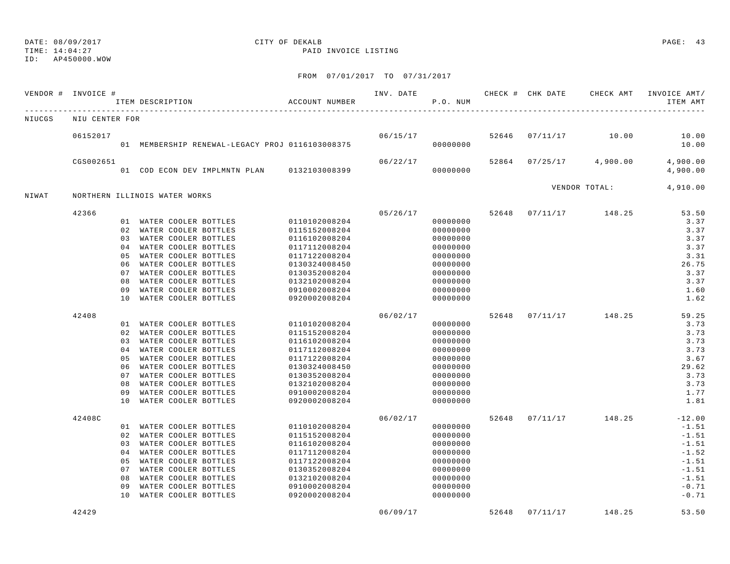TIME: 14:04:27 PAID INVOICE LISTING

ID: AP450000.WOW

|        | VENDOR # INVOICE # |          | ITEM DESCRIPTION                                | ACCOUNT NUMBER                 | INV. DATE | P.O. NUM             |       | CHECK # CHK DATE | CHECK AMT     | INVOICE AMT/<br>ITEM AMT |
|--------|--------------------|----------|-------------------------------------------------|--------------------------------|-----------|----------------------|-------|------------------|---------------|--------------------------|
| NIUCGS | NIU CENTER FOR     |          |                                                 |                                |           |                      |       |                  |               |                          |
|        | 06152017           |          |                                                 |                                | 06/15/17  |                      |       | 52646 07/11/17   | 10.00         | 10.00                    |
|        |                    |          | 01 MEMBERSHIP RENEWAL-LEGACY PROJ 0116103008375 |                                |           | 00000000             |       |                  |               | 10.00                    |
|        | CGS002651          |          |                                                 |                                | 06/22/17  |                      | 52864 | 07/25/17         | 4,900.00      | 4,900.00                 |
|        |                    |          | 01 COD ECON DEV IMPLMNTN PLAN                   | 0132103008399                  |           | 00000000             |       |                  |               | 4,900.00                 |
| NIWAT  |                    |          | NORTHERN ILLINOIS WATER WORKS                   |                                |           |                      |       |                  | VENDOR TOTAL: | 4,910.00                 |
|        |                    |          |                                                 |                                |           |                      |       |                  |               |                          |
|        | 42366              |          |                                                 |                                | 05/26/17  |                      | 52648 | 07/11/17         | 148.25        | 53.50                    |
|        |                    |          | 01 WATER COOLER BOTTLES                         | 0110102008204                  |           | 00000000             |       |                  |               | 3.37                     |
|        |                    | 02<br>03 | WATER COOLER BOTTLES                            | 0115152008204                  |           | 00000000             |       |                  |               | 3.37<br>3.37             |
|        |                    | 04       | WATER COOLER BOTTLES<br>WATER COOLER BOTTLES    | 0116102008204<br>0117112008204 |           | 00000000<br>00000000 |       |                  |               | 3.37                     |
|        |                    | 0.5      |                                                 | 0117122008204                  |           |                      |       |                  |               | 3.31                     |
|        |                    | 06       | WATER COOLER BOTTLES<br>WATER COOLER BOTTLES    | 0130324008450                  |           | 00000000<br>00000000 |       |                  |               | 26.75                    |
|        |                    | 07       | WATER COOLER BOTTLES                            | 0130352008204                  |           | 00000000             |       |                  |               | 3.37                     |
|        |                    | 08       | WATER COOLER BOTTLES                            | 0132102008204                  |           | 00000000             |       |                  |               | 3.37                     |
|        |                    | 09       | WATER COOLER BOTTLES                            | 0910002008204                  |           | 00000000             |       |                  |               | 1.60                     |
|        |                    | 10       | WATER COOLER BOTTLES                            | 0920002008204                  |           | 00000000             |       |                  |               | 1.62                     |
|        | 42408              |          |                                                 |                                | 06/02/17  |                      | 52648 | 07/11/17         | 148.25        | 59.25                    |
|        |                    | 01       | WATER COOLER BOTTLES                            | 0110102008204                  |           | 00000000             |       |                  |               | 3.73                     |
|        |                    | 02       | WATER COOLER BOTTLES                            | 0115152008204                  |           | 00000000             |       |                  |               | 3.73                     |
|        |                    | 03       | WATER COOLER BOTTLES                            | 0116102008204                  |           | 00000000             |       |                  |               | 3.73                     |
|        |                    | 04       | WATER COOLER BOTTLES                            | 0117112008204                  |           | 00000000             |       |                  |               | 3.73                     |
|        |                    | 05       | WATER COOLER BOTTLES                            | 0117122008204                  |           | 00000000             |       |                  |               | 3.67                     |
|        |                    | 06       | WATER COOLER BOTTLES                            | 0130324008450                  |           | 00000000             |       |                  |               | 29.62                    |
|        |                    | 07       | WATER COOLER BOTTLES                            | 0130352008204                  |           | 00000000             |       |                  |               | 3.73                     |
|        |                    | 08       | WATER COOLER BOTTLES                            | 0132102008204                  |           | 00000000             |       |                  |               | 3.73                     |
|        |                    | 09       | WATER COOLER BOTTLES                            | 0910002008204                  |           | 00000000             |       |                  |               | 1.77                     |
|        |                    | 10       | WATER COOLER BOTTLES                            | 0920002008204                  |           | 00000000             |       |                  |               | 1.81                     |
|        | 42408C             |          |                                                 |                                | 06/02/17  |                      | 52648 | 07/11/17         | 148.25        | $-12.00$                 |
|        |                    | 01       | WATER COOLER BOTTLES                            | 0110102008204                  |           | 00000000             |       |                  |               | $-1.51$                  |
|        |                    | 02       | WATER COOLER BOTTLES                            | 0115152008204                  |           | 00000000             |       |                  |               | $-1.51$                  |
|        |                    | 03       | WATER COOLER BOTTLES                            | 0116102008204                  |           | 00000000             |       |                  |               | $-1.51$                  |
|        |                    | 04       | WATER COOLER BOTTLES                            | 0117112008204                  |           | 00000000             |       |                  |               | $-1.52$                  |
|        |                    | 05       | WATER COOLER BOTTLES                            | 0117122008204                  |           | 00000000             |       |                  |               | $-1.51$                  |
|        |                    | 07       | WATER COOLER BOTTLES                            | 0130352008204                  |           | 00000000             |       |                  |               | $-1.51$                  |
|        |                    | 08       | WATER COOLER BOTTLES                            | 0132102008204                  |           | 00000000             |       |                  |               | $-1.51$                  |
|        |                    | 09       | WATER COOLER BOTTLES                            | 0910002008204                  |           | 00000000             |       |                  |               | $-0.71$                  |
|        |                    | 10       | WATER COOLER BOTTLES                            | 0920002008204                  |           | 00000000             |       |                  |               | $-0.71$                  |
|        | 42429              |          |                                                 |                                | 06/09/17  |                      | 52648 | 07/11/17         | 148.25        | 53.50                    |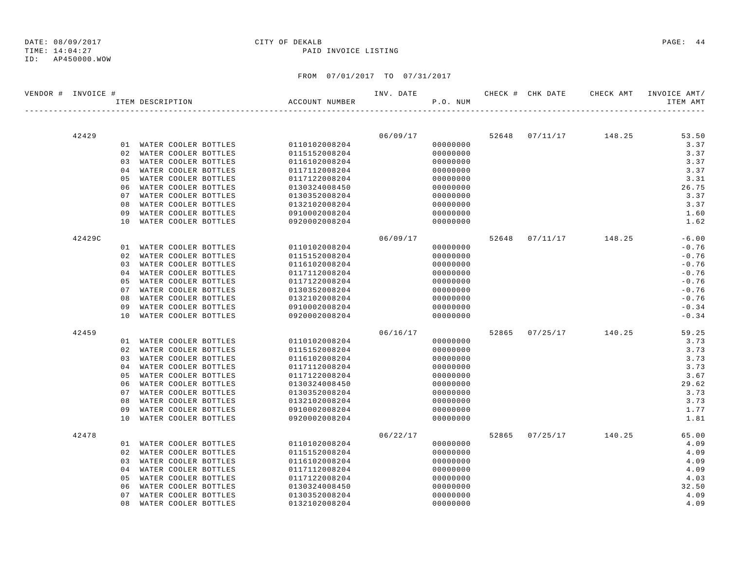### ID: AP450000.WOW

| VENDOR # INVOICE # |        |                |                  |                         |                | INV. DATE |          |       | CHECK # CHK DATE CHECK AMT | INVOICE AMT/ |
|--------------------|--------|----------------|------------------|-------------------------|----------------|-----------|----------|-------|----------------------------|--------------|
|                    |        |                | ITEM DESCRIPTION |                         | ACCOUNT NUMBER |           | P.O. NUM |       |                            | ITEM AMT     |
|                    |        |                |                  |                         |                |           |          |       |                            |              |
|                    | 42429  |                |                  |                         |                | 06/09/17  |          |       | 52648 07/11/17 148.25      | 53.50        |
|                    |        |                |                  | 01 WATER COOLER BOTTLES | 0110102008204  |           | 00000000 |       |                            | 3.37         |
|                    |        |                |                  | 02 WATER COOLER BOTTLES | 0115152008204  |           | 00000000 |       |                            | 3.37         |
|                    |        | 03             |                  | WATER COOLER BOTTLES    | 0116102008204  |           | 00000000 |       |                            | 3.37         |
|                    |        | 04             |                  | WATER COOLER BOTTLES    | 0117112008204  |           | 00000000 |       |                            | 3.37         |
|                    |        | 05             |                  | WATER COOLER BOTTLES    | 0117122008204  |           | 00000000 |       |                            | 3.31         |
|                    |        | 06             |                  | WATER COOLER BOTTLES    | 0130324008450  |           | 00000000 |       |                            | 26.75        |
|                    |        | 07             |                  | WATER COOLER BOTTLES    | 0130352008204  |           | 00000000 |       |                            | 3.37         |
|                    |        | 08             |                  | WATER COOLER BOTTLES    | 0132102008204  |           | 00000000 |       |                            | 3.37         |
|                    |        | 09             |                  | WATER COOLER BOTTLES    | 0910002008204  |           | 00000000 |       |                            | 1.60         |
|                    |        | 10             |                  | WATER COOLER BOTTLES    | 0920002008204  |           | 00000000 |       |                            | 1.62         |
|                    | 42429C |                |                  |                         |                | 06/09/17  |          |       | 52648 07/11/17 148.25      | $-6.00$      |
|                    |        |                |                  | 01 WATER COOLER BOTTLES | 0110102008204  |           | 00000000 |       |                            | $-0.76$      |
|                    |        |                |                  | 02 WATER COOLER BOTTLES | 0115152008204  |           | 00000000 |       |                            | $-0.76$      |
|                    |        | 0.3            |                  | WATER COOLER BOTTLES    | 0116102008204  |           | 00000000 |       |                            | $-0.76$      |
|                    |        | 04             |                  | WATER COOLER BOTTLES    | 0117112008204  |           | 00000000 |       |                            | $-0.76$      |
|                    |        | 05             |                  | WATER COOLER BOTTLES    | 0117122008204  |           | 00000000 |       |                            | $-0.76$      |
|                    |        | 07             |                  | WATER COOLER BOTTLES    | 0130352008204  |           | 00000000 |       |                            | $-0.76$      |
|                    |        | 08             |                  | WATER COOLER BOTTLES    | 0132102008204  |           | 00000000 |       |                            | $-0.76$      |
|                    |        | 09             |                  | WATER COOLER BOTTLES    | 0910002008204  |           | 00000000 |       |                            | $-0.34$      |
|                    |        | 10             |                  | WATER COOLER BOTTLES    | 0920002008204  |           | 00000000 |       |                            | $-0.34$      |
|                    | 42459  |                |                  |                         |                | 06/16/17  |          |       | 52865 07/25/17 140.25      | 59.25        |
|                    |        |                |                  | 01 WATER COOLER BOTTLES | 0110102008204  |           | 00000000 |       |                            | 3.73         |
|                    |        | 02             |                  | WATER COOLER BOTTLES    | 0115152008204  |           | 00000000 |       |                            | 3.73         |
|                    |        |                |                  | 03 WATER COOLER BOTTLES | 0116102008204  |           | 00000000 |       |                            | 3.73         |
|                    |        | 04             |                  | WATER COOLER BOTTLES    | 0117112008204  |           | 00000000 |       |                            | 3.73         |
|                    |        | 05             |                  | WATER COOLER BOTTLES    | 0117122008204  |           | 00000000 |       |                            | 3.67         |
|                    |        | 06             |                  | WATER COOLER BOTTLES    | 0130324008450  |           | 00000000 |       |                            | 29.62        |
|                    |        | 07             |                  | WATER COOLER BOTTLES    | 0130352008204  |           | 00000000 |       |                            | 3.73         |
|                    |        | 08             |                  | WATER COOLER BOTTLES    | 0132102008204  |           | 00000000 |       |                            | 3.73         |
|                    |        | 09             |                  | WATER COOLER BOTTLES    | 0910002008204  |           | 00000000 |       |                            | 1.77         |
|                    |        | 10             |                  | WATER COOLER BOTTLES    | 0920002008204  |           | 00000000 |       |                            | 1.81         |
|                    | 42478  |                |                  |                         |                | 06/22/17  |          | 52865 | $07/25/17$ 140.25          | 65.00        |
|                    |        |                |                  | 01 WATER COOLER BOTTLES | 0110102008204  |           | 00000000 |       |                            | 4.09         |
|                    |        | 02             |                  | WATER COOLER BOTTLES    | 0115152008204  |           | 00000000 |       |                            | 4.09         |
|                    |        | 03             |                  | WATER COOLER BOTTLES    | 0116102008204  |           | 00000000 |       |                            | 4.09         |
|                    |        | 0 <sub>4</sub> |                  | WATER COOLER BOTTLES    | 0117112008204  |           | 00000000 |       |                            | 4.09         |
|                    |        | 05             |                  | WATER COOLER BOTTLES    | 0117122008204  |           | 00000000 |       |                            | 4.03         |
|                    |        | 06             |                  | WATER COOLER BOTTLES    | 0130324008450  |           | 00000000 |       |                            | 32.50        |
|                    |        | 07             |                  | WATER COOLER BOTTLES    | 0130352008204  |           | 00000000 |       |                            | 4.09         |
|                    |        | 08             |                  | WATER COOLER BOTTLES    | 0132102008204  |           | 00000000 |       |                            | 4.09         |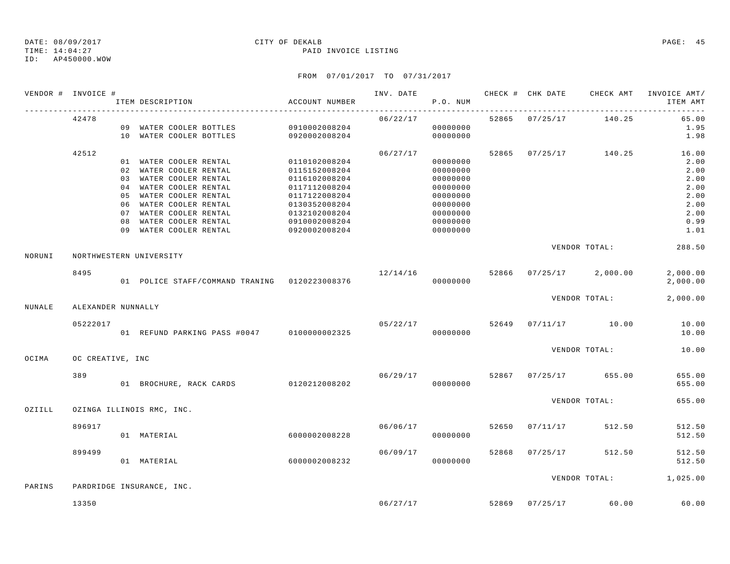### TIME: 14:04:27 PAID INVOICE LISTING ID: AP450000.WOW

|        | VENDOR # INVOICE # | ITEM DESCRIPTION                      | ACCOUNT NUMBER |          | P.O. NUM |                |                                    | INV. DATE 6 CHECK # CHK DATE CHECK AMT INVOICE AMT/<br>ITEM AMT |
|--------|--------------------|---------------------------------------|----------------|----------|----------|----------------|------------------------------------|-----------------------------------------------------------------|
|        | 42478              | 09 WATER COOLER BOTTLES 0910002008204 |                | 06/22/17 | 00000000 |                | 52865 07/25/17 140.25              | 65.00<br>1.95                                                   |
|        |                    | 10 WATER COOLER BOTTLES 0920002008204 |                |          | 00000000 |                |                                    | 1.98                                                            |
|        | 42512              |                                       |                | 06/27/17 |          |                | 52865 07/25/17 140.25              | 16.00                                                           |
|        |                    | 01 WATER COOLER RENTAL 0110102008204  |                |          | 00000000 |                |                                    | 2.00                                                            |
|        |                    | 02 WATER COOLER RENTAL                | 0115152008204  |          | 00000000 |                |                                    | 2.00                                                            |
|        |                    | 03 WATER COOLER RENTAL                | 0116102008204  |          | 00000000 |                |                                    | 2.00                                                            |
|        |                    | 04 WATER COOLER RENTAL                | 0117112008204  |          | 00000000 |                |                                    | 2.00                                                            |
|        |                    | 05 WATER COOLER RENTAL                | 0117122008204  |          | 00000000 |                |                                    | 2.00                                                            |
|        |                    | 06 WATER COOLER RENTAL                | 0130352008204  |          | 00000000 |                |                                    | 2.00                                                            |
|        |                    | 07 WATER COOLER RENTAL                | 0132102008204  |          | 00000000 |                |                                    | 2.00                                                            |
|        |                    | 08 WATER COOLER RENTAL                | 0910002008204  |          | 00000000 |                |                                    | 0.99                                                            |
|        |                    | 09 WATER COOLER RENTAL                | 0920002008204  |          | 00000000 |                |                                    | 1.01                                                            |
| NORUNI |                    | NORTHWESTERN UNIVERSITY               |                |          |          |                | VENDOR TOTAL:                      | 288.50                                                          |
|        | 8495               |                                       |                |          |          |                | $12/14/16$ 52866 07/25/17 2,000.00 | 2,000.00                                                        |
|        |                    |                                       |                |          |          |                |                                    | 2,000.00                                                        |
|        |                    |                                       |                |          |          |                | VENDOR TOTAL:                      | 2,000.00                                                        |
| NUNALE | ALEXANDER NUNNALLY |                                       |                |          |          |                |                                    |                                                                 |
|        | 05222017           |                                       |                |          |          |                | $05/22/17$ 52649 07/11/17 10.00    | 10.00                                                           |
|        |                    |                                       |                |          |          |                |                                    | 10.00                                                           |
|        |                    |                                       |                |          |          |                | VENDOR TOTAL:                      | 10.00                                                           |
| OCIMA  | OC CREATIVE, INC   |                                       |                |          |          |                |                                    |                                                                 |
|        | 389                |                                       |                |          |          |                | $06/29/17$ 52867 07/25/17 655.00   | 655.00                                                          |
|        |                    | 01 BROCHURE, RACK CARDS 0120212008202 |                |          | 00000000 |                |                                    | 655.00                                                          |
| OZIILL |                    |                                       |                |          |          |                | VENDOR TOTAL:                      | 655.00                                                          |
|        |                    | OZINGA ILLINOIS RMC, INC.             |                |          |          |                |                                    |                                                                 |
|        | 896917             |                                       |                |          |          |                | $06/06/17$ 52650 07/11/17 512.50   | 512.50                                                          |
|        |                    | 01 MATERIAL                           | 6000002008228  |          | 00000000 |                |                                    | 512.50                                                          |
|        | 899499             |                                       |                | 06/09/17 |          | 52868 07/25/17 | 512.50                             | 512.50                                                          |
|        |                    | 60000002008232<br>01 MATERIAL         |                |          | 00000000 |                |                                    | 512.50                                                          |
|        |                    |                                       |                |          |          |                |                                    | VENDOR TOTAL: 1,025.00                                          |
| PARINS |                    | PARDRIDGE INSURANCE, INC.             |                |          |          |                |                                    |                                                                 |
|        | 13350              |                                       |                |          |          |                | $06/27/17$ 52869 07/25/17 60.00    | 60.00                                                           |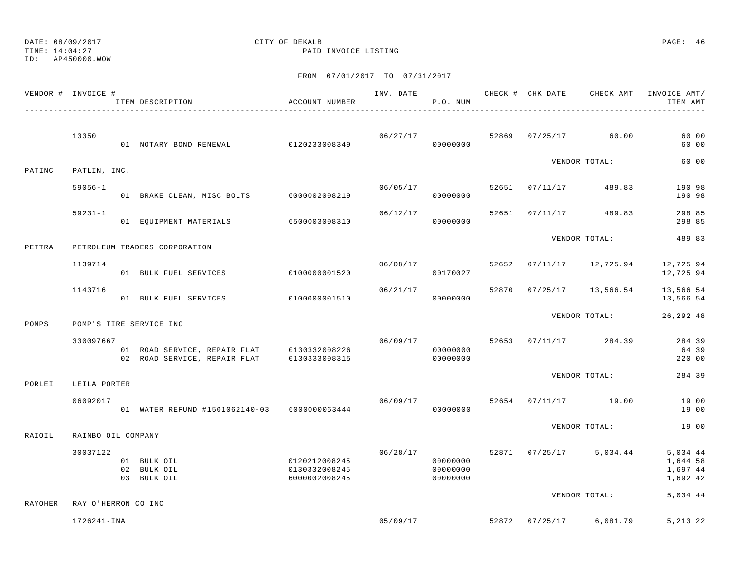TIME: 14:04:27 PAID INVOICE LISTING

ID: AP450000.WOW

|         | VENDOR # INVOICE #  | ITEM DESCRIPTION<br>-------------------------                                            | ACCOUNT NUMBER                                  |          | P.O. NUM                                     |       |                           | ITEM AMT                                     |
|---------|---------------------|------------------------------------------------------------------------------------------|-------------------------------------------------|----------|----------------------------------------------|-------|---------------------------|----------------------------------------------|
|         | 13350               |                                                                                          |                                                 | 06/27/17 |                                              |       | 52869 07/25/17 60.00      | 60.00                                        |
|         |                     |                                                                                          |                                                 |          |                                              |       |                           | 60.00                                        |
| PATINC  | PATLIN, INC.        |                                                                                          |                                                 |          |                                              |       | VENDOR TOTAL:             | 60.00                                        |
|         | $59056 - 1$         |                                                                                          |                                                 | 06/05/17 |                                              | 52651 | $07/11/17$ 489.83         | 190.98                                       |
|         |                     | 01 BRAKE CLEAN, MISC BOLTS 6000002008219                                                 |                                                 |          | 00000000                                     |       |                           | 190.98                                       |
|         | $59231 - 1$         | 01 EQUIPMENT MATERIALS 6500003008310                                                     |                                                 | 06/12/17 | 00000000                                     |       | 52651 07/11/17 489.83     | 298.85<br>298.85                             |
| PETTRA  |                     | PETROLEUM TRADERS CORPORATION                                                            |                                                 |          |                                              |       | VENDOR TOTAL:             | 489.83                                       |
|         | 1139714             | 01 BULK FUEL SERVICES                                                                    | 0100000001520                                   | 06/08/17 | 00170027                                     |       | 52652 07/11/17 12,725.94  | 12,725.94<br>12,725.94                       |
|         | 1143716             | 01 BULK FUEL SERVICES 6100000001510                                                      |                                                 |          | 06/21/17<br>00000000                         |       | 52870 07/25/17 13,566.54  | 13,566.54<br>13,566.54                       |
| POMPS   |                     | POMP'S TIRE SERVICE INC                                                                  |                                                 |          |                                              |       | VENDOR TOTAL:             | 26,292.48                                    |
|         | 330097667           |                                                                                          |                                                 | 06/09/17 |                                              |       | 52653 07/11/17 284.39     | 284.39                                       |
|         |                     | 01 ROAD SERVICE, REPAIR FLAT 0130332008226<br>02 ROAD SERVICE, REPAIR FLAT 0130333008315 |                                                 |          | 00000000<br>00000000                         |       |                           | 64.39<br>220.00                              |
| PORLEI  | LEILA PORTER        |                                                                                          |                                                 |          |                                              |       | VENDOR TOTAL:             | 284.39                                       |
|         | 06092017            | 01 WATER REFUND #1501062140-03 6000000063444                                             |                                                 | 06/09/17 | 00000000                                     |       | 52654 07/11/17 19.00      | 19.00<br>19.00                               |
| RAIOIL  | RAINBO OIL COMPANY  |                                                                                          |                                                 |          |                                              |       | VENDOR TOTAL:             | 19.00                                        |
|         | 30037122            | 01 BULK OIL<br>02 BULK OIL<br>03 BULK OIL                                                | 0120212008245<br>0130332008245<br>6000002008245 |          | 06/28/17<br>00000000<br>00000000<br>00000000 |       | 52871 07/25/17 5,034.44   | 5,034.44<br>1,644.58<br>1,697.44<br>1,692.42 |
| RAYOHER | RAY O'HERRON CO INC |                                                                                          |                                                 |          |                                              |       | VENDOR TOTAL:             | 5,034.44                                     |
|         | 1726241-INA         |                                                                                          |                                                 |          | 05/09/17                                     |       | 52872  07/25/17  6,081.79 | 5, 213. 22                                   |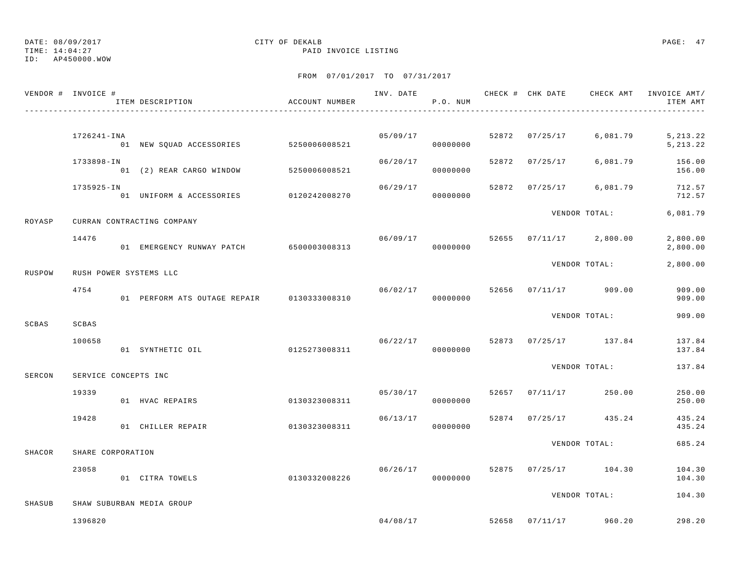TIME: 14:04:27 PAID INVOICE LISTING

ID: AP450000.WOW

|        | VENDOR # INVOICE #   | ITEM DESCRIPTION                           | ACCOUNT NUMBER |          | P.O. NUM             |       |          |                         | ITEM AMT                |
|--------|----------------------|--------------------------------------------|----------------|----------|----------------------|-------|----------|-------------------------|-------------------------|
|        | 1726241-INA          | 01 NEW SQUAD ACCESSORIES 5250006008521     |                |          | 05/09/17<br>00000000 |       |          | 52872 07/25/17 6,081.79 | 5, 213.22<br>5, 213. 22 |
|        | 1733898-IN           | 01 (2) REAR CARGO WINDOW                   | 5250006008521  | 06/20/17 | 00000000             | 52872 | 07/25/17 | 6,081.79                | 156.00<br>156.00        |
|        | 1735925-IN           | 01 UNIFORM & ACCESSORIES 0120242008270     |                | 06/29/17 | 00000000             | 52872 |          | 07/25/17 6,081.79       | 712.57<br>712.57        |
| ROYASP |                      | CURRAN CONTRACTING COMPANY                 |                |          |                      |       |          | VENDOR TOTAL:           | 6,081.79                |
|        | 14476                | 01 EMERGENCY RUNWAY PATCH 6500003008313    |                | 06/09/17 | 00000000             |       |          | 52655 07/11/17 2,800.00 | 2,800.00<br>2,800.00    |
| RUSPOW |                      | RUSH POWER SYSTEMS LLC                     |                |          |                      |       |          | VENDOR TOTAL:           | 2,800.00                |
|        | 4754                 | 01 PERFORM ATS OUTAGE REPAIR 0130333008310 |                | 06/02/17 | 00000000             | 52656 |          | $07/11/17$ 909.00       | 909.00<br>909.00        |
| SCBAS  | SCBAS                |                                            |                |          |                      |       |          | VENDOR TOTAL:           | 909.00                  |
|        | 100658               | 01 SYNTHETIC OIL                           | 0125273008311  |          | 06/22/17<br>00000000 |       |          | 52873 07/25/17 137.84   | 137.84<br>137.84        |
| SERCON | SERVICE CONCEPTS INC |                                            |                |          |                      |       |          | VENDOR TOTAL:           | 137.84                  |
|        | 19339                | 01 HVAC REPAIRS                            | 0130323008311  |          | 05/30/17<br>00000000 | 52657 |          | $07/11/17$ 250.00       | 250.00<br>250.00        |
|        | 19428                | 01 CHILLER REPAIR                          | 0130323008311  | 06/13/17 | 00000000             | 52874 |          | $07/25/17$ 435.24       | 435.24<br>435.24        |
| SHACOR | SHARE CORPORATION    |                                            |                |          |                      |       |          | VENDOR TOTAL:           | 685.24                  |
|        | 23058                | 01 CITRA TOWELS                            | 0130332008226  |          | 06/26/17<br>00000000 |       |          | 52875 07/25/17 104.30   | 104.30<br>104.30        |
| SHASUB |                      | SHAW SUBURBAN MEDIA GROUP                  |                |          |                      |       |          | VENDOR TOTAL:           | 104.30                  |
|        | 1396820              |                                            |                |          | 04/08/17             |       |          | 52658 07/11/17 960.20   | 298.20                  |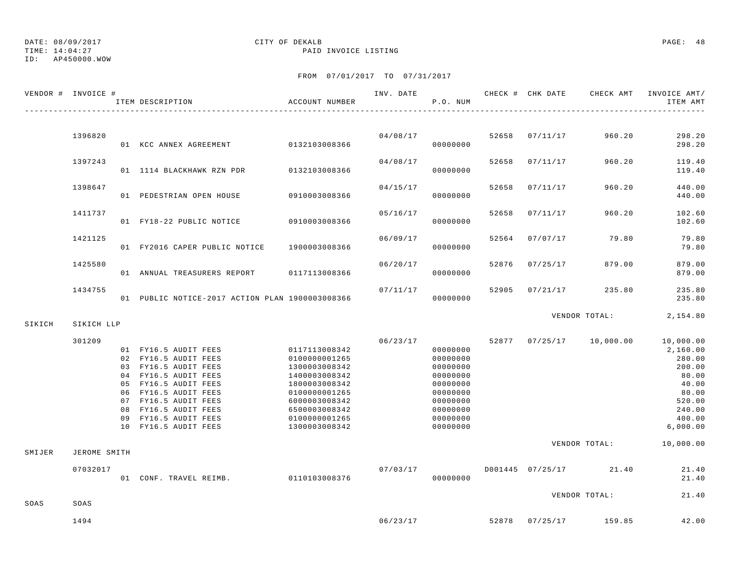# DATE: 08/09/2017 CITY OF DEKALB PAGE: 48

TIME: 14:04:27 PAID INVOICE LISTING

|        | VENDOR # INVOICE # | ITEM DESCRIPTION                                                                                                                                                                                                                                           | ACCOUNT NUMBER                                                                                                                                        |          | P.O. NUM                                                                                                             |       |                |                          | ITEM AMT                                                                                                                                  |
|--------|--------------------|------------------------------------------------------------------------------------------------------------------------------------------------------------------------------------------------------------------------------------------------------------|-------------------------------------------------------------------------------------------------------------------------------------------------------|----------|----------------------------------------------------------------------------------------------------------------------|-------|----------------|--------------------------|-------------------------------------------------------------------------------------------------------------------------------------------|
|        |                    |                                                                                                                                                                                                                                                            |                                                                                                                                                       |          |                                                                                                                      |       |                |                          |                                                                                                                                           |
|        | 1396820            | 01 KCC ANNEX AGREEMENT 0132103008366                                                                                                                                                                                                                       |                                                                                                                                                       |          | 04/08/17<br>00000000                                                                                                 |       | 52658 07/11/17 | 960.20                   | 298.20<br>298.20                                                                                                                          |
|        | 1397243            | 01 1114 BLACKHAWK RZN PDR                                                                                                                                                                                                                                  | 0132103008366                                                                                                                                         | 04/08/17 | 00000000                                                                                                             | 52658 | 07/11/17       | 960.20                   | 119.40<br>119.40                                                                                                                          |
|        | 1398647            | 01 PEDESTRIAN OPEN HOUSE 0910003008366                                                                                                                                                                                                                     |                                                                                                                                                       | 04/15/17 | 00000000                                                                                                             | 52658 | 07/11/17       | 960.20                   | 440.00<br>440.00                                                                                                                          |
|        | 1411737            | 01 FY18-22 PUBLIC NOTICE 0910003008366                                                                                                                                                                                                                     |                                                                                                                                                       | 05/16/17 | 00000000                                                                                                             |       | 52658 07/11/17 | 960.20                   | 102.60<br>102.60                                                                                                                          |
|        | 1421125            | 01 FY2016 CAPER PUBLIC NOTICE 1900003008366                                                                                                                                                                                                                |                                                                                                                                                       | 06/09/17 | 00000000                                                                                                             |       | 52564 07/07/17 | 79.80                    | 79.80<br>79.80                                                                                                                            |
|        | 1425580            | 01 ANNUAL TREASURERS REPORT 0117113008366                                                                                                                                                                                                                  |                                                                                                                                                       | 06/20/17 | 00000000                                                                                                             | 52876 | 07/25/17       | 879.00                   | 879.00<br>879.00                                                                                                                          |
|        | 1434755            | 01 PUBLIC NOTICE-2017 ACTION PLAN 1900003008366                                                                                                                                                                                                            |                                                                                                                                                       | 07/11/17 | 00000000                                                                                                             | 52905 | 07/21/17       | 235.80                   | 235.80<br>235.80                                                                                                                          |
| SIKICH | SIKICH LLP         |                                                                                                                                                                                                                                                            |                                                                                                                                                       |          |                                                                                                                      |       |                | VENDOR TOTAL:            | 2,154.80                                                                                                                                  |
|        | 301209             | 01 FY16.5 AUDIT FEES 0117113008342<br>02 FY16.5 AUDIT FEES<br>03 FY16.5 AUDIT FEES<br>04 FY16.5 AUDIT FEES<br>05 FY16.5 AUDIT FEES<br>06 FY16.5 AUDIT FEES<br>07 FY16.5 AUDIT FEES<br>08 FY16.5 AUDIT FEES<br>09 FY16.5 AUDIT FEES<br>10 FY16.5 AUDIT FEES | 0100000001265<br>1300003008342<br>1400003008342<br>1800003008342<br>0100000001265<br>6000003008342<br>6500003008342<br>0100000001265<br>1300003008342 | 06/23/17 | 00000000<br>00000000<br>00000000<br>00000000<br>00000000<br>00000000<br>00000000<br>00000000<br>00000000<br>00000000 |       |                | 52877 07/25/17 10,000.00 | 10,000.00<br>2,160.00<br>280.00<br>200.00<br>80.00<br>40.00<br>80.00<br>520.00<br>240.00<br>400.00<br>6,000.00<br>VENDOR TOTAL: 10,000.00 |
| SMIJER | JEROME SMITH       |                                                                                                                                                                                                                                                            |                                                                                                                                                       |          |                                                                                                                      |       |                |                          |                                                                                                                                           |
|        | 07032017           | 01 CONF. TRAVEL REIMB. 0110103008376                                                                                                                                                                                                                       |                                                                                                                                                       | 07/03/17 | 00000000                                                                                                             |       |                | D001445 07/25/17 21.40   | 21.40<br>21.40                                                                                                                            |
| SOAS   | SOAS               |                                                                                                                                                                                                                                                            |                                                                                                                                                       |          |                                                                                                                      |       |                | VENDOR TOTAL:            | 21.40                                                                                                                                     |
|        | 1494               |                                                                                                                                                                                                                                                            |                                                                                                                                                       | 06/23/17 |                                                                                                                      |       |                | 52878 07/25/17 159.85    | 42.00                                                                                                                                     |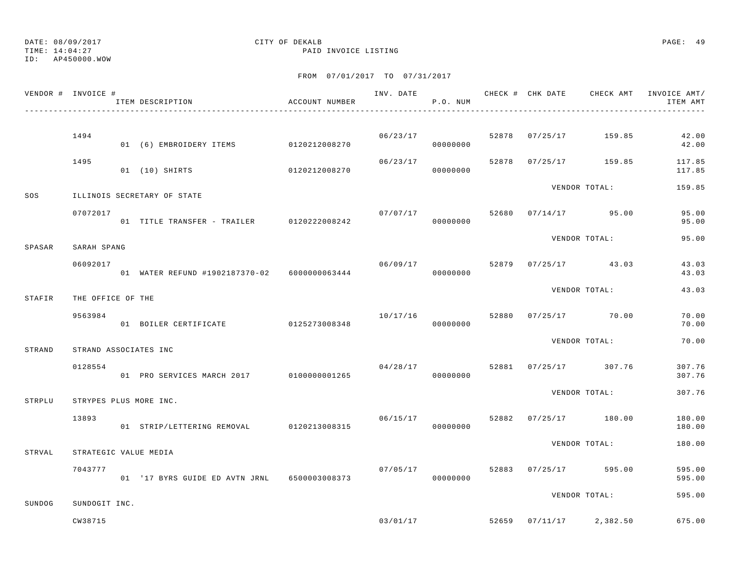TIME: 14:04:27 PAID INVOICE LISTING

ID: AP450000.WOW

|        | VENDOR # INVOICE # | ITEM DESCRIPTION                             | ACCOUNT NUMBER |          | P.O. NUM             |       | INV. DATE 6 1999 CHECK # CHK DATE CHECK AMT INVOICE AMT | ITEM AMT         |
|--------|--------------------|----------------------------------------------|----------------|----------|----------------------|-------|---------------------------------------------------------|------------------|
|        |                    |                                              |                |          |                      |       |                                                         |                  |
|        | 1494               | 01 (6) EMBROIDERY ITEMS 0120212008270        |                |          | 06/23/17<br>00000000 | 52878 | 07/25/17 159.85                                         | 42.00<br>42.00   |
|        | 1495               | 01 (10) SHIRTS                               | 0120212008270  | 06/23/17 | 00000000             | 52878 | 07/25/17 159.85                                         | 117.85<br>117.85 |
| SOS    |                    | ILLINOIS SECRETARY OF STATE                  |                |          |                      |       | VENDOR TOTAL:                                           | 159.85           |
|        | 07072017           | 01 TITLE TRANSFER - TRAILER 0120222008242    |                | 07/07/17 | 00000000             |       | 52680 07/14/17 95.00                                    | 95.00<br>95.00   |
| SPASAR | SARAH SPANG        |                                              |                |          |                      |       | VENDOR TOTAL:                                           | 95.00            |
|        | 06092017           | 01 WATER REFUND #1902187370-02 6000000063444 |                | 06/09/17 | 00000000             | 52879 | $07/25/17$ 43.03                                        | 43.03<br>43.03   |
| STAFIR | THE OFFICE OF THE  |                                              |                |          |                      |       | VENDOR TOTAL:                                           | 43.03            |
|        | 9563984            | 01 BOILER CERTIFICATE                        | 0125273008348  | 10/17/16 | 00000000             |       | 52880 07/25/17 70.00                                    | 70.00<br>70.00   |
| STRAND |                    | STRAND ASSOCIATES INC                        |                |          |                      |       | VENDOR TOTAL:                                           | 70.00            |
|        | 0128554            | 01 PRO SERVICES MARCH 2017 0100000001265     |                | 04/28/17 | 00000000             |       | 52881 07/25/17 307.76                                   | 307.76<br>307.76 |
| STRPLU |                    | STRYPES PLUS MORE INC.                       |                |          |                      |       | VENDOR TOTAL:                                           | 307.76           |
|        | 13893              | 01 STRIP/LETTERING REMOVAL 0120213008315     |                | 06/15/17 | 00000000             |       | 52882 07/25/17 180.00                                   | 180.00<br>180.00 |
| STRVAL |                    | STRATEGIC VALUE MEDIA                        |                |          |                      |       | VENDOR TOTAL:                                           | 180.00           |
|        | 7043777            | 01 '17 BYRS GUIDE ED AVTN JRNL 6500003008373 |                | 07/05/17 | 00000000             |       | 52883 07/25/17 595.00                                   | 595.00<br>595.00 |
| SUNDOG | SUNDOGIT INC.      |                                              |                |          |                      |       | VENDOR TOTAL:                                           | 595.00           |
|        | CW38715            |                                              |                | 03/01/17 |                      |       | 52659 07/11/17 2,382.50                                 | 675.00           |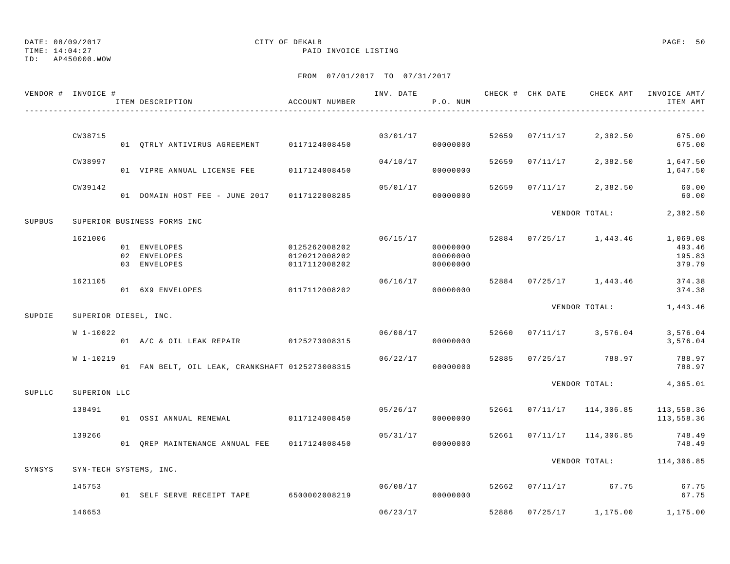## DATE: 08/09/2017 CITY OF DEKALB PAGE: 50

TIME: 14:04:27 PAID INVOICE LISTING

|        | VENDOR # INVOICE # | ITEM DESCRIPTION                                | ACCOUNT NUMBER                                  | INV. DATE | P.O. NUM                                     |       |          | CHECK # CHK DATE CHECK AMT                                                                                                                                                                                          | INVOICE AMT/<br>ITEM AMT               |
|--------|--------------------|-------------------------------------------------|-------------------------------------------------|-----------|----------------------------------------------|-------|----------|---------------------------------------------------------------------------------------------------------------------------------------------------------------------------------------------------------------------|----------------------------------------|
|        | CW38715            | 01 QTRLY ANTIVIRUS AGREEMENT                    | 0117124008450                                   |           | 03/01/17<br>00000000                         | 52659 | 07/11/17 | 2,382.50                                                                                                                                                                                                            | 675.00<br>675.00                       |
|        | CW38997            | 01 VIPRE ANNUAL LICENSE FEE                     | 0117124008450                                   | 04/10/17  | 00000000                                     | 52659 | 07/11/17 |                                                                                                                                                                                                                     | 1,647.50<br>1,647.50                   |
|        | CW39142            | 01 DOMAIN HOST FEE - JUNE 2017                  | 0117122008285                                   | 05/01/17  | 00000000                                     | 52659 | 07/11/17 |                                                                                                                                                                                                                     | 60.00<br>60.00                         |
| SUPBUS |                    | SUPERIOR BUSINESS FORMS INC                     |                                                 |           |                                              |       |          |                                                                                                                                                                                                                     | 2,382.50                               |
|        | 1621006            | 01 ENVELOPES<br>02 ENVELOPES<br>03 ENVELOPES    | 0125262008202<br>0120212008202<br>0117112008202 |           | 06/15/17<br>00000000<br>00000000<br>00000000 |       |          |                                                                                                                                                                                                                     | 1,069.08<br>493.46<br>195.83<br>379.79 |
|        | 1621105            | 01 6X9 ENVELOPES                                | 0117112008202                                   | 06/16/17  | 00000000                                     |       |          |                                                                                                                                                                                                                     | 374.38<br>374.38                       |
| SUPDIE |                    | SUPERIOR DIESEL, INC.                           |                                                 |           |                                              |       |          | 1,443.46                                                                                                                                                                                                            |                                        |
|        | W 1-10022          | 01 A/C & OIL LEAK REPAIR 0125273008315          |                                                 | 06/08/17  | 00000000                                     | 52660 |          | VENDOR TOTAL:<br>$07/11/17$ 3,576.04<br>$07/25/17$ 788.97                                                                                                                                                           | 3,576.04<br>3,576.04                   |
|        | W 1-10219          | 01 FAN BELT, OIL LEAK, CRANKSHAFT 0125273008315 |                                                 | 06/22/17  | 00000000                                     | 52885 |          |                                                                                                                                                                                                                     | 788.97<br>788.97                       |
| SUPLLC | SUPERION LLC       |                                                 |                                                 |           |                                              |       |          | 2,382.50<br>2,382.50<br>VENDOR TOTAL:<br>52884 07/25/17 1,443.46<br>52884 07/25/17 1,443.46<br>VENDOR TOTAL:<br>$07/11/17$ 114,306.85<br>114,306.85<br>VENDOR TOTAL: 114,306.85<br>52662 07/11/17 67.75<br>1,175.00 | 4,365.01                               |
|        | 138491             | 01 OSSI ANNUAL RENEWAL 0117124008450            |                                                 | 05/26/17  | 00000000                                     | 52661 |          |                                                                                                                                                                                                                     | 113,558.36<br>113,558.36               |
|        | 139266             | 01 QREP MAINTENANCE ANNUAL FEE 0117124008450    |                                                 | 05/31/17  | 00000000                                     | 52661 | 07/11/17 |                                                                                                                                                                                                                     | 748.49<br>748.49                       |
| SYNSYS |                    | SYN-TECH SYSTEMS, INC.                          |                                                 |           |                                              |       |          |                                                                                                                                                                                                                     |                                        |
|        | 145753             | 01 SELF SERVE RECEIPT TAPE                      | 6500002008219                                   | 06/08/17  | 00000000                                     |       |          |                                                                                                                                                                                                                     | 67.75<br>67.75                         |
|        | 146653             |                                                 |                                                 | 06/23/17  |                                              | 52886 | 07/25/17 |                                                                                                                                                                                                                     | 1,175.00                               |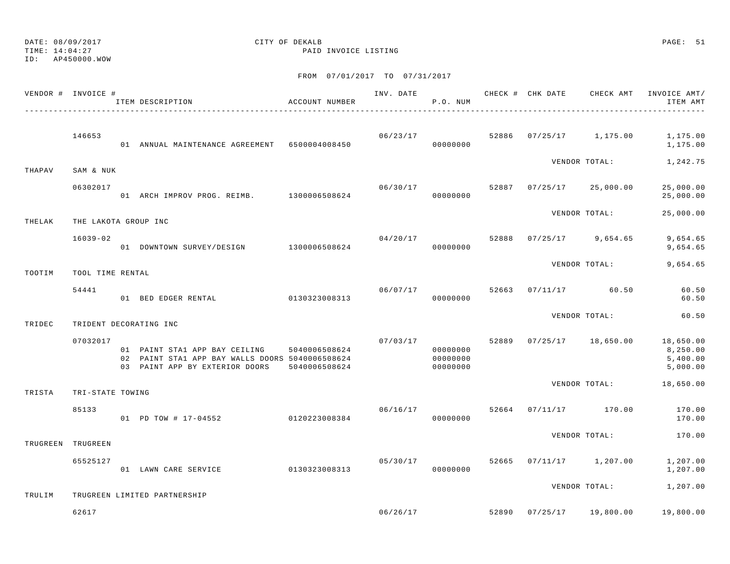TIME: 14:04:27 PAID INVOICE LISTING ID: AP450000.WOW FROM 07/01/2017 TO 07/31/2017 VENDOR # INVOICE # INVOICE # INV. DATE CHECK # CHK DATE CHECK AMT INVOICE AMT/ ITEM DESCRIPTION ACCOUNT NUMBER P.O. NUM ITEM AMT---------------------------------------------------------------------------------------------------------------------------------------------- 146653 06/23/17 52886 07/25/17 1,175.00 1,175.00 01 ANNUAL MAINTENANCE AGREEMENT 6500004008450 00000000 1,175.00 VENDOR TOTAL: 1,242.75 THAPAV SAM & NUK 06302017 06/30/17 52887 07/25/17 25,000.00 25,000.00 01 ARCH IMPROV PROG. REIMB. 1300006508624 00000000 25,000.00 VENDOR TOTAL: 25,000.00 THELAK THE LAKOTA GROUP INC 16039-02 04/20/17 52888 07/25/17 9,654.65 9,654.65 01 DOWNTOWN SURVEY/DESIGN 1300006508624 00000000 9,654.65 VENDOR TOTAL: 9,654.65 TOOTIM TOOL TIME RENTAL 54441 06/07/17 52663 07/11/17 60.50 60.50 01 BED EDGER RENTAL 0130323008313 00000000 60.50VENDOR TOTAL: 60.50TRIDEC TRIDENT DECORATING INC 07032017 07/03/17 52889 07/25/17 18,650.00 18,650.00 01 PAINT STA1 APP BAY CEILING 5040006508624 000000000 00000000 0000000 8,250.00 02 PAINT STA1 APP BAY WALLS DOORS 5040006508624 00000000 0000000 0000000 5,400.00 03 PAINT APP BY EXTERIOR DOORS 5040006508624 000000000 0000000 0000000 5,000.00 VENDOR TOTAL: 18,650.00 TRISTA TRI-STATE TOWING 85133 06/16/17 52664 07/11/17 170.00 170.00 01 PD TOW # 17-04552 0120223008384 00000000 170.00VENDOR TOTAL: 170.00 TRUGREEN TRUGREEN 65525127 05/30/17 52665 07/11/17 1,207.00 1,207.00 01 LAWN CARE SERVICE 0130323008313 00000000 00000000 1,207.00

VENDOR TOTAL: 1,207.00

DATE: 08/09/2017 CITY OF DEKALB PAGE: 51

TRULIM TRUGREEN LIMITED PARTNERSHIP

62617 06/26/17 52890 07/25/17 19,800.00 19,800.00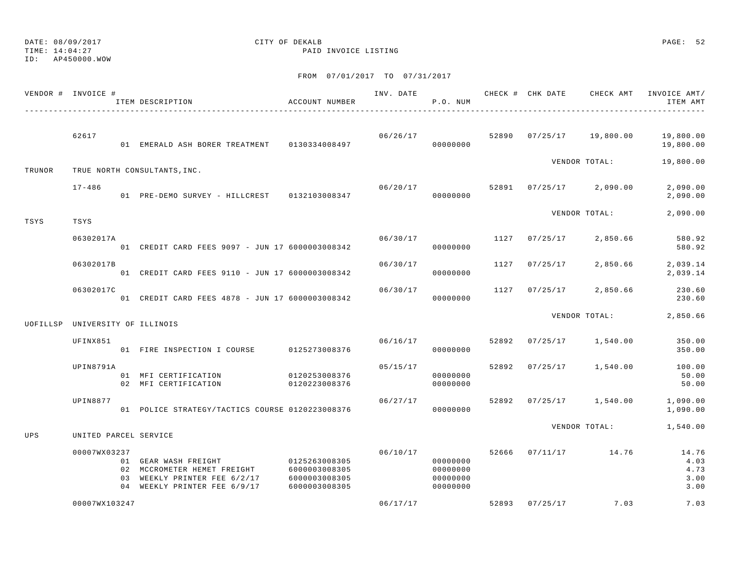## DATE: 08/09/2017 CITY OF DEKALB PAGE: 52

TIME: 14:04:27 PAID INVOICE LISTING

|          | VENDOR # INVOICE #    | ITEM DESCRIPTION                                                                                                    | ACCOUNT NUMBER                                                   | INV. DATE | P.O. NUM                                     |       | CHECK # CHK DATE | CHECK AMT           | INVOICE AMT/<br>ITEM AMT              |
|----------|-----------------------|---------------------------------------------------------------------------------------------------------------------|------------------------------------------------------------------|-----------|----------------------------------------------|-------|------------------|---------------------|---------------------------------------|
|          | 62617                 | 01 EMERALD ASH BORER TREATMENT 0130334008497                                                                        |                                                                  | 06/26/17  | 00000000                                     | 52890 | 07/25/17         | 19,800.00           | 19,800.00<br>19,800.00                |
| TRUNOR   |                       | TRUE NORTH CONSULTANTS, INC.                                                                                        |                                                                  |           |                                              |       |                  | VENDOR TOTAL:       | 19,800.00                             |
|          | $17 - 486$            | 01 PRE-DEMO SURVEY - HILLCREST 0132103008347                                                                        |                                                                  | 06/20/17  | 00000000                                     | 52891 |                  | $07/25/17$ 2,090.00 | 2,090.00<br>2,090.00                  |
| TSYS     | TSYS                  |                                                                                                                     |                                                                  |           |                                              |       |                  | VENDOR TOTAL:       | 2,090.00                              |
|          | 06302017A             | 01 CREDIT CARD FEES 9097 - JUN 17 6000003008342                                                                     |                                                                  | 06/30/17  | 00000000                                     | 1127  | 07/25/17         | 2,850.66            | 580.92<br>580.92                      |
|          | 06302017B             | 01 CREDIT CARD FEES 9110 - JUN 17 6000003008342                                                                     |                                                                  | 06/30/17  | 00000000                                     | 1127  | 07/25/17         | 2,850.66            | 2,039.14<br>2,039.14                  |
|          | 06302017C             | 01 CREDIT CARD FEES 4878 - JUN 17 6000003008342                                                                     |                                                                  | 06/30/17  | 00000000                                     | 1127  | 07/25/17         | 2,850.66            | 230.60<br>230.60                      |
| UOFILLSP |                       | UNIVERSITY OF ILLINOIS                                                                                              |                                                                  |           |                                              |       |                  | VENDOR TOTAL:       | 2,850.66                              |
|          | UFINX851              | 01 FIRE INSPECTION I COURSE                                                                                         | 0125273008376                                                    | 06/16/17  | 00000000                                     | 52892 | 07/25/17         | 1,540.00            | 350.00<br>350.00                      |
|          | UPIN8791A             | 01 MFI CERTIFICATION<br>02 MFI CERTIFICATION                                                                        | 0120253008376<br>0120223008376                                   | 05/15/17  | 00000000<br>00000000                         | 52892 | 07/25/17         | 1,540.00            | 100.00<br>50.00<br>50.00              |
|          | UPIN8877              | 01 POLICE STRATEGY/TACTICS COURSE 0120223008376                                                                     |                                                                  | 06/27/17  | 00000000                                     | 52892 |                  | $07/25/17$ 1,540.00 | 1,090.00<br>1,090.00                  |
| UPS      | UNITED PARCEL SERVICE |                                                                                                                     |                                                                  |           |                                              |       |                  | VENDOR TOTAL:       | 1,540.00                              |
|          | 00007WX03237          | 01 GEAR WASH FREIGHT<br>02 MCCROMETER HEMET FREIGHT<br>03 WEEKLY PRINTER FEE 6/2/17<br>04 WEEKLY PRINTER FEE 6/9/17 | 0125263008305<br>6000003008305<br>6000003008305<br>6000003008305 | 06/10/17  | 00000000<br>00000000<br>00000000<br>00000000 | 52666 |                  | 07/11/17 14.76      | 14.76<br>4.03<br>4.73<br>3.00<br>3.00 |
|          | 00007WX103247         |                                                                                                                     |                                                                  | 06/17/17  |                                              | 52893 | 07/25/17         | 7.03                | 7.03                                  |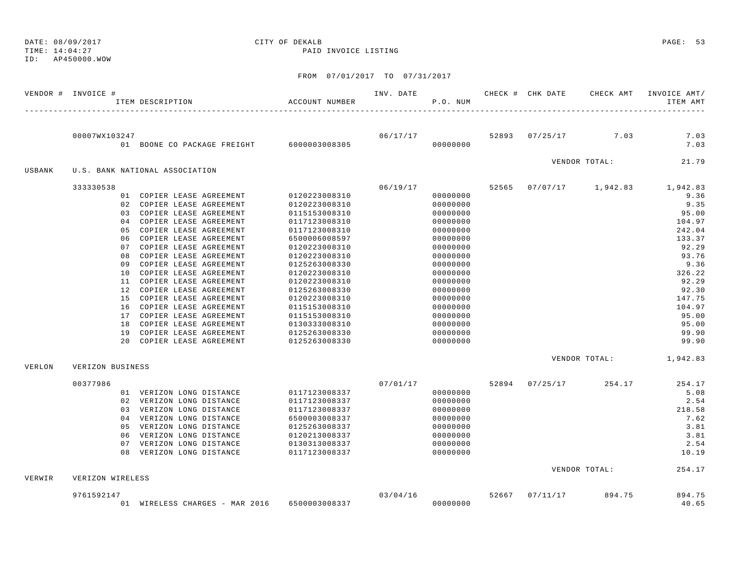DATE: 08/09/2017 CITY OF DEKALB PAGE: 53 TIME: 14:04:27 PAID INVOICE LISTING

ID: AP450000.WOW

|        | VENDOR # INVOICE # | ITEM DESCRIPTION                                       | ACCOUNT NUMBER                 | INV. DATE | P.O. NUM             | CHECK # CHK DATE | CHECK AMT                      | INVOICE AMT/<br>ITEM AMT         |
|--------|--------------------|--------------------------------------------------------|--------------------------------|-----------|----------------------|------------------|--------------------------------|----------------------------------|
|        | 00007WX103247      |                                                        |                                |           |                      |                  | $06/17/17$ 52893 07/25/17 7.03 | 7.03                             |
|        |                    | 01 BOONE CO PACKAGE FREIGHT 6000003008305              |                                |           | 00000000             |                  |                                | 7.03                             |
| USBANK |                    | U.S. BANK NATIONAL ASSOCIATION                         |                                |           |                      |                  | VENDOR TOTAL:                  | 21.79                            |
|        | 333330538          |                                                        |                                | 06/19/17  |                      |                  |                                | 52565 07/07/17 1,942.83 1,942.83 |
|        |                    | 01 COPIER LEASE AGREEMENT                              | 0120223008310                  |           | 00000000             |                  |                                | 9.36                             |
|        |                    | 02 COPIER LEASE AGREEMENT                              | 0120223008310                  |           | 00000000             |                  |                                | 9.35                             |
|        |                    | 03 COPIER LEASE AGREEMENT                              | 0115153008310                  |           | 00000000             |                  |                                | 95.00                            |
|        |                    | 04 COPIER LEASE AGREEMENT                              | 0117123008310                  |           | 00000000             |                  |                                | 104.97                           |
|        |                    | 05 COPIER LEASE AGREEMENT                              | 0117123008310                  |           | 00000000             |                  |                                | 242.04                           |
|        |                    | 06 COPIER LEASE AGREEMENT                              | 6500006008597                  |           | 00000000             |                  |                                | 133.37                           |
|        |                    | 07 COPIER LEASE AGREEMENT                              | 0120223008310                  |           | 00000000             |                  |                                | 92.29                            |
|        |                    | 08 COPIER LEASE AGREEMENT                              | 0120223008310                  |           | 00000000             |                  |                                | 93.76                            |
|        |                    | 09 COPIER LEASE AGREEMENT                              | 0125263008330                  |           | 00000000             |                  |                                | 9.36                             |
|        |                    | 10 COPIER LEASE AGREEMENT                              | 0120223008310                  |           | 00000000             |                  |                                | 326.22                           |
|        |                    | 11 COPIER LEASE AGREEMENT                              | 0120223008310                  |           | 00000000             |                  |                                | 92.29                            |
|        |                    | 12 COPIER LEASE AGREEMENT                              | 0125263008330                  |           | 00000000             |                  |                                | 92.30                            |
|        |                    | 15 COPIER LEASE AGREEMENT                              | 0120223008310                  |           | 00000000             |                  |                                | 147.75                           |
|        |                    | 16 COPIER LEASE AGREEMENT                              | 0115153008310                  |           | 00000000             |                  |                                | 104.97                           |
|        |                    | 17 COPIER LEASE AGREEMENT                              | 0115153008310                  |           | 00000000             |                  |                                | 95.00                            |
|        |                    | 18 COPIER LEASE AGREEMENT                              | 0130333008310                  |           | 00000000             |                  |                                | 95.00                            |
|        |                    | 19 COPIER LEASE AGREEMENT<br>20 COPIER LEASE AGREEMENT | 0125263008330<br>0125263008330 |           | 00000000<br>00000000 |                  |                                | 99.90<br>99.90                   |
|        |                    |                                                        |                                |           |                      |                  |                                |                                  |
| VERLON | VERIZON BUSINESS   |                                                        |                                |           |                      |                  | VENDOR TOTAL: 1,942.83         |                                  |
|        |                    |                                                        |                                |           |                      |                  |                                |                                  |
|        | 00377986           |                                                        |                                | 07/01/17  |                      | 52894 07/25/17   | 254.17                         | 254.17                           |
|        |                    | 01 VERIZON LONG DISTANCE                               | 0117123008337                  |           | 00000000             |                  |                                | 5.08                             |
|        |                    | 02 VERIZON LONG DISTANCE                               | 0117123008337                  |           | 00000000             |                  |                                | 2.54                             |
|        |                    | 03 VERIZON LONG DISTANCE                               | 0117123008337                  |           | 00000000             |                  |                                | 218.58                           |
|        |                    | 04 VERIZON LONG DISTANCE                               | 6500003008337                  |           | 00000000             |                  |                                | 7.62                             |
|        |                    | 05 VERIZON LONG DISTANCE                               | 0125263008337                  |           | 00000000             |                  |                                | 3.81                             |
|        |                    | 06 VERIZON LONG DISTANCE                               | 0120213008337                  |           | 00000000             |                  |                                | 3.81                             |
|        |                    | 07 VERIZON LONG DISTANCE<br>08 VERIZON LONG DISTANCE   | 0130313008337<br>0117123008337 |           | 00000000<br>00000000 |                  |                                | 2.54<br>10.19                    |
|        |                    |                                                        |                                |           |                      |                  |                                |                                  |
| VERWIR | VERIZON WIRELESS   |                                                        |                                |           |                      |                  | VENDOR TOTAL:                  | 254.17                           |
|        | 9761592147         |                                                        |                                | 03/04/16  |                      | 52667 07/11/17   | 894.75                         | 894.75                           |
|        |                    | 01 WIRELESS CHARGES - MAR 2016                         | 6500003008337                  |           | 00000000             |                  |                                | 40.65                            |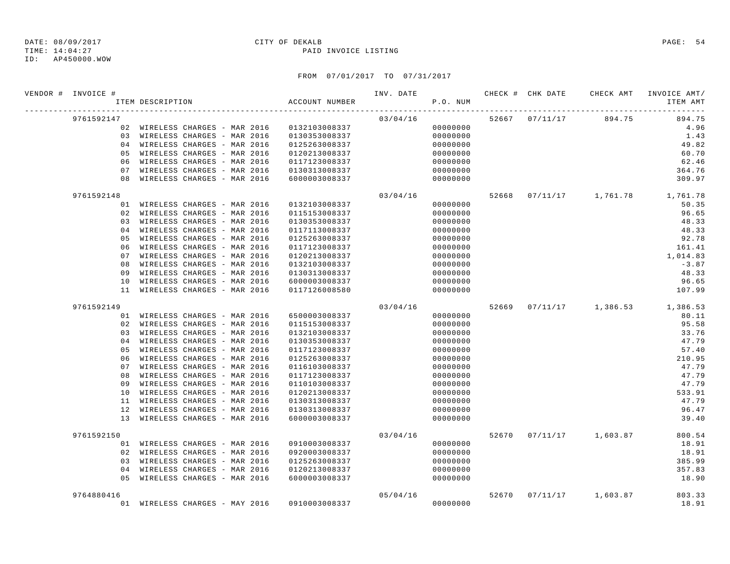## ID: AP450000.WOW

### FROM 07/01/2017 TO 07/31/2017

| VENDOR # INVOICE # | ITEM DESCRIPTION                             | ACCOUNT NUMBER |          | P.O. NUM |  |                                     | ITEM AMT |
|--------------------|----------------------------------------------|----------------|----------|----------|--|-------------------------------------|----------|
| 9761592147         |                                              |                | 03/04/16 |          |  | 52667 07/11/17 894.75               | 894.75   |
|                    | 02 WIRELESS CHARGES - MAR 2016 0132103008337 |                |          | 00000000 |  |                                     | 4.96     |
|                    | 03 WIRELESS CHARGES - MAR 2016               | 0130353008337  |          | 00000000 |  |                                     | 1.43     |
|                    | 04 WIRELESS CHARGES - MAR 2016               | 0125263008337  |          | 00000000 |  |                                     | 49.82    |
|                    | 05 WIRELESS CHARGES - MAR 2016               | 0120213008337  |          | 00000000 |  |                                     | 60.70    |
|                    | 06 WIRELESS CHARGES - MAR 2016               | 0117123008337  |          | 00000000 |  |                                     | 62.46    |
|                    | 07 WIRELESS CHARGES - MAR 2016               | 0130313008337  |          | 00000000 |  |                                     | 364.76   |
|                    | 08 WIRELESS CHARGES - MAR 2016               | 6000003008337  |          | 00000000 |  |                                     | 309.97   |
| 9761592148         |                                              |                | 03/04/16 |          |  | 52668  07/11/17  1,761.78  1,761.78 |          |
|                    | 01 WIRELESS CHARGES - MAR 2016               | 0132103008337  |          | 00000000 |  |                                     | 50.35    |
|                    | 02 WIRELESS CHARGES - MAR 2016               | 0115153008337  |          | 00000000 |  |                                     | 96.65    |
|                    | 03 WIRELESS CHARGES - MAR 2016               | 0130353008337  |          | 00000000 |  |                                     | 48.33    |
|                    | 04 WIRELESS CHARGES - MAR 2016               | 0117113008337  |          | 00000000 |  |                                     | 48.33    |
|                    | 05 WIRELESS CHARGES - MAR 2016               | 0125263008337  |          | 00000000 |  |                                     | 92.78    |
| 06                 | WIRELESS CHARGES - MAR 2016                  | 0117123008337  |          | 00000000 |  |                                     | 161.41   |
|                    | 07 WIRELESS CHARGES - MAR 2016               | 0120213008337  |          | 00000000 |  |                                     | 1,014.83 |
|                    | 08 WIRELESS CHARGES - MAR 2016               | 0132103008337  |          | 00000000 |  |                                     | $-3.87$  |
|                    | 09 WIRELESS CHARGES - MAR 2016               | 0130313008337  |          | 00000000 |  |                                     | 48.33    |
| 10                 | WIRELESS CHARGES - MAR 2016                  | 6000003008337  |          | 00000000 |  |                                     | 96.65    |
|                    | 11 WIRELESS CHARGES - MAR 2016               | 0117126008580  |          | 00000000 |  |                                     | 107.99   |
| 9761592149         |                                              |                | 03/04/16 |          |  | 52669 07/11/17 1,386.53 1,386.53    |          |
|                    | 01 WIRELESS CHARGES - MAR 2016               | 6500003008337  |          | 00000000 |  |                                     | 80.11    |
|                    | 02 WIRELESS CHARGES - MAR 2016               | 0115153008337  |          | 00000000 |  |                                     | 95.58    |
|                    | 03 WIRELESS CHARGES - MAR 2016               | 0132103008337  |          | 00000000 |  |                                     | 33.76    |
|                    | 04 WIRELESS CHARGES - MAR 2016               | 0130353008337  |          | 00000000 |  |                                     | 47.79    |
| 05                 | WIRELESS CHARGES - MAR 2016                  | 0117123008337  |          | 00000000 |  |                                     | 57.40    |
| 06                 | WIRELESS CHARGES - MAR 2016                  | 0125263008337  |          | 00000000 |  |                                     | 210.95   |
|                    | 07 WIRELESS CHARGES - MAR 2016               | 0116103008337  |          | 00000000 |  |                                     | 47.79    |
| 08                 | WIRELESS CHARGES - MAR 2016                  | 0117123008337  |          | 00000000 |  |                                     | 47.79    |
|                    | 09 WIRELESS CHARGES - MAR 2016               | 0110103008337  |          | 00000000 |  |                                     | 47.79    |
|                    | 10 WIRELESS CHARGES - MAR 2016               | 0120213008337  |          | 00000000 |  |                                     | 533.91   |
|                    | 11 WIRELESS CHARGES - MAR 2016               | 0130313008337  |          | 00000000 |  |                                     | 47.79    |
|                    | 12 WIRELESS CHARGES - MAR 2016               | 0130313008337  |          | 00000000 |  |                                     | 96.47    |
|                    | 13 WIRELESS CHARGES - MAR 2016               | 6000003008337  |          | 00000000 |  |                                     | 39.40    |
| 9761592150         |                                              |                | 03/04/16 |          |  | 52670 07/11/17 1,603.87             | 800.54   |
|                    | 01 WIRELESS CHARGES - MAR 2016               | 0910003008337  |          | 00000000 |  |                                     | 18.91    |
|                    | 02 WIRELESS CHARGES - MAR 2016               | 0920003008337  |          | 00000000 |  |                                     | 18.91    |
|                    | 03 WIRELESS CHARGES - MAR 2016               | 0125263008337  |          | 00000000 |  |                                     | 385.99   |
|                    | 04 WIRELESS CHARGES - MAR 2016               | 0120213008337  |          | 00000000 |  |                                     | 357.83   |
|                    | 05 WIRELESS CHARGES - MAR 2016               | 6000003008337  |          | 00000000 |  |                                     | 18.90    |
| 9764880416         |                                              |                | 05/04/16 |          |  | 52670 07/11/17 1,603.87             | 803.33   |
|                    | 01 WIRELESS CHARGES - MAY 2016 0910003008337 |                |          | 00000000 |  |                                     | 18.91    |

TIME: 14:04:27 PAID INVOICE LISTING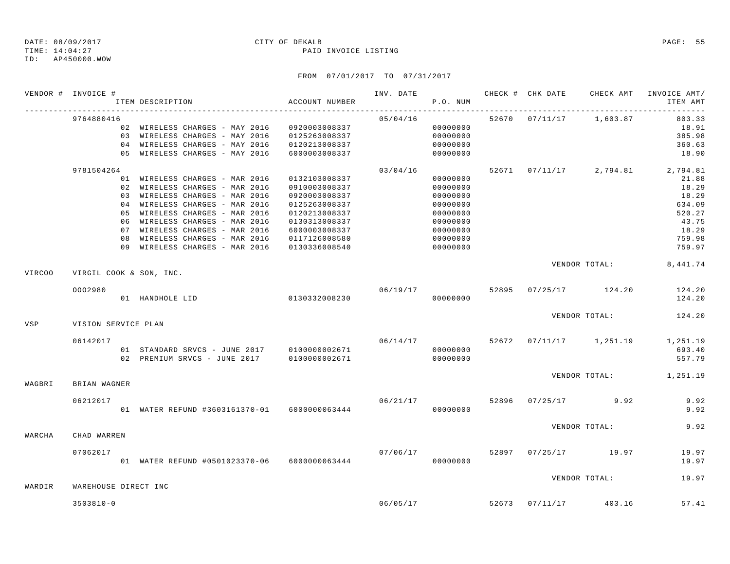## ID: AP450000.WOW

## FROM 07/01/2017 TO 07/31/2017

|        | VENDOR # INVOICE #      | ITEM DESCRIPTION                                                 | ACCOUNT NUMBER                 |                      | P.O. NUM             |  |                         | INV. DATE 6 CHECK # CHK DATE CHECK AMT INVOICE AMT/<br>ITEM AMT |
|--------|-------------------------|------------------------------------------------------------------|--------------------------------|----------------------|----------------------|--|-------------------------|-----------------------------------------------------------------|
|        | 9764880416              |                                                                  |                                | 05/04/16             |                      |  | 52670 07/11/17 1,603.87 | 803.33                                                          |
|        |                         | 02 WIRELESS CHARGES - MAY 2016 0920003008337                     |                                |                      | 00000000             |  |                         | 18.91                                                           |
|        |                         | 03 WIRELESS CHARGES - MAY 2016                                   | 0125263008337                  |                      | 00000000             |  |                         | 385.98                                                          |
|        |                         | 04 WIRELESS CHARGES - MAY 2016                                   | 0120213008337                  |                      | 00000000             |  |                         | 360.63                                                          |
|        |                         | 05 WIRELESS CHARGES - MAY 2016                                   | 6000003008337                  |                      | 00000000             |  |                         | 18.90                                                           |
|        | 9781504264              |                                                                  |                                | 03/04/16             |                      |  |                         | 52671 07/11/17 2,794.81 2,794.81                                |
|        |                         | 01 WIRELESS CHARGES - MAR 2016                                   | 0132103008337                  |                      | 00000000             |  |                         | 21.88                                                           |
|        |                         | 02 WIRELESS CHARGES - MAR 2016                                   | 0910003008337                  |                      | 00000000             |  |                         | 18.29                                                           |
|        |                         | 03 WIRELESS CHARGES - MAR 2016                                   | 0920003008337                  |                      | 00000000             |  |                         | 18.29                                                           |
|        |                         | 04 WIRELESS CHARGES - MAR 2016                                   | 0125263008337                  |                      | 00000000             |  |                         | 634.09                                                          |
|        |                         | 05 WIRELESS CHARGES - MAR 2016                                   | 0120213008337                  |                      | 00000000             |  |                         | 520.27                                                          |
|        |                         | 06 WIRELESS CHARGES - MAR 2016<br>07 WIRELESS CHARGES - MAR 2016 | 0130313008337                  |                      | 00000000             |  |                         | 43.75<br>18.29                                                  |
|        |                         | 08 WIRELESS CHARGES - MAR 2016                                   | 6000003008337                  |                      | 00000000             |  |                         | 759.98                                                          |
|        |                         | 09 WIRELESS CHARGES - MAR 2016                                   | 0117126008580<br>0130336008540 |                      | 00000000<br>00000000 |  |                         | 759.97                                                          |
|        |                         |                                                                  |                                |                      |                      |  |                         |                                                                 |
| VIRC00 | VIRGIL COOK & SON, INC. |                                                                  |                                |                      |                      |  |                         | VENDOR TOTAL: 8,441.74                                          |
|        |                         |                                                                  |                                |                      |                      |  |                         |                                                                 |
|        | 0002980                 | 01 HANDHOLE LID 0130332008230                                    |                                | 06/19/17<br>00000000 |                      |  | 52895 07/25/17 124.20   | 124.20<br>124.20                                                |
|        |                         |                                                                  |                                |                      |                      |  |                         |                                                                 |
| VSP    | VISION SERVICE PLAN     |                                                                  |                                |                      |                      |  |                         | VENDOR TOTAL: 124.20                                            |
|        |                         |                                                                  |                                |                      |                      |  |                         |                                                                 |
|        | 06142017                |                                                                  |                                | 06/14/17             |                      |  |                         | 52672 07/11/17 1,251.19 1,251.19                                |
|        |                         | 01 STANDARD SRVCS - JUNE 2017 0100000002671                      |                                |                      | 00000000             |  |                         | 693.40                                                          |
|        |                         |                                                                  |                                |                      |                      |  |                         | 557.79                                                          |
| WAGBRI | BRIAN WAGNER            |                                                                  |                                |                      |                      |  |                         | VENDOR TOTAL: 1,251.19                                          |
|        |                         |                                                                  |                                |                      |                      |  |                         |                                                                 |
|        | 06212017                |                                                                  |                                | 06/21/17             |                      |  | 52896 07/25/17 9.92     | 9.92<br>9.92                                                    |
|        |                         |                                                                  |                                |                      |                      |  |                         |                                                                 |
| WARCHA | CHAD WARREN             |                                                                  |                                |                      |                      |  | VENDOR TOTAL:           | 9.92                                                            |
|        |                         |                                                                  |                                |                      |                      |  |                         |                                                                 |
|        | 07062017                | 01 WATER REFUND #0501023370-06 6000000063444                     |                                | 07/06/17             | 00000000             |  | 52897 07/25/17 19.97    | 19.97<br>19.97                                                  |
|        |                         |                                                                  |                                |                      |                      |  |                         |                                                                 |
| WARDIR | WAREHOUSE DIRECT INC    |                                                                  |                                |                      |                      |  | VENDOR TOTAL:           | 19.97                                                           |
|        |                         |                                                                  |                                |                      |                      |  |                         |                                                                 |
|        | $3503810 - 0$           |                                                                  |                                |                      | 06/05/17             |  | 52673 07/11/17 403.16   | 57.41                                                           |

TIME: 14:04:27 PAID INVOICE LISTING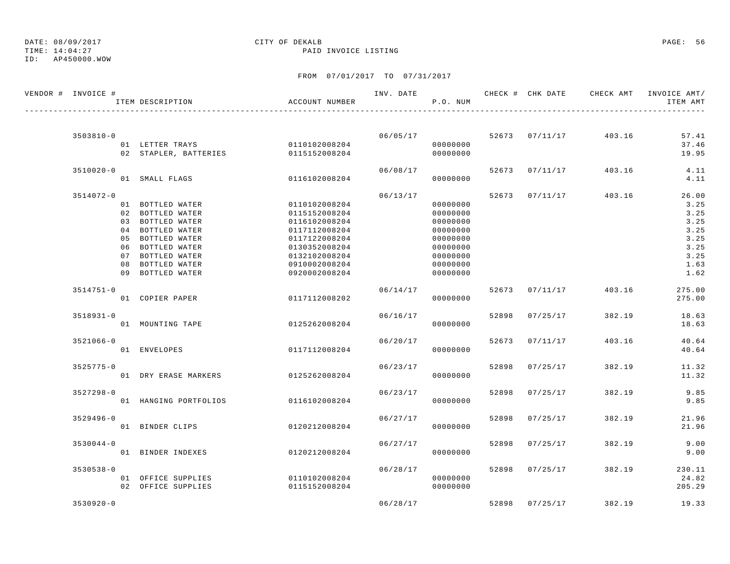TIME: 14:04:27 PAID INVOICE LISTING

ID: AP450000.WOW

| VENDOR # INVOICE # | ITEM DESCRIPTION                     | ACCOUNT NUMBER                 |          | P.O. NUM             |       |                | INV. DATE 6 CHECK # CHK DATE CHECK AMT INVOICE AMT/ | ITEM AMT         |
|--------------------|--------------------------------------|--------------------------------|----------|----------------------|-------|----------------|-----------------------------------------------------|------------------|
|                    |                                      |                                |          |                      |       |                |                                                     |                  |
| $3503810 - 0$      |                                      |                                |          | 06/05/17             |       | 52673 07/11/17 | 403.16                                              | 57.41            |
|                    | 01 LETTER TRAYS 0110102008204        |                                |          | 00000000             |       |                |                                                     | 37.46            |
|                    | 02 STAPLER, BATTERIES 0115152008204  |                                |          | 00000000             |       |                |                                                     | 19.95            |
| $3510020 - 0$      |                                      |                                |          | 06/08/17             |       | 52673 07/11/17 | 403.16                                              | 4.11             |
|                    | 01 SMALL FLAGS                       | 0116102008204                  |          | 00000000             |       |                |                                                     | 4.11             |
| 3514072-0          |                                      |                                | 06/13/17 |                      |       | 52673 07/11/17 | 403.16                                              | 26.00            |
|                    | 01 BOTTLED WATER                     | 0110102008204                  |          | 00000000             |       |                |                                                     | 3.25             |
|                    | 02 BOTTLED WATER                     | 0115152008204                  |          | 00000000             |       |                |                                                     | 3.25             |
|                    | 03 BOTTLED WATER                     | 0116102008204                  |          | 00000000             |       |                |                                                     | 3.25             |
|                    | 04 BOTTLED WATER                     | 0117112008204                  |          | 00000000             |       |                |                                                     | 3.25             |
|                    | 05 BOTTLED WATER                     | 0117122008204                  |          | 00000000             |       |                |                                                     | 3.25             |
|                    | 06 BOTTLED WATER                     | 0130352008204                  |          | 00000000             |       |                |                                                     | 3.25             |
|                    | 07 BOTTLED WATER                     | 0132102008204                  |          | 00000000             |       |                |                                                     | 3.25             |
|                    | 08 BOTTLED WATER<br>09 BOTTLED WATER | 0910002008204<br>0920002008204 |          | 00000000<br>00000000 |       |                |                                                     | 1.63<br>1.62     |
|                    |                                      |                                |          |                      |       |                |                                                     |                  |
| $3514751 - 0$      | 01 COPIER PAPER                      | 0117112008202                  | 06/14/17 | 00000000             |       | 52673 07/11/17 | 403.16                                              | 275.00<br>275.00 |
|                    |                                      |                                |          |                      |       |                |                                                     |                  |
| $3518931 - 0$      |                                      |                                | 06/16/17 |                      | 52898 | 07/25/17       | 382.19                                              | 18.63            |
|                    | 01 MOUNTING TAPE                     | 0125262008204                  |          | 00000000             |       |                |                                                     | 18.63            |
| $3521066 - 0$      |                                      |                                | 06/20/17 |                      |       | 52673 07/11/17 | 403.16                                              | 40.64            |
|                    | 01 ENVELOPES                         | 0117112008204                  |          | 00000000             |       |                |                                                     | 40.64            |
| $3525775 - 0$      |                                      |                                | 06/23/17 |                      |       | 52898 07/25/17 | 382.19                                              | 11.32            |
|                    | 01 DRY ERASE MARKERS                 | 0125262008204                  |          | 00000000             |       |                |                                                     | 11.32            |
| $3527298 - 0$      |                                      |                                |          | 06/23/17             | 52898 | 07/25/17       | 382.19                                              | 9.85             |
|                    | 01 HANGING PORTFOLIOS                | 0116102008204                  |          | 00000000             |       |                |                                                     | 9.85             |
| $3529496 - 0$      |                                      |                                | 06/27/17 |                      |       | 52898 07/25/17 | 382.19                                              | 21.96            |
|                    | 01 BINDER CLIPS                      | 0120212008204                  |          | 00000000             |       |                |                                                     | 21.96            |
|                    |                                      |                                |          |                      |       |                |                                                     |                  |
| $3530044 - 0$      | 01 BINDER INDEXES                    | 0120212008204                  | 06/27/17 | 00000000             |       | 52898 07/25/17 | 382.19                                              | 9.00<br>9.00     |
|                    |                                      |                                |          |                      |       |                |                                                     |                  |
| $3530538 - 0$      |                                      |                                | 06/28/17 |                      |       | 52898 07/25/17 | 382.19                                              | 230.11           |
|                    | 01 OFFICE SUPPLIES                   | 0110102008204                  |          | 00000000             |       |                |                                                     | 24.82            |
|                    | 02 OFFICE SUPPLIES                   | 0115152008204                  |          | 00000000             |       |                |                                                     | 205.29           |
| $3530920 - 0$      |                                      |                                | 06/28/17 |                      |       | 52898 07/25/17 | 382.19                                              | 19.33            |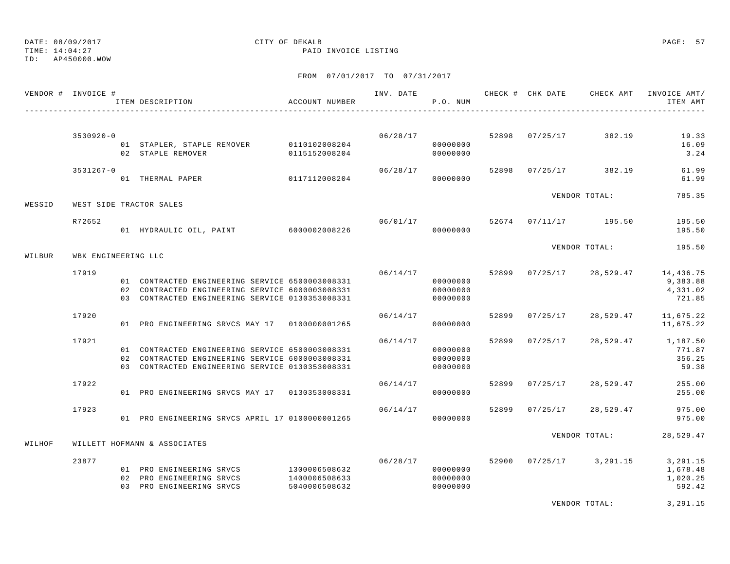TIME: 14:04:27 PAID INVOICE LISTING

ID: AP450000.WOW

## FROM 07/01/2017 TO 07/31/2017

|        | VENDOR # INVOICE #  | ITEM DESCRIPTION<br>------------------------------                                                                                                    | ACCOUNT NUMBER                                  |          | P.O. NUM                         |       | INV. DATE 6 CHECK # CHK DATE CHECK AMT INVOICE AMT/ | ITEM AMT                                   |
|--------|---------------------|-------------------------------------------------------------------------------------------------------------------------------------------------------|-------------------------------------------------|----------|----------------------------------|-------|-----------------------------------------------------|--------------------------------------------|
|        | $3530920 - 0$       |                                                                                                                                                       |                                                 |          |                                  |       | $06/28/17$ 52898 07/25/17 382.19                    | 19.33                                      |
|        |                     | 01 STAPLER, STAPLE REMOVER 0110102008204<br>02 STAPLE REMOVER                                                                                         | 0115152008204                                   |          | 00000000<br>00000000             |       |                                                     | 16.09<br>3.24                              |
|        | 3531267-0           | 01 THERMAL PAPER                                                                                                                                      | 0117112008204                                   | 06/28/17 | 00000000                         |       | 52898 07/25/17 382.19                               | 61.99<br>61.99                             |
| WESSID |                     | WEST SIDE TRACTOR SALES                                                                                                                               |                                                 |          |                                  |       | VENDOR TOTAL:                                       | 785.35                                     |
|        | R72652              | 01 HYDRAULIC OIL, PAINT 6000002008226                                                                                                                 |                                                 |          | 00000000                         |       | $06/01/17$ 52674 07/11/17 195.50                    | 195.50<br>195.50                           |
| WILBUR | WBK ENGINEERING LLC |                                                                                                                                                       |                                                 |          |                                  |       | VENDOR TOTAL:                                       | 195.50                                     |
|        | 17919               |                                                                                                                                                       |                                                 | 06/14/17 |                                  |       | 52899 07/25/17 28,529.47                            | 14,436.75                                  |
|        |                     | 01 CONTRACTED ENGINEERING SERVICE 6500003008331<br>02 CONTRACTED ENGINEERING SERVICE 6000003008331<br>03 CONTRACTED ENGINEERING SERVICE 0130353008331 |                                                 |          | 00000000<br>00000000<br>00000000 |       |                                                     | 9,383.88<br>4,331.02<br>721.85             |
|        | 17920               | 01 PRO ENGINEERING SRVCS MAY 17 0100000001265                                                                                                         |                                                 | 06/14/17 | 00000000                         |       | 52899 07/25/17 28,529.47                            | 11,675.22<br>11,675.22                     |
|        | 17921               | 01 CONTRACTED ENGINEERING SERVICE 6500003008331<br>02 CONTRACTED ENGINEERING SERVICE 6000003008331<br>03 CONTRACTED ENGINEERING SERVICE 0130353008331 |                                                 | 06/14/17 | 00000000<br>00000000<br>00000000 |       | 52899 07/25/17 28,529.47                            | 1,187.50<br>771.87<br>356.25<br>59.38      |
|        | 17922               | 01 PRO ENGINEERING SRVCS MAY 17 0130353008331                                                                                                         |                                                 | 06/14/17 | 00000000                         |       | 52899 07/25/17 28,529.47                            | 255.00<br>255.00                           |
|        | 17923               | 01 PRO ENGINEERING SRVCS APRIL 17 01000000001265                                                                                                      |                                                 |          | 06/14/17<br>00000000             | 52899 | $07/25/17$ 28,529.47                                | 975.00<br>975.00                           |
| WILHOF |                     | WILLETT HOFMANN & ASSOCIATES                                                                                                                          |                                                 |          |                                  |       | VENDOR TOTAL:                                       | 28,529.47                                  |
|        | 23877               | 01 PRO ENGINEERING SRVCS<br>02 PRO ENGINEERING SRVCS<br>03 PRO ENGINEERING SRVCS                                                                      | 1300006508632<br>1400006508633<br>5040006508632 | 06/28/17 | 00000000<br>00000000<br>00000000 |       | 52900 07/25/17 3,291.15                             | 3,291.15<br>1,678.48<br>1,020.25<br>592.42 |

VENDOR TOTAL: 3,291.15